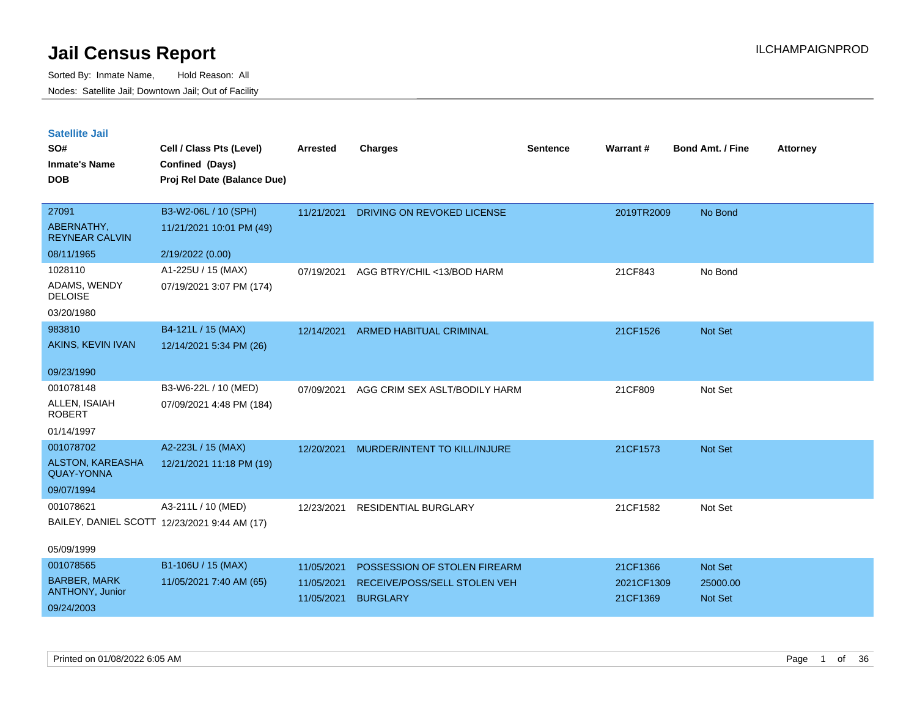| <b>Satellite Jail</b> |  |
|-----------------------|--|
|                       |  |

| SO#<br><b>Inmate's Name</b>                  | Cell / Class Pts (Level)<br>Confined (Days)  | Arrested   | <b>Charges</b>                 | <b>Sentence</b> | Warrant#   | <b>Bond Amt. / Fine</b> | <b>Attorney</b> |
|----------------------------------------------|----------------------------------------------|------------|--------------------------------|-----------------|------------|-------------------------|-----------------|
| <b>DOB</b>                                   | Proj Rel Date (Balance Due)                  |            |                                |                 |            |                         |                 |
| 27091                                        | B3-W2-06L / 10 (SPH)                         | 11/21/2021 | DRIVING ON REVOKED LICENSE     |                 | 2019TR2009 | No Bond                 |                 |
| ABERNATHY,<br><b>REYNEAR CALVIN</b>          | 11/21/2021 10:01 PM (49)                     |            |                                |                 |            |                         |                 |
| 08/11/1965                                   | 2/19/2022 (0.00)                             |            |                                |                 |            |                         |                 |
| 1028110                                      | A1-225U / 15 (MAX)                           | 07/19/2021 | AGG BTRY/CHIL <13/BOD HARM     |                 | 21CF843    | No Bond                 |                 |
| ADAMS, WENDY<br><b>DELOISE</b>               | 07/19/2021 3:07 PM (174)                     |            |                                |                 |            |                         |                 |
| 03/20/1980                                   |                                              |            |                                |                 |            |                         |                 |
| 983810                                       | B4-121L / 15 (MAX)                           | 12/14/2021 | <b>ARMED HABITUAL CRIMINAL</b> |                 | 21CF1526   | Not Set                 |                 |
| AKINS, KEVIN IVAN                            | 12/14/2021 5:34 PM (26)                      |            |                                |                 |            |                         |                 |
| 09/23/1990                                   |                                              |            |                                |                 |            |                         |                 |
| 001078148                                    | B3-W6-22L / 10 (MED)                         | 07/09/2021 | AGG CRIM SEX ASLT/BODILY HARM  |                 | 21CF809    | Not Set                 |                 |
| ALLEN, ISAIAH<br><b>ROBERT</b>               | 07/09/2021 4:48 PM (184)                     |            |                                |                 |            |                         |                 |
| 01/14/1997                                   |                                              |            |                                |                 |            |                         |                 |
| 001078702                                    | A2-223L / 15 (MAX)                           | 12/20/2021 | MURDER/INTENT TO KILL/INJURE   |                 | 21CF1573   | Not Set                 |                 |
| <b>ALSTON, KAREASHA</b><br><b>QUAY-YONNA</b> | 12/21/2021 11:18 PM (19)                     |            |                                |                 |            |                         |                 |
| 09/07/1994                                   |                                              |            |                                |                 |            |                         |                 |
| 001078621                                    | A3-211L / 10 (MED)                           | 12/23/2021 | RESIDENTIAL BURGLARY           |                 | 21CF1582   | Not Set                 |                 |
|                                              | BAILEY, DANIEL SCOTT 12/23/2021 9:44 AM (17) |            |                                |                 |            |                         |                 |
| 05/09/1999                                   |                                              |            |                                |                 |            |                         |                 |
| 001078565                                    | B1-106U / 15 (MAX)                           | 11/05/2021 | POSSESSION OF STOLEN FIREARM   |                 | 21CF1366   | Not Set                 |                 |
| <b>BARBER, MARK</b><br>ANTHONY, Junior       | 11/05/2021 7:40 AM (65)                      | 11/05/2021 | RECEIVE/POSS/SELL STOLEN VEH   |                 | 2021CF1309 | 25000.00                |                 |
| 09/24/2003                                   |                                              | 11/05/2021 | <b>BURGLARY</b>                |                 | 21CF1369   | <b>Not Set</b>          |                 |
|                                              |                                              |            |                                |                 |            |                         |                 |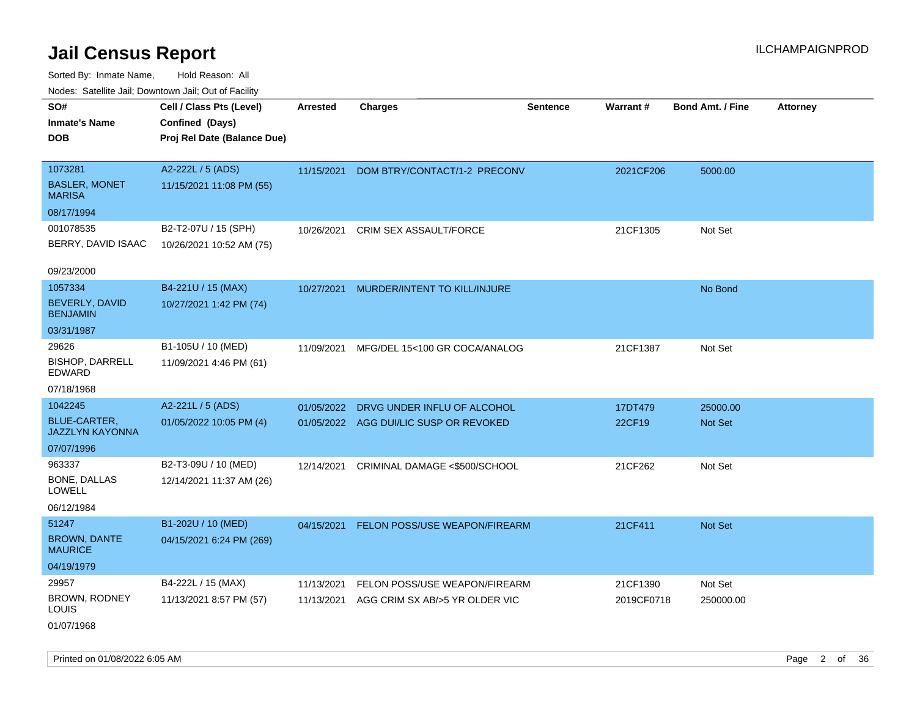Sorted By: Inmate Name, Hold Reason: All Nodes: Satellite Jail; Downtown Jail; Out of Facility

| ivuutos. Saltiilit Jall, Duwilluwii Jall, Oul of Facility |                             |            |                                        |                 |            |                         |                 |
|-----------------------------------------------------------|-----------------------------|------------|----------------------------------------|-----------------|------------|-------------------------|-----------------|
| SO#                                                       | Cell / Class Pts (Level)    | Arrested   | <b>Charges</b>                         | <b>Sentence</b> | Warrant#   | <b>Bond Amt. / Fine</b> | <b>Attorney</b> |
| <b>Inmate's Name</b>                                      | Confined (Days)             |            |                                        |                 |            |                         |                 |
| <b>DOB</b>                                                | Proj Rel Date (Balance Due) |            |                                        |                 |            |                         |                 |
|                                                           |                             |            |                                        |                 |            |                         |                 |
| 1073281                                                   | A2-222L / 5 (ADS)           | 11/15/2021 | DOM BTRY/CONTACT/1-2 PRECONV           |                 | 2021CF206  | 5000.00                 |                 |
| <b>BASLER, MONET</b><br><b>MARISA</b>                     | 11/15/2021 11:08 PM (55)    |            |                                        |                 |            |                         |                 |
| 08/17/1994                                                |                             |            |                                        |                 |            |                         |                 |
| 001078535                                                 | B2-T2-07U / 15 (SPH)        | 10/26/2021 | CRIM SEX ASSAULT/FORCE                 |                 | 21CF1305   | Not Set                 |                 |
| BERRY, DAVID ISAAC                                        | 10/26/2021 10:52 AM (75)    |            |                                        |                 |            |                         |                 |
|                                                           |                             |            |                                        |                 |            |                         |                 |
| 09/23/2000                                                |                             |            |                                        |                 |            |                         |                 |
| 1057334                                                   | B4-221U / 15 (MAX)          | 10/27/2021 | MURDER/INTENT TO KILL/INJURE           |                 |            | No Bond                 |                 |
| BEVERLY, DAVID<br><b>BENJAMIN</b>                         | 10/27/2021 1:42 PM (74)     |            |                                        |                 |            |                         |                 |
| 03/31/1987                                                |                             |            |                                        |                 |            |                         |                 |
| 29626                                                     | B1-105U / 10 (MED)          | 11/09/2021 | MFG/DEL 15<100 GR COCA/ANALOG          |                 | 21CF1387   | Not Set                 |                 |
| <b>BISHOP, DARRELL</b><br>EDWARD                          | 11/09/2021 4:46 PM (61)     |            |                                        |                 |            |                         |                 |
| 07/18/1968                                                |                             |            |                                        |                 |            |                         |                 |
| 1042245                                                   | A2-221L / 5 (ADS)           | 01/05/2022 | DRVG UNDER INFLU OF ALCOHOL            |                 | 17DT479    | 25000.00                |                 |
| <b>BLUE-CARTER,</b><br><b>JAZZLYN KAYONNA</b>             | 01/05/2022 10:05 PM (4)     |            | 01/05/2022 AGG DUI/LIC SUSP OR REVOKED |                 | 22CF19     | <b>Not Set</b>          |                 |
| 07/07/1996                                                |                             |            |                                        |                 |            |                         |                 |
| 963337                                                    | B2-T3-09U / 10 (MED)        | 12/14/2021 | CRIMINAL DAMAGE <\$500/SCHOOL          |                 | 21CF262    | Not Set                 |                 |
| BONE, DALLAS<br><b>LOWELL</b>                             | 12/14/2021 11:37 AM (26)    |            |                                        |                 |            |                         |                 |
| 06/12/1984                                                |                             |            |                                        |                 |            |                         |                 |
| 51247                                                     | B1-202U / 10 (MED)          | 04/15/2021 | FELON POSS/USE WEAPON/FIREARM          |                 | 21CF411    | Not Set                 |                 |
| <b>BROWN, DANTE</b><br><b>MAURICE</b>                     | 04/15/2021 6:24 PM (269)    |            |                                        |                 |            |                         |                 |
| 04/19/1979                                                |                             |            |                                        |                 |            |                         |                 |
| 29957                                                     | B4-222L / 15 (MAX)          | 11/13/2021 | FELON POSS/USE WEAPON/FIREARM          |                 | 21CF1390   | Not Set                 |                 |
| BROWN, RODNEY<br><b>LOUIS</b>                             | 11/13/2021 8:57 PM (57)     | 11/13/2021 | AGG CRIM SX AB/>5 YR OLDER VIC         |                 | 2019CF0718 | 250000.00               |                 |
| 01/07/1968                                                |                             |            |                                        |                 |            |                         |                 |

Printed on 01/08/2022 6:05 AM Page 2 of 36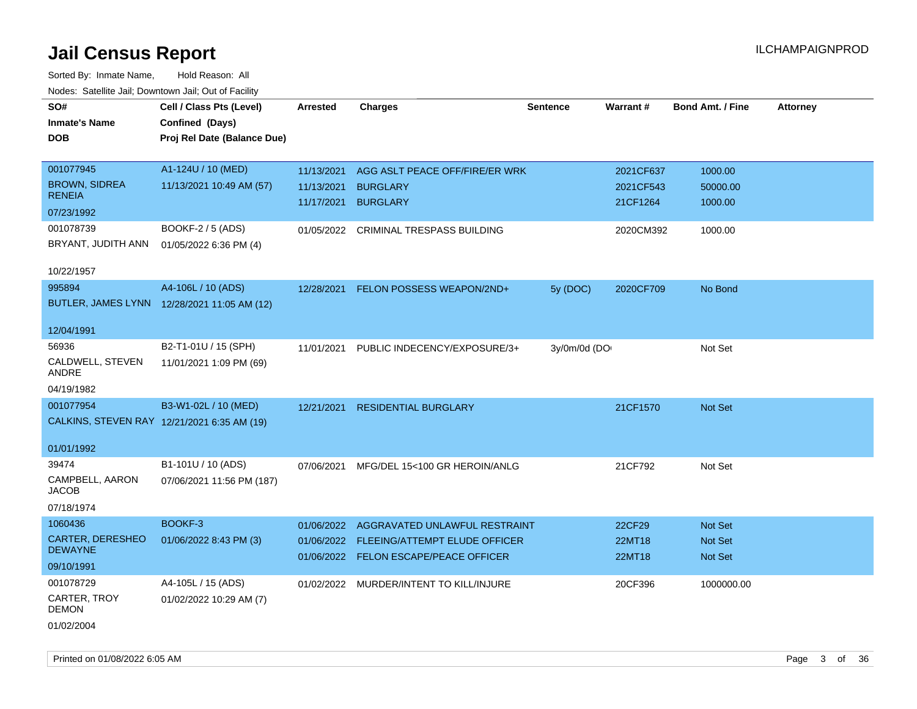| SO#                                         | Cell / Class Pts (Level)                    | <b>Arrested</b> | <b>Charges</b>                           | <b>Sentence</b> | Warrant#  | <b>Bond Amt. / Fine</b> | <b>Attorney</b> |
|---------------------------------------------|---------------------------------------------|-----------------|------------------------------------------|-----------------|-----------|-------------------------|-----------------|
| <b>Inmate's Name</b>                        | Confined (Days)                             |                 |                                          |                 |           |                         |                 |
| DOB                                         | Proj Rel Date (Balance Due)                 |                 |                                          |                 |           |                         |                 |
|                                             |                                             |                 |                                          |                 |           |                         |                 |
| 001077945                                   | A1-124U / 10 (MED)                          | 11/13/2021      | AGG ASLT PEACE OFF/FIRE/ER WRK           |                 | 2021CF637 | 1000.00                 |                 |
| <b>BROWN, SIDREA</b>                        | 11/13/2021 10:49 AM (57)                    | 11/13/2021      | <b>BURGLARY</b>                          |                 | 2021CF543 | 50000.00                |                 |
| <b>RENEIA</b>                               |                                             | 11/17/2021      | <b>BURGLARY</b>                          |                 | 21CF1264  | 1000.00                 |                 |
| 07/23/1992                                  |                                             |                 |                                          |                 |           |                         |                 |
| 001078739                                   | BOOKF-2 / 5 (ADS)                           |                 | 01/05/2022 CRIMINAL TRESPASS BUILDING    |                 | 2020CM392 | 1000.00                 |                 |
| BRYANT, JUDITH ANN                          | 01/05/2022 6:36 PM (4)                      |                 |                                          |                 |           |                         |                 |
|                                             |                                             |                 |                                          |                 |           |                         |                 |
| 10/22/1957                                  |                                             |                 |                                          |                 |           |                         |                 |
| 995894                                      | A4-106L / 10 (ADS)                          | 12/28/2021      | FELON POSSESS WEAPON/2ND+                | 5y (DOC)        | 2020CF709 | No Bond                 |                 |
|                                             | BUTLER, JAMES LYNN 12/28/2021 11:05 AM (12) |                 |                                          |                 |           |                         |                 |
|                                             |                                             |                 |                                          |                 |           |                         |                 |
| 12/04/1991                                  |                                             |                 |                                          |                 |           |                         |                 |
| 56936                                       | B2-T1-01U / 15 (SPH)                        | 11/01/2021      | PUBLIC INDECENCY/EXPOSURE/3+             | 3y/0m/0d (DO    |           | Not Set                 |                 |
| CALDWELL, STEVEN<br>ANDRE                   | 11/01/2021 1:09 PM (69)                     |                 |                                          |                 |           |                         |                 |
|                                             |                                             |                 |                                          |                 |           |                         |                 |
| 04/19/1982                                  |                                             |                 |                                          |                 |           |                         |                 |
| 001077954                                   | B3-W1-02L / 10 (MED)                        | 12/21/2021      | <b>RESIDENTIAL BURGLARY</b>              |                 | 21CF1570  | <b>Not Set</b>          |                 |
| CALKINS, STEVEN RAY 12/21/2021 6:35 AM (19) |                                             |                 |                                          |                 |           |                         |                 |
| 01/01/1992                                  |                                             |                 |                                          |                 |           |                         |                 |
| 39474                                       |                                             |                 |                                          |                 |           |                         |                 |
|                                             | B1-101U / 10 (ADS)                          | 07/06/2021      | MFG/DEL 15<100 GR HEROIN/ANLG            |                 | 21CF792   | Not Set                 |                 |
| CAMPBELL, AARON<br><b>JACOB</b>             | 07/06/2021 11:56 PM (187)                   |                 |                                          |                 |           |                         |                 |
| 07/18/1974                                  |                                             |                 |                                          |                 |           |                         |                 |
| 1060436                                     | BOOKF-3                                     | 01/06/2022      | AGGRAVATED UNLAWFUL RESTRAINT            |                 | 22CF29    | Not Set                 |                 |
| <b>CARTER, DERESHEO</b>                     | 01/06/2022 8:43 PM (3)                      |                 |                                          |                 |           |                         |                 |
| <b>DEWAYNE</b>                              |                                             |                 | 01/06/2022 FLEEING/ATTEMPT ELUDE OFFICER |                 | 22MT18    | <b>Not Set</b>          |                 |
| 09/10/1991                                  |                                             |                 | 01/06/2022 FELON ESCAPE/PEACE OFFICER    |                 | 22MT18    | Not Set                 |                 |
| 001078729                                   | A4-105L / 15 (ADS)                          |                 | 01/02/2022 MURDER/INTENT TO KILL/INJURE  |                 | 20CF396   | 1000000.00              |                 |
| CARTER, TROY                                | 01/02/2022 10:29 AM (7)                     |                 |                                          |                 |           |                         |                 |
| <b>DEMON</b>                                |                                             |                 |                                          |                 |           |                         |                 |
| 01/02/2004                                  |                                             |                 |                                          |                 |           |                         |                 |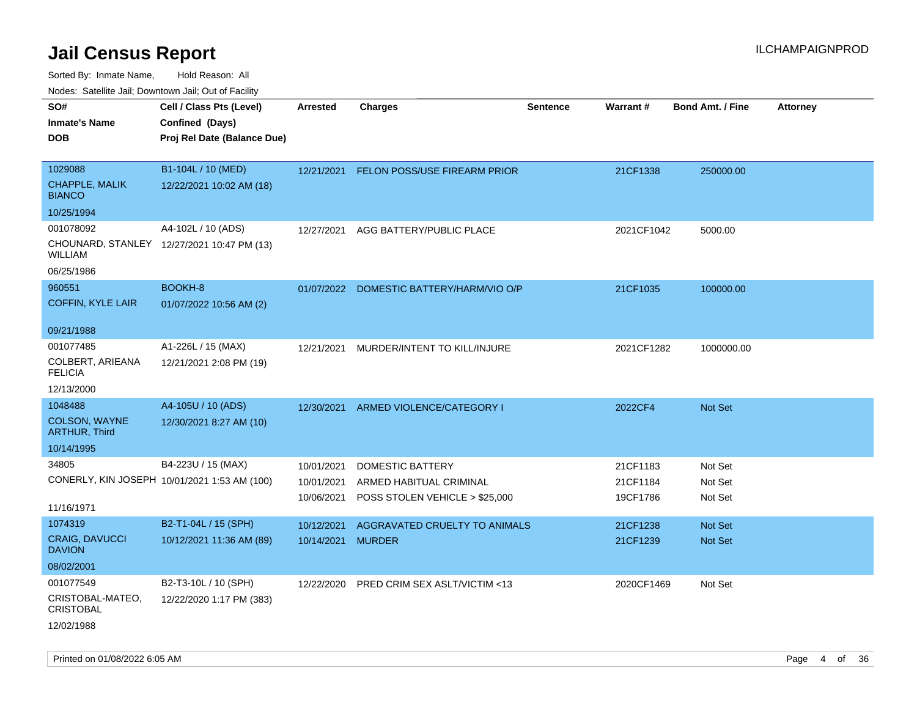| rougs. Calcing Jan, Downtown Jan, Out of Facility |                                              |                   |                                          |                 |            |                         |                 |
|---------------------------------------------------|----------------------------------------------|-------------------|------------------------------------------|-----------------|------------|-------------------------|-----------------|
| SO#<br><b>Inmate's Name</b>                       | Cell / Class Pts (Level)<br>Confined (Days)  | <b>Arrested</b>   | <b>Charges</b>                           | <b>Sentence</b> | Warrant#   | <b>Bond Amt. / Fine</b> | <b>Attorney</b> |
| <b>DOB</b>                                        | Proj Rel Date (Balance Due)                  |                   |                                          |                 |            |                         |                 |
|                                                   |                                              |                   |                                          |                 |            |                         |                 |
| 1029088                                           | B1-104L / 10 (MED)                           | 12/21/2021        | <b>FELON POSS/USE FIREARM PRIOR</b>      |                 | 21CF1338   | 250000.00               |                 |
| <b>CHAPPLE, MALIK</b><br><b>BIANCO</b>            | 12/22/2021 10:02 AM (18)                     |                   |                                          |                 |            |                         |                 |
| 10/25/1994                                        |                                              |                   |                                          |                 |            |                         |                 |
| 001078092                                         | A4-102L / 10 (ADS)                           | 12/27/2021        | AGG BATTERY/PUBLIC PLACE                 |                 | 2021CF1042 | 5000.00                 |                 |
| <b>WILLIAM</b>                                    | CHOUNARD, STANLEY 12/27/2021 10:47 PM (13)   |                   |                                          |                 |            |                         |                 |
| 06/25/1986                                        |                                              |                   |                                          |                 |            |                         |                 |
| 960551                                            | BOOKH-8                                      |                   | 01/07/2022 DOMESTIC BATTERY/HARM/VIO O/P |                 | 21CF1035   | 100000.00               |                 |
| <b>COFFIN, KYLE LAIR</b>                          | 01/07/2022 10:56 AM (2)                      |                   |                                          |                 |            |                         |                 |
| 09/21/1988                                        |                                              |                   |                                          |                 |            |                         |                 |
| 001077485                                         | A1-226L / 15 (MAX)                           | 12/21/2021        | MURDER/INTENT TO KILL/INJURE             |                 | 2021CF1282 | 1000000.00              |                 |
| COLBERT, ARIEANA<br><b>FELICIA</b>                | 12/21/2021 2:08 PM (19)                      |                   |                                          |                 |            |                         |                 |
| 12/13/2000                                        |                                              |                   |                                          |                 |            |                         |                 |
| 1048488                                           | A4-105U / 10 (ADS)                           | 12/30/2021        | ARMED VIOLENCE/CATEGORY I                |                 | 2022CF4    | <b>Not Set</b>          |                 |
| <b>COLSON, WAYNE</b><br><b>ARTHUR, Third</b>      | 12/30/2021 8:27 AM (10)                      |                   |                                          |                 |            |                         |                 |
| 10/14/1995                                        |                                              |                   |                                          |                 |            |                         |                 |
| 34805                                             | B4-223U / 15 (MAX)                           | 10/01/2021        | <b>DOMESTIC BATTERY</b>                  |                 | 21CF1183   | Not Set                 |                 |
|                                                   | CONERLY, KIN JOSEPH 10/01/2021 1:53 AM (100) | 10/01/2021        | ARMED HABITUAL CRIMINAL                  |                 | 21CF1184   | Not Set                 |                 |
| 11/16/1971                                        |                                              | 10/06/2021        | POSS STOLEN VEHICLE > \$25,000           |                 | 19CF1786   | Not Set                 |                 |
| 1074319                                           | B2-T1-04L / 15 (SPH)                         | 10/12/2021        | AGGRAVATED CRUELTY TO ANIMALS            |                 | 21CF1238   | <b>Not Set</b>          |                 |
| <b>CRAIG, DAVUCCI</b><br><b>DAVION</b>            | 10/12/2021 11:36 AM (89)                     | 10/14/2021 MURDER |                                          |                 | 21CF1239   | <b>Not Set</b>          |                 |
| 08/02/2001                                        |                                              |                   |                                          |                 |            |                         |                 |
| 001077549                                         | B2-T3-10L / 10 (SPH)                         | 12/22/2020        | PRED CRIM SEX ASLT/VICTIM <13            |                 | 2020CF1469 | Not Set                 |                 |
| CRISTOBAL-MATEO,<br><b>CRISTOBAL</b>              | 12/22/2020 1:17 PM (383)                     |                   |                                          |                 |            |                         |                 |
| 12/02/1988                                        |                                              |                   |                                          |                 |            |                         |                 |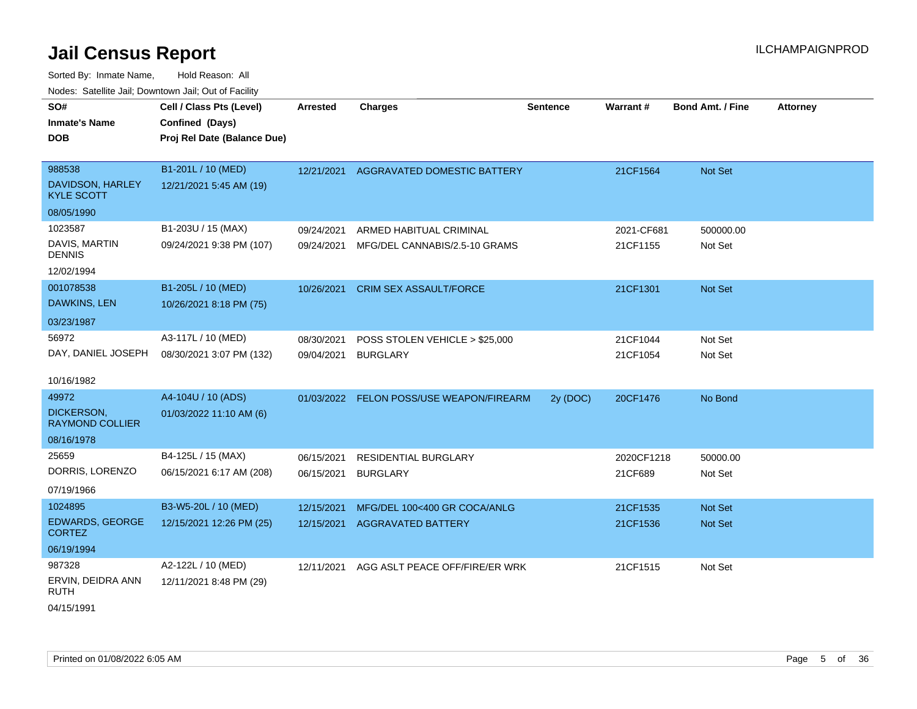Sorted By: Inmate Name, Hold Reason: All Nodes: Satellite Jail; Downtown Jail; Out of Facility

| SO#<br><b>Inmate's Name</b><br><b>DOB</b>       | Cell / Class Pts (Level)<br>Confined (Days)<br>Proj Rel Date (Balance Due) | <b>Arrested</b> | <b>Charges</b>                           | <b>Sentence</b> | Warrant#   | <b>Bond Amt. / Fine</b> | <b>Attorney</b> |
|-------------------------------------------------|----------------------------------------------------------------------------|-----------------|------------------------------------------|-----------------|------------|-------------------------|-----------------|
| 988538<br>DAVIDSON, HARLEY<br><b>KYLE SCOTT</b> | B1-201L / 10 (MED)<br>12/21/2021 5:45 AM (19)                              | 12/21/2021      | AGGRAVATED DOMESTIC BATTERY              |                 | 21CF1564   | Not Set                 |                 |
| 08/05/1990                                      |                                                                            |                 |                                          |                 |            |                         |                 |
| 1023587                                         | B1-203U / 15 (MAX)                                                         | 09/24/2021      | ARMED HABITUAL CRIMINAL                  |                 | 2021-CF681 | 500000.00               |                 |
| DAVIS, MARTIN<br><b>DENNIS</b>                  | 09/24/2021 9:38 PM (107)                                                   | 09/24/2021      | MFG/DEL CANNABIS/2.5-10 GRAMS            |                 | 21CF1155   | Not Set                 |                 |
| 12/02/1994                                      |                                                                            |                 |                                          |                 |            |                         |                 |
| 001078538                                       | B1-205L / 10 (MED)                                                         | 10/26/2021      | <b>CRIM SEX ASSAULT/FORCE</b>            |                 | 21CF1301   | Not Set                 |                 |
| DAWKINS, LEN                                    | 10/26/2021 8:18 PM (75)                                                    |                 |                                          |                 |            |                         |                 |
| 03/23/1987                                      |                                                                            |                 |                                          |                 |            |                         |                 |
| 56972                                           | A3-117L / 10 (MED)                                                         | 08/30/2021      | POSS STOLEN VEHICLE > \$25,000           |                 | 21CF1044   | Not Set                 |                 |
| DAY, DANIEL JOSEPH                              | 08/30/2021 3:07 PM (132)                                                   | 09/04/2021      | <b>BURGLARY</b>                          |                 | 21CF1054   | Not Set                 |                 |
| 10/16/1982                                      |                                                                            |                 |                                          |                 |            |                         |                 |
| 49972                                           | A4-104U / 10 (ADS)                                                         |                 | 01/03/2022 FELON POSS/USE WEAPON/FIREARM | 2y (DOC)        | 20CF1476   | No Bond                 |                 |
| DICKERSON,<br><b>RAYMOND COLLIER</b>            | 01/03/2022 11:10 AM (6)                                                    |                 |                                          |                 |            |                         |                 |
| 08/16/1978                                      |                                                                            |                 |                                          |                 |            |                         |                 |
| 25659                                           | B4-125L / 15 (MAX)                                                         | 06/15/2021      | <b>RESIDENTIAL BURGLARY</b>              |                 | 2020CF1218 | 50000.00                |                 |
| DORRIS, LORENZO                                 | 06/15/2021 6:17 AM (208)                                                   | 06/15/2021      | <b>BURGLARY</b>                          |                 | 21CF689    | Not Set                 |                 |
| 07/19/1966                                      |                                                                            |                 |                                          |                 |            |                         |                 |
| 1024895                                         | B3-W5-20L / 10 (MED)                                                       | 12/15/2021      | MFG/DEL 100<400 GR COCA/ANLG             |                 | 21CF1535   | Not Set                 |                 |
| EDWARDS, GEORGE<br><b>CORTEZ</b>                | 12/15/2021 12:26 PM (25)                                                   | 12/15/2021      | <b>AGGRAVATED BATTERY</b>                |                 | 21CF1536   | <b>Not Set</b>          |                 |
| 06/19/1994                                      |                                                                            |                 |                                          |                 |            |                         |                 |
| 987328                                          | A2-122L / 10 (MED)                                                         | 12/11/2021      | AGG ASLT PEACE OFF/FIRE/ER WRK           |                 | 21CF1515   | Not Set                 |                 |
| ERVIN, DEIDRA ANN<br>RUTH                       | 12/11/2021 8:48 PM (29)                                                    |                 |                                          |                 |            |                         |                 |

04/15/1991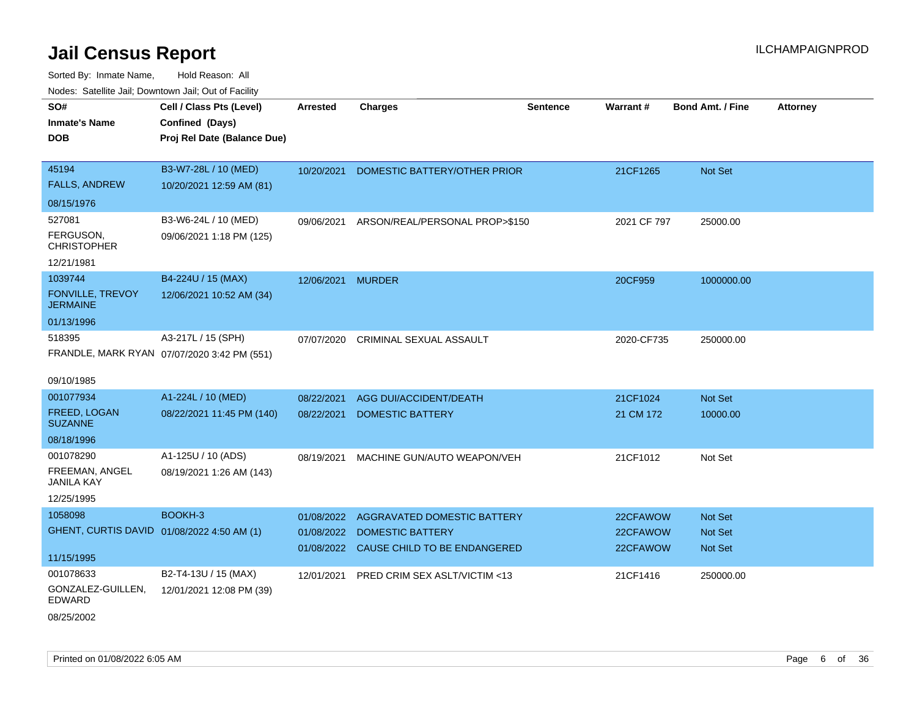| Todoo. Catolino can, Bottittottii can, Odt on Taoliit,<br>SO#<br><b>Inmate's Name</b><br><b>DOB</b> | Cell / Class Pts (Level)<br>Confined (Days)<br>Proj Rel Date (Balance Due) | <b>Arrested</b>          | <b>Charges</b>                                                                             | <b>Sentence</b> | <b>Warrant#</b>                  | <b>Bond Amt. / Fine</b>                     | <b>Attorney</b> |
|-----------------------------------------------------------------------------------------------------|----------------------------------------------------------------------------|--------------------------|--------------------------------------------------------------------------------------------|-----------------|----------------------------------|---------------------------------------------|-----------------|
| 45194<br><b>FALLS, ANDREW</b><br>08/15/1976                                                         | B3-W7-28L / 10 (MED)<br>10/20/2021 12:59 AM (81)                           | 10/20/2021               | DOMESTIC BATTERY/OTHER PRIOR                                                               |                 | 21CF1265                         | Not Set                                     |                 |
| 527081<br>FERGUSON,<br><b>CHRISTOPHER</b><br>12/21/1981                                             | B3-W6-24L / 10 (MED)<br>09/06/2021 1:18 PM (125)                           | 09/06/2021               | ARSON/REAL/PERSONAL PROP>\$150                                                             |                 | 2021 CF 797                      | 25000.00                                    |                 |
| 1039744<br><b>FONVILLE, TREVOY</b><br><b>JERMAINE</b><br>01/13/1996                                 | B4-224U / 15 (MAX)<br>12/06/2021 10:52 AM (34)                             | 12/06/2021 MURDER        |                                                                                            |                 | 20CF959                          | 1000000.00                                  |                 |
| 518395<br>09/10/1985                                                                                | A3-217L / 15 (SPH)<br>FRANDLE, MARK RYAN 07/07/2020 3:42 PM (551)          | 07/07/2020               | CRIMINAL SEXUAL ASSAULT                                                                    |                 | 2020-CF735                       | 250000.00                                   |                 |
| 001077934<br><b>FREED, LOGAN</b><br><b>SUZANNE</b><br>08/18/1996                                    | A1-224L / 10 (MED)<br>08/22/2021 11:45 PM (140)                            | 08/22/2021<br>08/22/2021 | AGG DUI/ACCIDENT/DEATH<br><b>DOMESTIC BATTERY</b>                                          |                 | 21CF1024<br>21 CM 172            | Not Set<br>10000.00                         |                 |
| 001078290<br>FREEMAN, ANGEL<br><b>JANILA KAY</b><br>12/25/1995                                      | A1-125U / 10 (ADS)<br>08/19/2021 1:26 AM (143)                             | 08/19/2021               | MACHINE GUN/AUTO WEAPON/VEH                                                                |                 | 21CF1012                         | Not Set                                     |                 |
| 1058098<br>GHENT, CURTIS DAVID 01/08/2022 4:50 AM (1)<br>11/15/1995                                 | BOOKH-3                                                                    | 01/08/2022<br>01/08/2022 | AGGRAVATED DOMESTIC BATTERY<br>DOMESTIC BATTERY<br>01/08/2022 CAUSE CHILD TO BE ENDANGERED |                 | 22CFAWOW<br>22CFAWOW<br>22CFAWOW | <b>Not Set</b><br>Not Set<br><b>Not Set</b> |                 |
| 001078633<br>GONZALEZ-GUILLEN,<br><b>EDWARD</b><br>08/25/2002                                       | B2-T4-13U / 15 (MAX)<br>12/01/2021 12:08 PM (39)                           | 12/01/2021               | PRED CRIM SEX ASLT/VICTIM <13                                                              |                 | 21CF1416                         | 250000.00                                   |                 |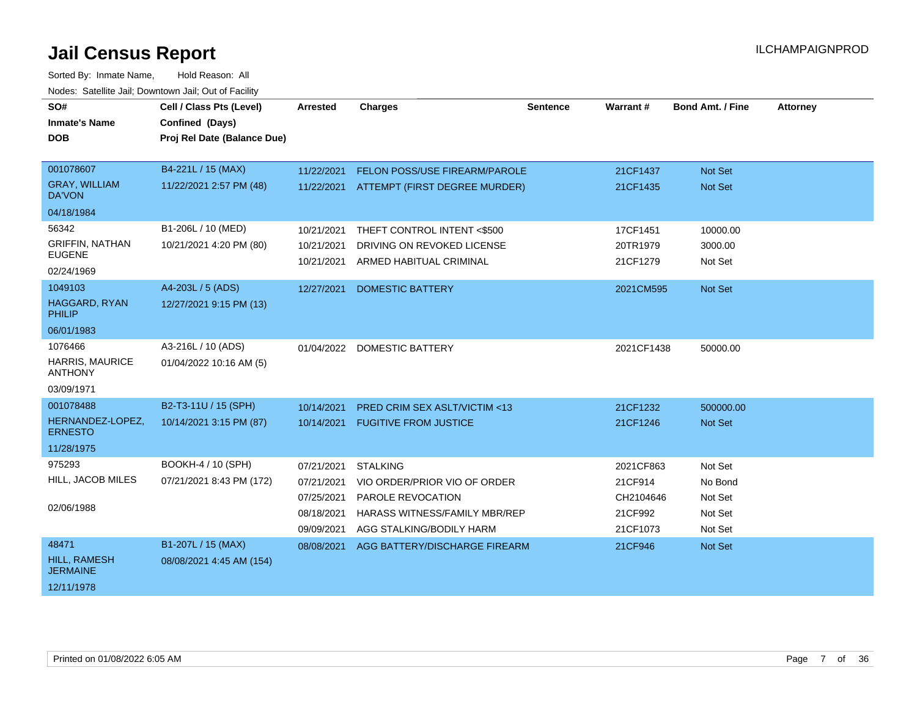| SO#                                    | Cell / Class Pts (Level)    | <b>Arrested</b> | <b>Charges</b>                           | <b>Sentence</b> | Warrant#   | <b>Bond Amt. / Fine</b> | <b>Attorney</b> |
|----------------------------------------|-----------------------------|-----------------|------------------------------------------|-----------------|------------|-------------------------|-----------------|
| <b>Inmate's Name</b>                   | Confined (Days)             |                 |                                          |                 |            |                         |                 |
| <b>DOB</b>                             | Proj Rel Date (Balance Due) |                 |                                          |                 |            |                         |                 |
|                                        |                             |                 |                                          |                 |            |                         |                 |
| 001078607                              | B4-221L / 15 (MAX)          | 11/22/2021      | FELON POSS/USE FIREARM/PAROLE            |                 | 21CF1437   | Not Set                 |                 |
| <b>GRAY, WILLIAM</b><br><b>DA'VON</b>  | 11/22/2021 2:57 PM (48)     |                 | 11/22/2021 ATTEMPT (FIRST DEGREE MURDER) |                 | 21CF1435   | Not Set                 |                 |
| 04/18/1984                             |                             |                 |                                          |                 |            |                         |                 |
| 56342                                  | B1-206L / 10 (MED)          | 10/21/2021      | THEFT CONTROL INTENT <\$500              |                 | 17CF1451   | 10000.00                |                 |
| <b>GRIFFIN, NATHAN</b>                 | 10/21/2021 4:20 PM (80)     | 10/21/2021      | DRIVING ON REVOKED LICENSE               |                 | 20TR1979   | 3000.00                 |                 |
| <b>EUGENE</b>                          |                             | 10/21/2021      | ARMED HABITUAL CRIMINAL                  |                 | 21CF1279   | Not Set                 |                 |
| 02/24/1969                             |                             |                 |                                          |                 |            |                         |                 |
| 1049103                                | A4-203L / 5 (ADS)           | 12/27/2021      | <b>DOMESTIC BATTERY</b>                  |                 | 2021CM595  | Not Set                 |                 |
| HAGGARD, RYAN<br><b>PHILIP</b>         | 12/27/2021 9:15 PM (13)     |                 |                                          |                 |            |                         |                 |
| 06/01/1983                             |                             |                 |                                          |                 |            |                         |                 |
| 1076466                                | A3-216L / 10 (ADS)          |                 | 01/04/2022 DOMESTIC BATTERY              |                 | 2021CF1438 | 50000.00                |                 |
| HARRIS, MAURICE<br><b>ANTHONY</b>      | 01/04/2022 10:16 AM (5)     |                 |                                          |                 |            |                         |                 |
| 03/09/1971                             |                             |                 |                                          |                 |            |                         |                 |
| 001078488                              | B2-T3-11U / 15 (SPH)        | 10/14/2021      | <b>PRED CRIM SEX ASLT/VICTIM &lt;13</b>  |                 | 21CF1232   | 500000.00               |                 |
| HERNANDEZ-LOPEZ,<br><b>ERNESTO</b>     | 10/14/2021 3:15 PM (87)     | 10/14/2021      | <b>FUGITIVE FROM JUSTICE</b>             |                 | 21CF1246   | <b>Not Set</b>          |                 |
| 11/28/1975                             |                             |                 |                                          |                 |            |                         |                 |
| 975293                                 | BOOKH-4 / 10 (SPH)          | 07/21/2021      | <b>STALKING</b>                          |                 | 2021CF863  | Not Set                 |                 |
| HILL, JACOB MILES                      | 07/21/2021 8:43 PM (172)    | 07/21/2021      | VIO ORDER/PRIOR VIO OF ORDER             |                 | 21CF914    | No Bond                 |                 |
|                                        |                             | 07/25/2021      | PAROLE REVOCATION                        |                 | CH2104646  | Not Set                 |                 |
| 02/06/1988                             |                             | 08/18/2021      | HARASS WITNESS/FAMILY MBR/REP            |                 | 21CF992    | Not Set                 |                 |
|                                        |                             | 09/09/2021      | AGG STALKING/BODILY HARM                 |                 | 21CF1073   | Not Set                 |                 |
| 48471                                  | B1-207L / 15 (MAX)          | 08/08/2021      | AGG BATTERY/DISCHARGE FIREARM            |                 | 21CF946    | Not Set                 |                 |
| <b>HILL, RAMESH</b><br><b>JERMAINE</b> | 08/08/2021 4:45 AM (154)    |                 |                                          |                 |            |                         |                 |
| 12/11/1978                             |                             |                 |                                          |                 |            |                         |                 |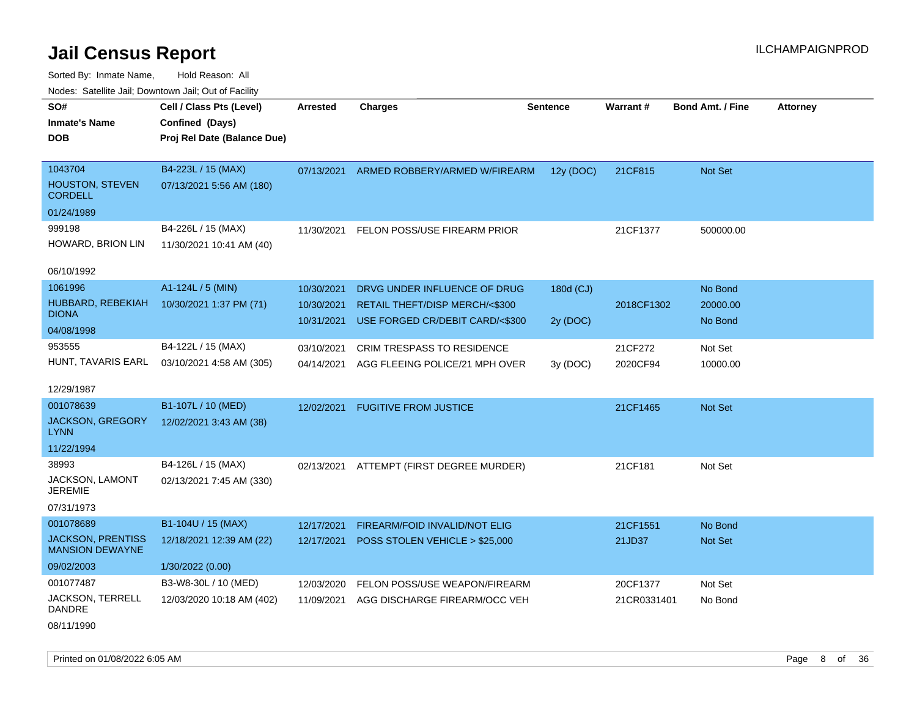Sorted By: Inmate Name, Hold Reason: All Nodes: Satellite Jail; Downtown Jail; Out of Facility

| Noues. Salenne Jan, Downlown Jan, Out or Facility  |                             |                 |                                   |           |                 |                         |                 |
|----------------------------------------------------|-----------------------------|-----------------|-----------------------------------|-----------|-----------------|-------------------------|-----------------|
| SO#                                                | Cell / Class Pts (Level)    | <b>Arrested</b> | <b>Charges</b>                    | Sentence  | <b>Warrant#</b> | <b>Bond Amt. / Fine</b> | <b>Attorney</b> |
| <b>Inmate's Name</b>                               | Confined (Days)             |                 |                                   |           |                 |                         |                 |
| <b>DOB</b>                                         | Proj Rel Date (Balance Due) |                 |                                   |           |                 |                         |                 |
|                                                    |                             |                 |                                   |           |                 |                         |                 |
| 1043704                                            | B4-223L / 15 (MAX)          | 07/13/2021      | ARMED ROBBERY/ARMED W/FIREARM     | 12y (DOC) | 21CF815         | <b>Not Set</b>          |                 |
| HOUSTON, STEVEN<br><b>CORDELL</b>                  | 07/13/2021 5:56 AM (180)    |                 |                                   |           |                 |                         |                 |
| 01/24/1989                                         |                             |                 |                                   |           |                 |                         |                 |
| 999198                                             | B4-226L / 15 (MAX)          | 11/30/2021      | FELON POSS/USE FIREARM PRIOR      |           | 21CF1377        | 500000.00               |                 |
| HOWARD, BRION LIN                                  | 11/30/2021 10:41 AM (40)    |                 |                                   |           |                 |                         |                 |
|                                                    |                             |                 |                                   |           |                 |                         |                 |
| 06/10/1992                                         |                             |                 |                                   |           |                 |                         |                 |
| 1061996                                            | A1-124L / 5 (MIN)           | 10/30/2021      | DRVG UNDER INFLUENCE OF DRUG      | 180d (CJ) |                 | No Bond                 |                 |
| HUBBARD, REBEKIAH<br><b>DIONA</b>                  | 10/30/2021 1:37 PM (71)     | 10/30/2021      | RETAIL THEFT/DISP MERCH/<\$300    |           | 2018CF1302      | 20000.00                |                 |
| 04/08/1998                                         |                             | 10/31/2021      | USE FORGED CR/DEBIT CARD/<\$300   | 2y (DOC)  |                 | No Bond                 |                 |
|                                                    |                             |                 |                                   |           |                 |                         |                 |
| 953555                                             | B4-122L / 15 (MAX)          | 03/10/2021      | <b>CRIM TRESPASS TO RESIDENCE</b> |           | 21CF272         | Not Set                 |                 |
| HUNT, TAVARIS EARL                                 | 03/10/2021 4:58 AM (305)    | 04/14/2021      | AGG FLEEING POLICE/21 MPH OVER    | 3y(DOC)   | 2020CF94        | 10000.00                |                 |
| 12/29/1987                                         |                             |                 |                                   |           |                 |                         |                 |
| 001078639                                          | B1-107L / 10 (MED)          | 12/02/2021      | <b>FUGITIVE FROM JUSTICE</b>      |           | 21CF1465        | Not Set                 |                 |
| <b>JACKSON, GREGORY</b><br>LYNN                    | 12/02/2021 3:43 AM (38)     |                 |                                   |           |                 |                         |                 |
| 11/22/1994                                         |                             |                 |                                   |           |                 |                         |                 |
| 38993                                              | B4-126L / 15 (MAX)          | 02/13/2021      | ATTEMPT (FIRST DEGREE MURDER)     |           | 21CF181         | Not Set                 |                 |
| JACKSON, LAMONT<br><b>JEREMIE</b>                  | 02/13/2021 7:45 AM (330)    |                 |                                   |           |                 |                         |                 |
| 07/31/1973                                         |                             |                 |                                   |           |                 |                         |                 |
| 001078689                                          | B1-104U / 15 (MAX)          | 12/17/2021      | FIREARM/FOID INVALID/NOT ELIG     |           | 21CF1551        | No Bond                 |                 |
| <b>JACKSON, PRENTISS</b><br><b>MANSION DEWAYNE</b> | 12/18/2021 12:39 AM (22)    | 12/17/2021      | POSS STOLEN VEHICLE > \$25,000    |           | 21JD37          | <b>Not Set</b>          |                 |
| 09/02/2003                                         | 1/30/2022 (0.00)            |                 |                                   |           |                 |                         |                 |
| 001077487                                          | B3-W8-30L / 10 (MED)        | 12/03/2020      | FELON POSS/USE WEAPON/FIREARM     |           | 20CF1377        | Not Set                 |                 |
| JACKSON, TERRELL<br><b>DANDRE</b>                  | 12/03/2020 10:18 AM (402)   | 11/09/2021      | AGG DISCHARGE FIREARM/OCC VEH     |           | 21CR0331401     | No Bond                 |                 |
|                                                    |                             |                 |                                   |           |                 |                         |                 |

08/11/1990

Printed on 01/08/2022 6:05 AM **Page 8 of 36**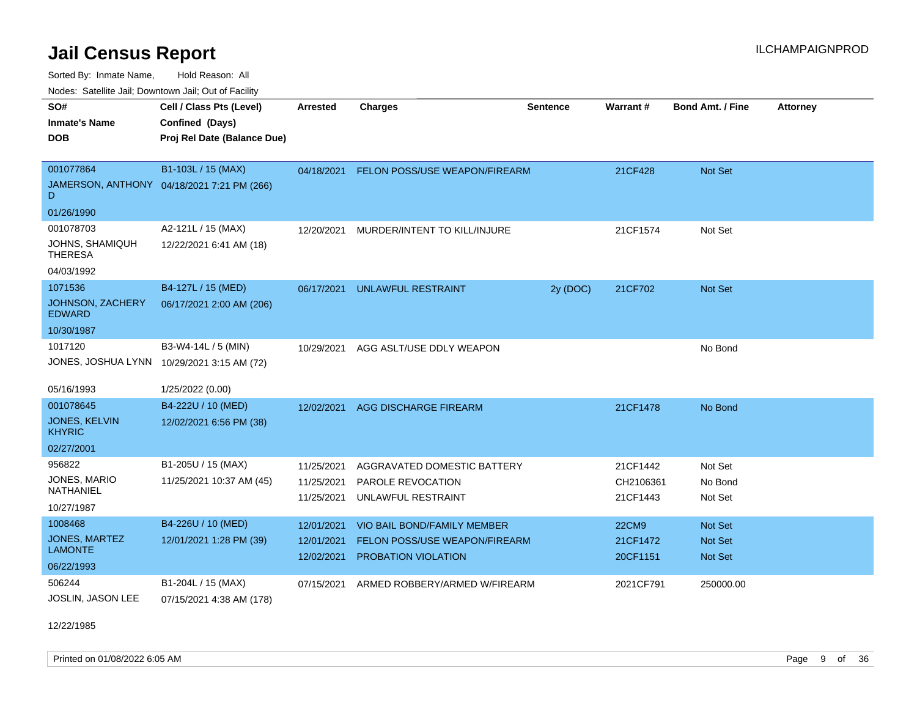Sorted By: Inmate Name, Hold Reason: All

Nodes: Satellite Jail; Downtown Jail; Out of Facility

| SO#                                      | Cell / Class Pts (Level)                   | <b>Arrested</b> | <b>Charges</b>                           | <b>Sentence</b> | Warrant#     | <b>Bond Amt. / Fine</b> | <b>Attorney</b> |
|------------------------------------------|--------------------------------------------|-----------------|------------------------------------------|-----------------|--------------|-------------------------|-----------------|
| <b>Inmate's Name</b>                     | Confined (Days)                            |                 |                                          |                 |              |                         |                 |
| <b>DOB</b>                               | Proj Rel Date (Balance Due)                |                 |                                          |                 |              |                         |                 |
|                                          |                                            |                 |                                          |                 |              |                         |                 |
| 001077864                                | B1-103L / 15 (MAX)                         |                 | 04/18/2021 FELON POSS/USE WEAPON/FIREARM |                 | 21CF428      | Not Set                 |                 |
| D                                        | JAMERSON, ANTHONY 04/18/2021 7:21 PM (266) |                 |                                          |                 |              |                         |                 |
| 01/26/1990                               |                                            |                 |                                          |                 |              |                         |                 |
| 001078703                                | A2-121L / 15 (MAX)                         |                 | 12/20/2021 MURDER/INTENT TO KILL/INJURE  |                 | 21CF1574     | Not Set                 |                 |
| JOHNS, SHAMIQUH<br><b>THERESA</b>        | 12/22/2021 6:41 AM (18)                    |                 |                                          |                 |              |                         |                 |
| 04/03/1992                               |                                            |                 |                                          |                 |              |                         |                 |
| 1071536                                  | B4-127L / 15 (MED)                         | 06/17/2021      | <b>UNLAWFUL RESTRAINT</b>                | 2y (DOC)        | 21CF702      | <b>Not Set</b>          |                 |
| <b>JOHNSON, ZACHERY</b><br><b>EDWARD</b> | 06/17/2021 2:00 AM (206)                   |                 |                                          |                 |              |                         |                 |
| 10/30/1987                               |                                            |                 |                                          |                 |              |                         |                 |
| 1017120                                  | B3-W4-14L / 5 (MIN)                        | 10/29/2021      | AGG ASLT/USE DDLY WEAPON                 |                 |              | No Bond                 |                 |
|                                          | JONES, JOSHUA LYNN 10/29/2021 3:15 AM (72) |                 |                                          |                 |              |                         |                 |
|                                          |                                            |                 |                                          |                 |              |                         |                 |
| 05/16/1993                               | 1/25/2022 (0.00)                           |                 |                                          |                 |              |                         |                 |
| 001078645                                | B4-222U / 10 (MED)                         |                 | 12/02/2021 AGG DISCHARGE FIREARM         |                 | 21CF1478     | No Bond                 |                 |
| JONES, KELVIN<br><b>KHYRIC</b>           | 12/02/2021 6:56 PM (38)                    |                 |                                          |                 |              |                         |                 |
| 02/27/2001                               |                                            |                 |                                          |                 |              |                         |                 |
| 956822                                   | B1-205U / 15 (MAX)                         | 11/25/2021      | AGGRAVATED DOMESTIC BATTERY              |                 | 21CF1442     | Not Set                 |                 |
| JONES, MARIO                             | 11/25/2021 10:37 AM (45)                   | 11/25/2021      | PAROLE REVOCATION                        |                 | CH2106361    | No Bond                 |                 |
| <b>NATHANIEL</b>                         |                                            | 11/25/2021      | UNLAWFUL RESTRAINT                       |                 | 21CF1443     | Not Set                 |                 |
| 10/27/1987                               |                                            |                 |                                          |                 |              |                         |                 |
| 1008468                                  | B4-226U / 10 (MED)                         | 12/01/2021      | VIO BAIL BOND/FAMILY MEMBER              |                 | <b>22CM9</b> | <b>Not Set</b>          |                 |
| <b>JONES, MARTEZ</b><br><b>LAMONTE</b>   | 12/01/2021 1:28 PM (39)                    | 12/01/2021      | <b>FELON POSS/USE WEAPON/FIREARM</b>     |                 | 21CF1472     | <b>Not Set</b>          |                 |
|                                          |                                            | 12/02/2021      | PROBATION VIOLATION                      |                 | 20CF1151     | Not Set                 |                 |
| 06/22/1993                               |                                            |                 |                                          |                 |              |                         |                 |
| 506244                                   | B1-204L / 15 (MAX)                         | 07/15/2021      | ARMED ROBBERY/ARMED W/FIREARM            |                 | 2021CF791    | 250000.00               |                 |
| <b>JOSLIN, JASON LEE</b>                 | 07/15/2021 4:38 AM (178)                   |                 |                                          |                 |              |                         |                 |

12/22/1985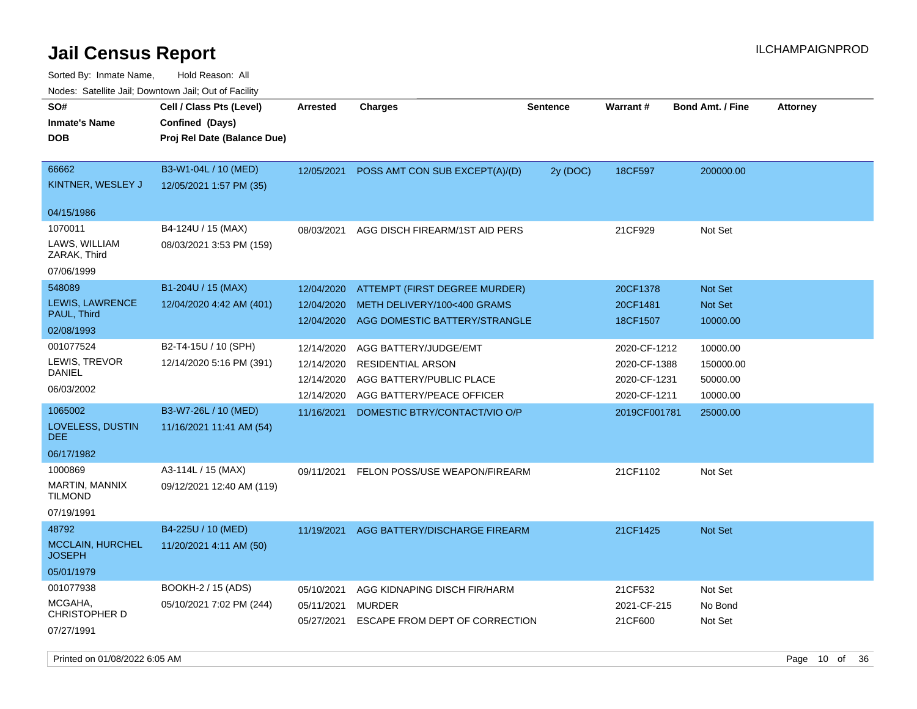| rougs. Calcing Jan, Downtown Jan, Out of Facility               |                                                                            |                                                      |                                                                                                            |                 |                                                              |                                               |                 |
|-----------------------------------------------------------------|----------------------------------------------------------------------------|------------------------------------------------------|------------------------------------------------------------------------------------------------------------|-----------------|--------------------------------------------------------------|-----------------------------------------------|-----------------|
| SO#<br><b>Inmate's Name</b><br><b>DOB</b>                       | Cell / Class Pts (Level)<br>Confined (Days)<br>Proj Rel Date (Balance Due) | <b>Arrested</b>                                      | <b>Charges</b>                                                                                             | <b>Sentence</b> | <b>Warrant#</b>                                              | <b>Bond Amt. / Fine</b>                       | <b>Attorney</b> |
| 66662<br>KINTNER, WESLEY J<br>04/15/1986                        | B3-W1-04L / 10 (MED)<br>12/05/2021 1:57 PM (35)                            | 12/05/2021                                           | POSS AMT CON SUB EXCEPT(A)/(D)                                                                             | 2y (DOC)        | 18CF597                                                      | 200000.00                                     |                 |
| 1070011<br>LAWS, WILLIAM<br>ZARAK, Third<br>07/06/1999          | B4-124U / 15 (MAX)<br>08/03/2021 3:53 PM (159)                             | 08/03/2021                                           | AGG DISCH FIREARM/1ST AID PERS                                                                             |                 | 21CF929                                                      | Not Set                                       |                 |
| 548089<br>LEWIS, LAWRENCE<br>PAUL, Third<br>02/08/1993          | B1-204U / 15 (MAX)<br>12/04/2020 4:42 AM (401)                             | 12/04/2020<br>12/04/2020<br>12/04/2020               | ATTEMPT (FIRST DEGREE MURDER)<br>METH DELIVERY/100<400 GRAMS<br>AGG DOMESTIC BATTERY/STRANGLE              |                 | 20CF1378<br>20CF1481<br>18CF1507                             | Not Set<br>Not Set<br>10000.00                |                 |
| 001077524<br>LEWIS, TREVOR<br>DANIEL<br>06/03/2002              | B2-T4-15U / 10 (SPH)<br>12/14/2020 5:16 PM (391)                           | 12/14/2020<br>12/14/2020<br>12/14/2020<br>12/14/2020 | AGG BATTERY/JUDGE/EMT<br><b>RESIDENTIAL ARSON</b><br>AGG BATTERY/PUBLIC PLACE<br>AGG BATTERY/PEACE OFFICER |                 | 2020-CF-1212<br>2020-CF-1388<br>2020-CF-1231<br>2020-CF-1211 | 10000.00<br>150000.00<br>50000.00<br>10000.00 |                 |
| 1065002<br>LOVELESS, DUSTIN<br>DEE.<br>06/17/1982               | B3-W7-26L / 10 (MED)<br>11/16/2021 11:41 AM (54)                           | 11/16/2021                                           | DOMESTIC BTRY/CONTACT/VIO O/P                                                                              |                 | 2019CF001781                                                 | 25000.00                                      |                 |
| 1000869<br><b>MARTIN, MANNIX</b><br>TILMOND<br>07/19/1991       | A3-114L / 15 (MAX)<br>09/12/2021 12:40 AM (119)                            | 09/11/2021                                           | FELON POSS/USE WEAPON/FIREARM                                                                              |                 | 21CF1102                                                     | Not Set                                       |                 |
| 48792<br><b>MCCLAIN, HURCHEL</b><br><b>JOSEPH</b><br>05/01/1979 | B4-225U / 10 (MED)<br>11/20/2021 4:11 AM (50)                              | 11/19/2021                                           | AGG BATTERY/DISCHARGE FIREARM                                                                              |                 | 21CF1425                                                     | Not Set                                       |                 |
| 001077938<br>MCGAHA,<br>CHRISTOPHER D<br>07/27/1991             | BOOKH-2 / 15 (ADS)<br>05/10/2021 7:02 PM (244)                             | 05/10/2021<br>05/11/2021<br>05/27/2021               | AGG KIDNAPING DISCH FIR/HARM<br><b>MURDER</b><br>ESCAPE FROM DEPT OF CORRECTION                            |                 | 21CF532<br>2021-CF-215<br>21CF600                            | Not Set<br>No Bond<br>Not Set                 |                 |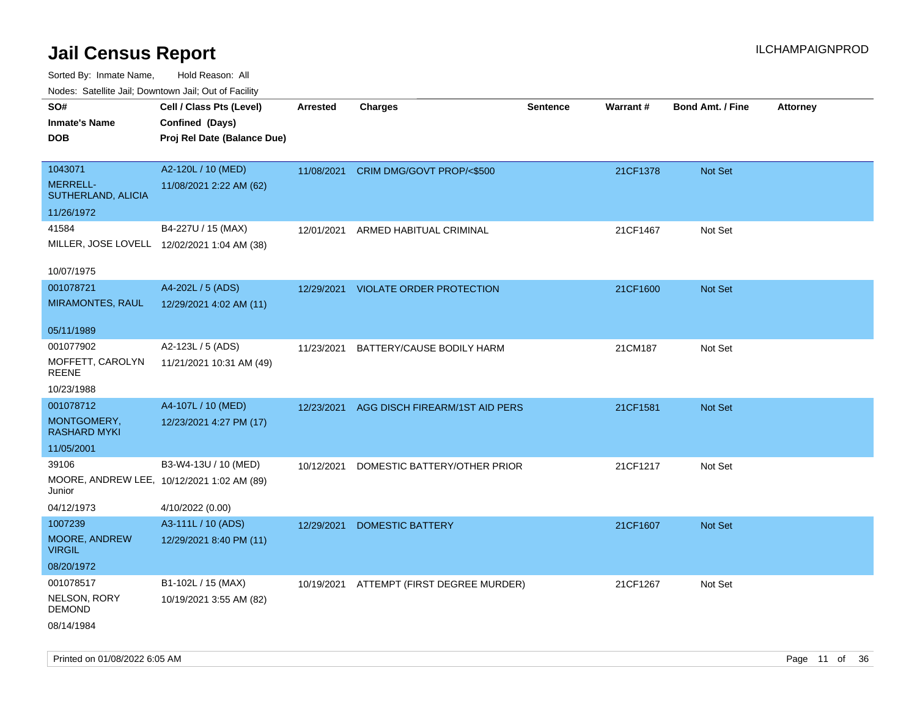| ivuutos. Saltiilit Jall, Duwilluwii Jall, Oul of Facility |                             |            |                                          |                 |          |                         |                 |
|-----------------------------------------------------------|-----------------------------|------------|------------------------------------------|-----------------|----------|-------------------------|-----------------|
| SO#                                                       | Cell / Class Pts (Level)    | Arrested   | <b>Charges</b>                           | <b>Sentence</b> | Warrant# | <b>Bond Amt. / Fine</b> | <b>Attorney</b> |
| <b>Inmate's Name</b>                                      | Confined (Days)             |            |                                          |                 |          |                         |                 |
| <b>DOB</b>                                                | Proj Rel Date (Balance Due) |            |                                          |                 |          |                         |                 |
|                                                           |                             |            |                                          |                 |          |                         |                 |
| 1043071                                                   | A2-120L / 10 (MED)          | 11/08/2021 | CRIM DMG/GOVT PROP/<\$500                |                 | 21CF1378 | Not Set                 |                 |
| <b>MERRELL-</b><br>SUTHERLAND, ALICIA                     | 11/08/2021 2:22 AM (62)     |            |                                          |                 |          |                         |                 |
| 11/26/1972                                                |                             |            |                                          |                 |          |                         |                 |
| 41584                                                     | B4-227U / 15 (MAX)          | 12/01/2021 | ARMED HABITUAL CRIMINAL                  |                 | 21CF1467 | Not Set                 |                 |
| MILLER, JOSE LOVELL 12/02/2021 1:04 AM (38)               |                             |            |                                          |                 |          |                         |                 |
| 10/07/1975                                                |                             |            |                                          |                 |          |                         |                 |
| 001078721                                                 | A4-202L / 5 (ADS)           | 12/29/2021 | <b>VIOLATE ORDER PROTECTION</b>          |                 | 21CF1600 | Not Set                 |                 |
| <b>MIRAMONTES, RAUL</b>                                   | 12/29/2021 4:02 AM (11)     |            |                                          |                 |          |                         |                 |
| 05/11/1989                                                |                             |            |                                          |                 |          |                         |                 |
| 001077902                                                 | A2-123L / 5 (ADS)           | 11/23/2021 | BATTERY/CAUSE BODILY HARM                |                 | 21CM187  | Not Set                 |                 |
| MOFFETT, CAROLYN<br>REENE                                 | 11/21/2021 10:31 AM (49)    |            |                                          |                 |          |                         |                 |
| 10/23/1988                                                |                             |            |                                          |                 |          |                         |                 |
| 001078712                                                 | A4-107L / 10 (MED)          | 12/23/2021 | AGG DISCH FIREARM/1ST AID PERS           |                 | 21CF1581 | Not Set                 |                 |
| MONTGOMERY,<br>RASHARD MYKI                               | 12/23/2021 4:27 PM (17)     |            |                                          |                 |          |                         |                 |
| 11/05/2001                                                |                             |            |                                          |                 |          |                         |                 |
| 39106                                                     | B3-W4-13U / 10 (MED)        | 10/12/2021 | DOMESTIC BATTERY/OTHER PRIOR             |                 | 21CF1217 | Not Set                 |                 |
| MOORE, ANDREW LEE, 10/12/2021 1:02 AM (89)<br>Junior      |                             |            |                                          |                 |          |                         |                 |
| 04/12/1973                                                | 4/10/2022 (0.00)            |            |                                          |                 |          |                         |                 |
| 1007239                                                   | A3-111L / 10 (ADS)          | 12/29/2021 | <b>DOMESTIC BATTERY</b>                  |                 | 21CF1607 | <b>Not Set</b>          |                 |
| MOORE, ANDREW<br><b>VIRGIL</b>                            | 12/29/2021 8:40 PM (11)     |            |                                          |                 |          |                         |                 |
| 08/20/1972                                                |                             |            |                                          |                 |          |                         |                 |
| 001078517                                                 | B1-102L / 15 (MAX)          |            | 10/19/2021 ATTEMPT (FIRST DEGREE MURDER) |                 | 21CF1267 | Not Set                 |                 |
| NELSON, RORY<br><b>DEMOND</b>                             | 10/19/2021 3:55 AM (82)     |            |                                          |                 |          |                         |                 |
| 08/14/1984                                                |                             |            |                                          |                 |          |                         |                 |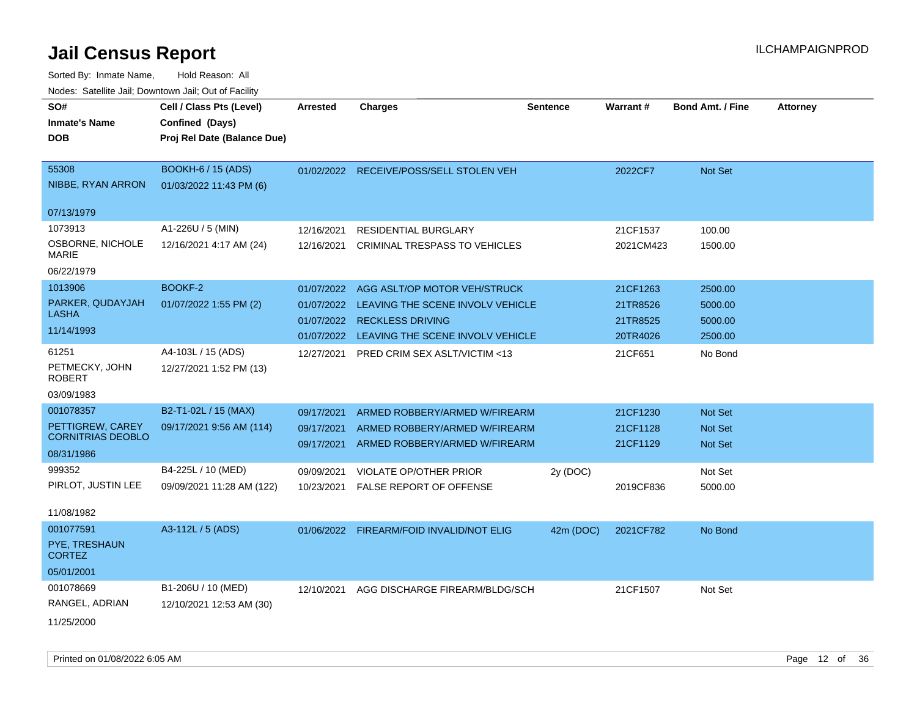| rougs. Calcinic Jan, Downtown Jan, Out of Facility |                             |                 |                                          |                 |                 |                         |                 |
|----------------------------------------------------|-----------------------------|-----------------|------------------------------------------|-----------------|-----------------|-------------------------|-----------------|
| SO#                                                | Cell / Class Pts (Level)    | <b>Arrested</b> | <b>Charges</b>                           | <b>Sentence</b> | <b>Warrant#</b> | <b>Bond Amt. / Fine</b> | <b>Attorney</b> |
| <b>Inmate's Name</b>                               | Confined (Days)             |                 |                                          |                 |                 |                         |                 |
| <b>DOB</b>                                         | Proj Rel Date (Balance Due) |                 |                                          |                 |                 |                         |                 |
|                                                    |                             |                 |                                          |                 |                 |                         |                 |
| 55308                                              | <b>BOOKH-6 / 15 (ADS)</b>   |                 | 01/02/2022 RECEIVE/POSS/SELL STOLEN VEH  |                 | 2022CF7         | Not Set                 |                 |
| NIBBE, RYAN ARRON                                  | 01/03/2022 11:43 PM (6)     |                 |                                          |                 |                 |                         |                 |
| 07/13/1979                                         |                             |                 |                                          |                 |                 |                         |                 |
| 1073913                                            | A1-226U / 5 (MIN)           | 12/16/2021      | <b>RESIDENTIAL BURGLARY</b>              |                 | 21CF1537        | 100.00                  |                 |
| OSBORNE, NICHOLE                                   | 12/16/2021 4:17 AM (24)     | 12/16/2021      | CRIMINAL TRESPASS TO VEHICLES            |                 | 2021CM423       | 1500.00                 |                 |
| <b>MARIE</b>                                       |                             |                 |                                          |                 |                 |                         |                 |
| 06/22/1979                                         |                             |                 |                                          |                 |                 |                         |                 |
| 1013906                                            | BOOKF-2                     | 01/07/2022      | AGG ASLT/OP MOTOR VEH/STRUCK             |                 | 21CF1263        | 2500.00                 |                 |
| PARKER, QUDAYJAH                                   | 01/07/2022 1:55 PM (2)      | 01/07/2022      | LEAVING THE SCENE INVOLV VEHICLE         |                 | 21TR8526        | 5000.00                 |                 |
| LASHA                                              |                             | 01/07/2022      | <b>RECKLESS DRIVING</b>                  |                 | 21TR8525        | 5000.00                 |                 |
| 11/14/1993                                         |                             | 01/07/2022      | LEAVING THE SCENE INVOLV VEHICLE         |                 | 20TR4026        | 2500.00                 |                 |
| 61251                                              | A4-103L / 15 (ADS)          | 12/27/2021      | PRED CRIM SEX ASLT/VICTIM <13            |                 | 21CF651         | No Bond                 |                 |
| PETMECKY, JOHN<br><b>ROBERT</b>                    | 12/27/2021 1:52 PM (13)     |                 |                                          |                 |                 |                         |                 |
| 03/09/1983                                         |                             |                 |                                          |                 |                 |                         |                 |
| 001078357                                          | B2-T1-02L / 15 (MAX)        | 09/17/2021      | ARMED ROBBERY/ARMED W/FIREARM            |                 | 21CF1230        | <b>Not Set</b>          |                 |
| PETTIGREW, CAREY<br><b>CORNITRIAS DEOBLO</b>       | 09/17/2021 9:56 AM (114)    | 09/17/2021      | ARMED ROBBERY/ARMED W/FIREARM            |                 | 21CF1128        | <b>Not Set</b>          |                 |
| 08/31/1986                                         |                             | 09/17/2021      | ARMED ROBBERY/ARMED W/FIREARM            |                 | 21CF1129        | <b>Not Set</b>          |                 |
| 999352                                             | B4-225L / 10 (MED)          | 09/09/2021      | VIOLATE OP/OTHER PRIOR                   | 2y (DOC)        |                 | Not Set                 |                 |
| PIRLOT, JUSTIN LEE                                 | 09/09/2021 11:28 AM (122)   | 10/23/2021      | <b>FALSE REPORT OF OFFENSE</b>           |                 | 2019CF836       | 5000.00                 |                 |
|                                                    |                             |                 |                                          |                 |                 |                         |                 |
| 11/08/1982                                         |                             |                 |                                          |                 |                 |                         |                 |
| 001077591                                          | A3-112L / 5 (ADS)           |                 | 01/06/2022 FIREARM/FOID INVALID/NOT ELIG | 42m (DOC)       | 2021CF782       | No Bond                 |                 |
| PYE, TRESHAUN<br><b>CORTEZ</b>                     |                             |                 |                                          |                 |                 |                         |                 |
| 05/01/2001                                         |                             |                 |                                          |                 |                 |                         |                 |
| 001078669                                          | B1-206U / 10 (MED)          | 12/10/2021      | AGG DISCHARGE FIREARM/BLDG/SCH           |                 | 21CF1507        | Not Set                 |                 |
| RANGEL, ADRIAN                                     | 12/10/2021 12:53 AM (30)    |                 |                                          |                 |                 |                         |                 |
| 11/25/2000                                         |                             |                 |                                          |                 |                 |                         |                 |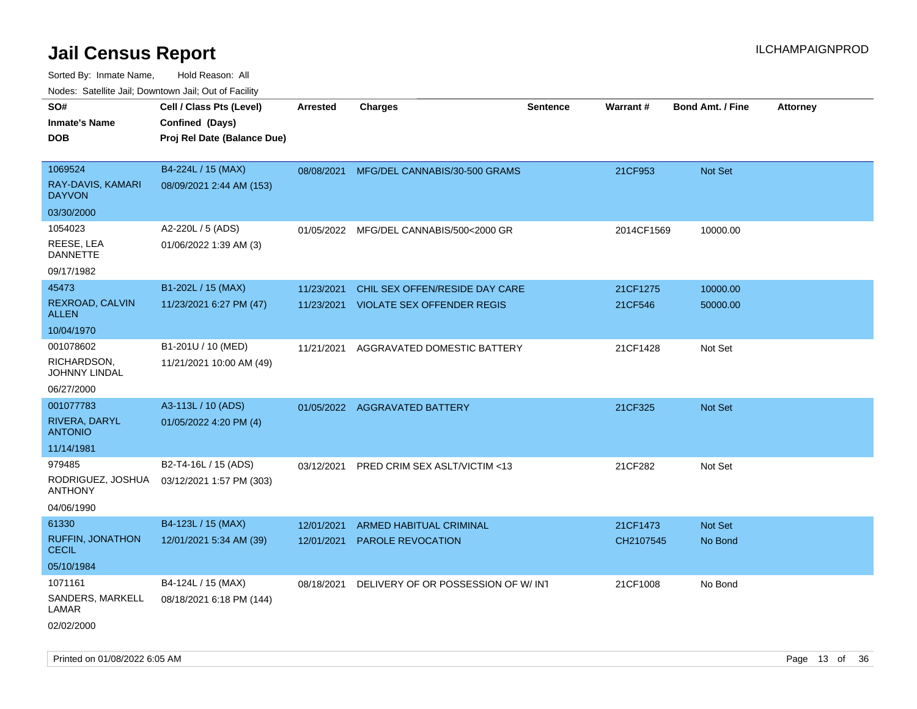| rouco. Calcinic Jan, Downtown Jan, Out of Facility |                                                                            |                          |                                                                     |                 |                       |                           |                 |
|----------------------------------------------------|----------------------------------------------------------------------------|--------------------------|---------------------------------------------------------------------|-----------------|-----------------------|---------------------------|-----------------|
| SO#<br>Inmate's Name<br><b>DOB</b>                 | Cell / Class Pts (Level)<br>Confined (Days)<br>Proj Rel Date (Balance Due) | <b>Arrested</b>          | <b>Charges</b>                                                      | <b>Sentence</b> | <b>Warrant#</b>       | <b>Bond Amt. / Fine</b>   | <b>Attorney</b> |
|                                                    |                                                                            |                          |                                                                     |                 |                       |                           |                 |
| 1069524<br>RAY-DAVIS, KAMARI<br><b>DAYVON</b>      | B4-224L / 15 (MAX)<br>08/09/2021 2:44 AM (153)                             |                          | 08/08/2021 MFG/DEL CANNABIS/30-500 GRAMS                            |                 | 21CF953               | <b>Not Set</b>            |                 |
| 03/30/2000                                         |                                                                            |                          |                                                                     |                 |                       |                           |                 |
| 1054023<br>REESE, LEA<br><b>DANNETTE</b>           | A2-220L / 5 (ADS)<br>01/06/2022 1:39 AM (3)                                | 01/05/2022               | MFG/DEL CANNABIS/500<2000 GR                                        |                 | 2014CF1569            | 10000.00                  |                 |
| 09/17/1982                                         |                                                                            |                          |                                                                     |                 |                       |                           |                 |
| 45473<br>REXROAD, CALVIN<br>ALLEN                  | B1-202L / 15 (MAX)<br>11/23/2021 6:27 PM (47)                              | 11/23/2021<br>11/23/2021 | CHIL SEX OFFEN/RESIDE DAY CARE<br><b>VIOLATE SEX OFFENDER REGIS</b> |                 | 21CF1275<br>21CF546   | 10000.00<br>50000.00      |                 |
| 10/04/1970                                         |                                                                            |                          |                                                                     |                 |                       |                           |                 |
| 001078602<br>RICHARDSON,<br>JOHNNY LINDAL          | B1-201U / 10 (MED)<br>11/21/2021 10:00 AM (49)                             | 11/21/2021               | AGGRAVATED DOMESTIC BATTERY                                         |                 | 21CF1428              | Not Set                   |                 |
| 06/27/2000                                         |                                                                            |                          |                                                                     |                 |                       |                           |                 |
| 001077783                                          | A3-113L / 10 (ADS)                                                         |                          | 01/05/2022 AGGRAVATED BATTERY                                       |                 | 21CF325               | Not Set                   |                 |
| RIVERA, DARYL<br><b>ANTONIO</b>                    | 01/05/2022 4:20 PM (4)                                                     |                          |                                                                     |                 |                       |                           |                 |
| 11/14/1981                                         |                                                                            |                          |                                                                     |                 |                       |                           |                 |
| 979485                                             | B2-T4-16L / 15 (ADS)                                                       | 03/12/2021               | PRED CRIM SEX ASLT/VICTIM <13                                       |                 | 21CF282               | Not Set                   |                 |
| ANTHONY                                            | RODRIGUEZ, JOSHUA 03/12/2021 1:57 PM (303)                                 |                          |                                                                     |                 |                       |                           |                 |
| 04/06/1990                                         |                                                                            |                          |                                                                     |                 |                       |                           |                 |
| 61330<br><b>RUFFIN, JONATHON</b><br>CECIL          | B4-123L / 15 (MAX)<br>12/01/2021 5:34 AM (39)                              | 12/01/2021<br>12/01/2021 | ARMED HABITUAL CRIMINAL<br><b>PAROLE REVOCATION</b>                 |                 | 21CF1473<br>CH2107545 | <b>Not Set</b><br>No Bond |                 |
| 05/10/1984                                         |                                                                            |                          |                                                                     |                 |                       |                           |                 |
| 1071161                                            | B4-124L / 15 (MAX)                                                         | 08/18/2021               | DELIVERY OF OR POSSESSION OF W/INT                                  |                 | 21CF1008              | No Bond                   |                 |
| SANDERS, MARKELL<br>LAMAR                          | 08/18/2021 6:18 PM (144)                                                   |                          |                                                                     |                 |                       |                           |                 |
| 02/02/2000                                         |                                                                            |                          |                                                                     |                 |                       |                           |                 |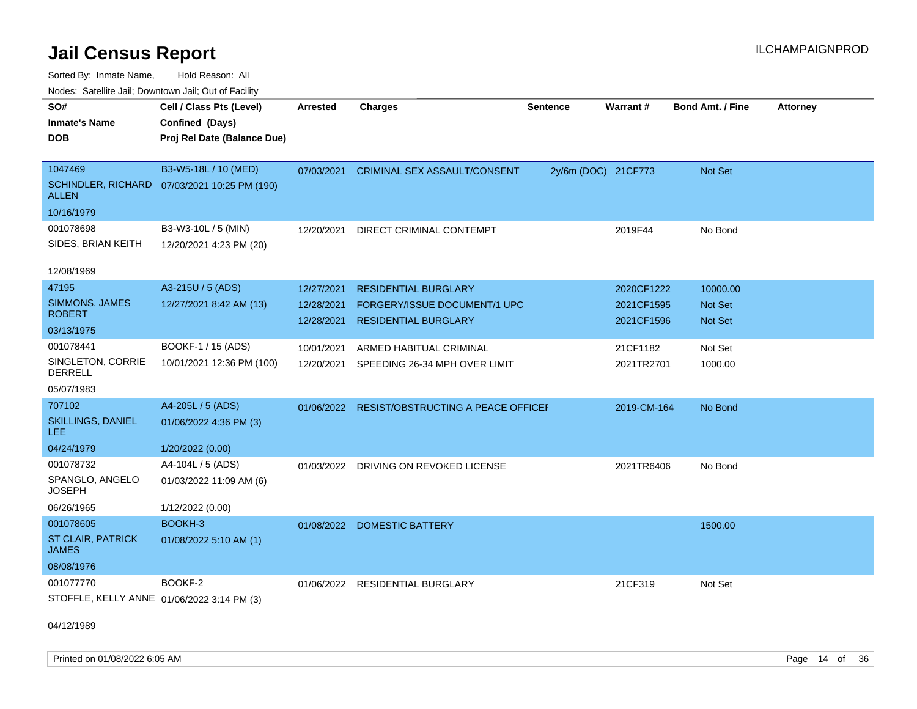Sorted By: Inmate Name, Hold Reason: All Nodes: Satellite Jail; Downtown Jail; Out of Facility

| SO#                                        | Cell / Class Pts (Level)                     | <b>Arrested</b> | <b>Charges</b>                            | <b>Sentence</b>     | Warrant#    | <b>Bond Amt. / Fine</b> | <b>Attorney</b> |
|--------------------------------------------|----------------------------------------------|-----------------|-------------------------------------------|---------------------|-------------|-------------------------|-----------------|
| <b>Inmate's Name</b>                       | Confined (Days)                              |                 |                                           |                     |             |                         |                 |
| <b>DOB</b>                                 | Proj Rel Date (Balance Due)                  |                 |                                           |                     |             |                         |                 |
|                                            |                                              |                 |                                           |                     |             |                         |                 |
| 1047469                                    | B3-W5-18L / 10 (MED)                         | 07/03/2021      | <b>CRIMINAL SEX ASSAULT/CONSENT</b>       | 2y/6m (DOC) 21CF773 |             | Not Set                 |                 |
| <b>ALLEN</b>                               | SCHINDLER, RICHARD 07/03/2021 10:25 PM (190) |                 |                                           |                     |             |                         |                 |
| 10/16/1979                                 |                                              |                 |                                           |                     |             |                         |                 |
| 001078698                                  | B3-W3-10L / 5 (MIN)                          | 12/20/2021      | DIRECT CRIMINAL CONTEMPT                  |                     | 2019F44     | No Bond                 |                 |
| SIDES, BRIAN KEITH                         | 12/20/2021 4:23 PM (20)                      |                 |                                           |                     |             |                         |                 |
|                                            |                                              |                 |                                           |                     |             |                         |                 |
| 12/08/1969                                 |                                              |                 |                                           |                     |             |                         |                 |
| 47195                                      | A3-215U / 5 (ADS)                            | 12/27/2021      | <b>RESIDENTIAL BURGLARY</b>               |                     | 2020CF1222  | 10000.00                |                 |
| SIMMONS, JAMES                             | 12/27/2021 8:42 AM (13)                      | 12/28/2021      | FORGERY/ISSUE DOCUMENT/1 UPC              |                     | 2021CF1595  | Not Set                 |                 |
| <b>ROBERT</b>                              |                                              | 12/28/2021      | <b>RESIDENTIAL BURGLARY</b>               |                     | 2021CF1596  | Not Set                 |                 |
| 03/13/1975                                 |                                              |                 |                                           |                     |             |                         |                 |
| 001078441                                  | BOOKF-1 / 15 (ADS)                           | 10/01/2021      | ARMED HABITUAL CRIMINAL                   |                     | 21CF1182    | Not Set                 |                 |
| SINGLETON, CORRIE<br><b>DERRELL</b>        | 10/01/2021 12:36 PM (100)                    | 12/20/2021      | SPEEDING 26-34 MPH OVER LIMIT             |                     | 2021TR2701  | 1000.00                 |                 |
| 05/07/1983                                 |                                              |                 |                                           |                     |             |                         |                 |
| 707102                                     | A4-205L / 5 (ADS)                            | 01/06/2022      | <b>RESIST/OBSTRUCTING A PEACE OFFICEF</b> |                     | 2019-CM-164 | No Bond                 |                 |
| SKILLINGS, DANIEL<br>LEE.                  | 01/06/2022 4:36 PM (3)                       |                 |                                           |                     |             |                         |                 |
| 04/24/1979                                 | 1/20/2022 (0.00)                             |                 |                                           |                     |             |                         |                 |
| 001078732                                  | A4-104L / 5 (ADS)                            | 01/03/2022      | DRIVING ON REVOKED LICENSE                |                     | 2021TR6406  | No Bond                 |                 |
| SPANGLO, ANGELO<br><b>JOSEPH</b>           | 01/03/2022 11:09 AM (6)                      |                 |                                           |                     |             |                         |                 |
| 06/26/1965                                 | 1/12/2022 (0.00)                             |                 |                                           |                     |             |                         |                 |
| 001078605                                  | BOOKH-3                                      | 01/08/2022      | DOMESTIC BATTERY                          |                     |             | 1500.00                 |                 |
| <b>ST CLAIR, PATRICK</b><br><b>JAMES</b>   | 01/08/2022 5:10 AM (1)                       |                 |                                           |                     |             |                         |                 |
| 08/08/1976                                 |                                              |                 |                                           |                     |             |                         |                 |
| 001077770                                  | BOOKF-2                                      |                 | 01/06/2022 RESIDENTIAL BURGLARY           |                     | 21CF319     | Not Set                 |                 |
| STOFFLE, KELLY ANNE 01/06/2022 3:14 PM (3) |                                              |                 |                                           |                     |             |                         |                 |
|                                            |                                              |                 |                                           |                     |             |                         |                 |

04/12/1989

Printed on 01/08/2022 6:05 AM **Page 14** of 36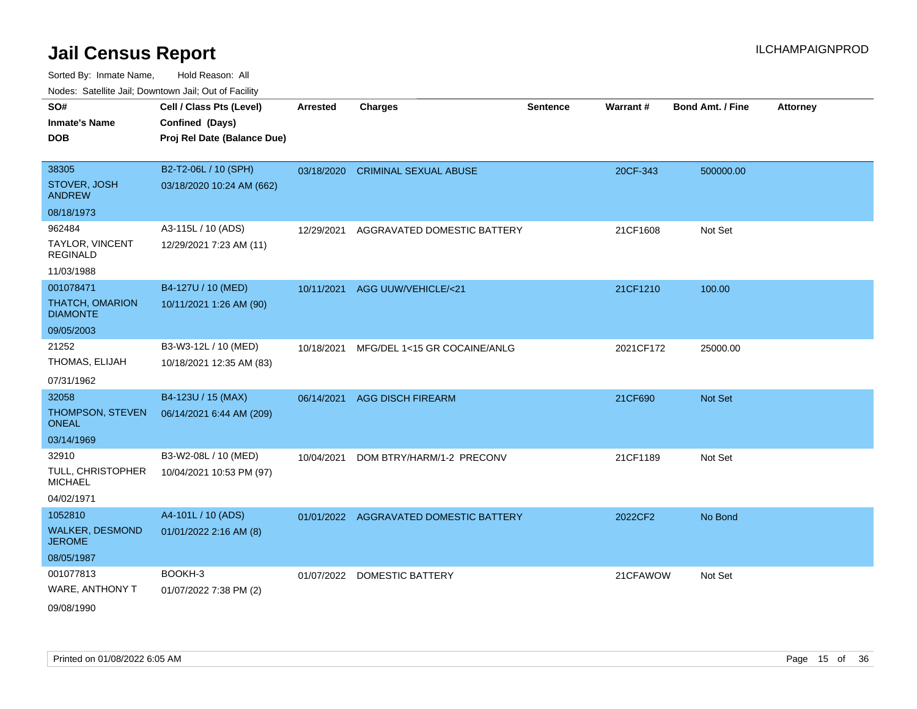| SO#<br><b>Inmate's Name</b>               | Cell / Class Pts (Level)<br>Confined (Days) | Arrested   | <b>Charges</b>                         | <b>Sentence</b> | Warrant#  | Bond Amt. / Fine | <b>Attorney</b> |
|-------------------------------------------|---------------------------------------------|------------|----------------------------------------|-----------------|-----------|------------------|-----------------|
| <b>DOB</b>                                | Proj Rel Date (Balance Due)                 |            |                                        |                 |           |                  |                 |
| 38305                                     | B2-T2-06L / 10 (SPH)                        |            | 03/18/2020 CRIMINAL SEXUAL ABUSE       |                 | 20CF-343  | 500000.00        |                 |
| STOVER, JOSH<br><b>ANDREW</b>             | 03/18/2020 10:24 AM (662)                   |            |                                        |                 |           |                  |                 |
| 08/18/1973                                |                                             |            |                                        |                 |           |                  |                 |
| 962484                                    | A3-115L / 10 (ADS)                          | 12/29/2021 | AGGRAVATED DOMESTIC BATTERY            |                 | 21CF1608  | Not Set          |                 |
| TAYLOR, VINCENT<br><b>REGINALD</b>        | 12/29/2021 7:23 AM (11)                     |            |                                        |                 |           |                  |                 |
| 11/03/1988                                |                                             |            |                                        |                 |           |                  |                 |
| 001078471                                 | B4-127U / 10 (MED)                          |            | 10/11/2021 AGG UUW/VEHICLE/<21         |                 | 21CF1210  | 100.00           |                 |
| <b>THATCH, OMARION</b><br><b>DIAMONTE</b> | 10/11/2021 1:26 AM (90)                     |            |                                        |                 |           |                  |                 |
| 09/05/2003                                |                                             |            |                                        |                 |           |                  |                 |
| 21252                                     | B3-W3-12L / 10 (MED)                        | 10/18/2021 | MFG/DEL 1<15 GR COCAINE/ANLG           |                 | 2021CF172 | 25000.00         |                 |
| THOMAS, ELIJAH                            | 10/18/2021 12:35 AM (83)                    |            |                                        |                 |           |                  |                 |
| 07/31/1962                                |                                             |            |                                        |                 |           |                  |                 |
| 32058                                     | B4-123U / 15 (MAX)                          |            | 06/14/2021 AGG DISCH FIREARM           |                 | 21CF690   | Not Set          |                 |
| THOMPSON, STEVEN<br><b>ONEAL</b>          | 06/14/2021 6:44 AM (209)                    |            |                                        |                 |           |                  |                 |
| 03/14/1969                                |                                             |            |                                        |                 |           |                  |                 |
| 32910                                     | B3-W2-08L / 10 (MED)                        | 10/04/2021 | DOM BTRY/HARM/1-2 PRECONV              |                 | 21CF1189  | Not Set          |                 |
| TULL, CHRISTOPHER<br><b>MICHAEL</b>       | 10/04/2021 10:53 PM (97)                    |            |                                        |                 |           |                  |                 |
| 04/02/1971                                |                                             |            |                                        |                 |           |                  |                 |
| 1052810                                   | A4-101L / 10 (ADS)                          |            | 01/01/2022 AGGRAVATED DOMESTIC BATTERY |                 | 2022CF2   | No Bond          |                 |
| <b>WALKER, DESMOND</b><br><b>JEROME</b>   | 01/01/2022 2:16 AM (8)                      |            |                                        |                 |           |                  |                 |
| 08/05/1987                                |                                             |            |                                        |                 |           |                  |                 |
| 001077813                                 | BOOKH-3                                     |            | 01/07/2022 DOMESTIC BATTERY            |                 | 21CFAWOW  | Not Set          |                 |
| WARE, ANTHONY T                           | 01/07/2022 7:38 PM (2)                      |            |                                        |                 |           |                  |                 |
| 09/08/1990                                |                                             |            |                                        |                 |           |                  |                 |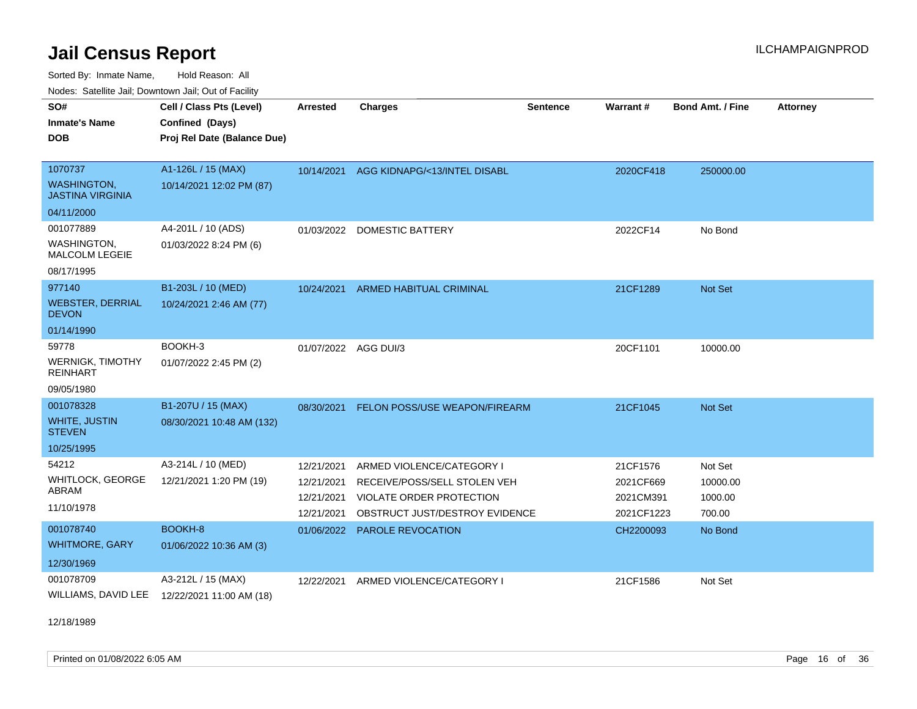Sorted By: Inmate Name, Hold Reason: All Nodes: Satellite Jail; Downtown Jail; Out of Facility

| SO#<br><b>Inmate's Name</b><br><b>DOB</b>                         | Cell / Class Pts (Level)<br>Confined (Days)<br>Proj Rel Date (Balance Due) | <b>Arrested</b>      | <b>Charges</b>                          | <b>Sentence</b> | <b>Warrant#</b> | <b>Bond Amt. / Fine</b> | <b>Attorney</b> |
|-------------------------------------------------------------------|----------------------------------------------------------------------------|----------------------|-----------------------------------------|-----------------|-----------------|-------------------------|-----------------|
| 1070737<br><b>WASHINGTON.</b><br><b>JASTINA VIRGINIA</b>          | A1-126L / 15 (MAX)<br>10/14/2021 12:02 PM (87)                             |                      | 10/14/2021 AGG KIDNAPG/<13/INTEL DISABL |                 | 2020CF418       | 250000.00               |                 |
| 04/11/2000                                                        |                                                                            |                      |                                         |                 |                 |                         |                 |
| 001077889<br>WASHINGTON,<br>MALCOLM LEGEIE                        | A4-201L / 10 (ADS)<br>01/03/2022 8:24 PM (6)                               |                      | 01/03/2022 DOMESTIC BATTERY             |                 | 2022CF14        | No Bond                 |                 |
| 08/17/1995                                                        |                                                                            |                      |                                         |                 |                 |                         |                 |
| 977140<br><b>WEBSTER, DERRIAL</b><br><b>DEVON</b>                 | B1-203L / 10 (MED)<br>10/24/2021 2:46 AM (77)                              | 10/24/2021           | <b>ARMED HABITUAL CRIMINAL</b>          |                 | 21CF1289        | <b>Not Set</b>          |                 |
| 01/14/1990                                                        |                                                                            |                      |                                         |                 |                 |                         |                 |
| 59778<br><b>WERNIGK, TIMOTHY</b><br><b>REINHART</b><br>09/05/1980 | BOOKH-3<br>01/07/2022 2:45 PM (2)                                          | 01/07/2022 AGG DUI/3 |                                         |                 | 20CF1101        | 10000.00                |                 |
| 001078328                                                         | B1-207U / 15 (MAX)                                                         | 08/30/2021           | FELON POSS/USE WEAPON/FIREARM           |                 | 21CF1045        | <b>Not Set</b>          |                 |
| <b>WHITE, JUSTIN</b><br><b>STEVEN</b>                             | 08/30/2021 10:48 AM (132)                                                  |                      |                                         |                 |                 |                         |                 |
| 10/25/1995                                                        |                                                                            |                      |                                         |                 |                 |                         |                 |
| 54212                                                             | A3-214L / 10 (MED)                                                         | 12/21/2021           | ARMED VIOLENCE/CATEGORY I               |                 | 21CF1576        | Not Set                 |                 |
| <b>WHITLOCK, GEORGE</b><br>ABRAM                                  | 12/21/2021 1:20 PM (19)                                                    | 12/21/2021           | RECEIVE/POSS/SELL STOLEN VEH            |                 | 2021CF669       | 10000.00                |                 |
| 11/10/1978                                                        |                                                                            | 12/21/2021           | <b>VIOLATE ORDER PROTECTION</b>         |                 | 2021CM391       | 1000.00                 |                 |
|                                                                   |                                                                            | 12/21/2021           | OBSTRUCT JUST/DESTROY EVIDENCE          |                 | 2021CF1223      | 700.00                  |                 |
| 001078740<br><b>WHITMORE, GARY</b>                                | BOOKH-8<br>01/06/2022 10:36 AM (3)                                         | 01/06/2022           | PAROLE REVOCATION                       |                 | CH2200093       | No Bond                 |                 |
| 12/30/1969                                                        |                                                                            |                      |                                         |                 |                 |                         |                 |
| 001078709<br>WILLIAMS, DAVID LEE                                  | A3-212L / 15 (MAX)<br>12/22/2021 11:00 AM (18)                             | 12/22/2021           | ARMED VIOLENCE/CATEGORY I               |                 | 21CF1586        | Not Set                 |                 |

12/18/1989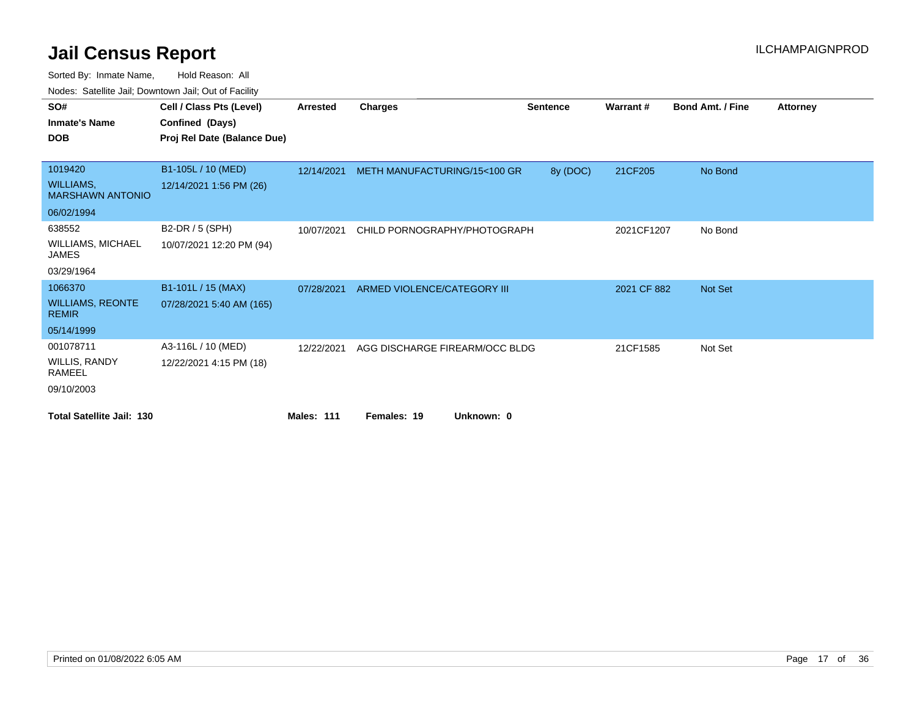Sorted By: Inmate Name, Hold Reason: All

Nodes: Satellite Jail; Downtown Jail; Out of Facility

| SO#                                         | Cell / Class Pts (Level)    | <b>Arrested</b>   | <b>Charges</b>                 | <b>Sentence</b> | Warrant#    | <b>Bond Amt. / Fine</b> | <b>Attorney</b> |
|---------------------------------------------|-----------------------------|-------------------|--------------------------------|-----------------|-------------|-------------------------|-----------------|
| <b>Inmate's Name</b>                        | Confined (Days)             |                   |                                |                 |             |                         |                 |
| <b>DOB</b>                                  | Proj Rel Date (Balance Due) |                   |                                |                 |             |                         |                 |
|                                             |                             |                   |                                |                 |             |                         |                 |
| 1019420                                     | B1-105L / 10 (MED)          | 12/14/2021        | METH MANUFACTURING/15<100 GR   | 8y (DOC)        | 21CF205     | No Bond                 |                 |
| <b>WILLIAMS,</b><br><b>MARSHAWN ANTONIO</b> | 12/14/2021 1:56 PM (26)     |                   |                                |                 |             |                         |                 |
| 06/02/1994                                  |                             |                   |                                |                 |             |                         |                 |
| 638552                                      | B2-DR / 5 (SPH)             | 10/07/2021        | CHILD PORNOGRAPHY/PHOTOGRAPH   |                 | 2021CF1207  | No Bond                 |                 |
| <b>WILLIAMS, MICHAEL</b><br>JAMES           | 10/07/2021 12:20 PM (94)    |                   |                                |                 |             |                         |                 |
| 03/29/1964                                  |                             |                   |                                |                 |             |                         |                 |
| 1066370                                     | B1-101L / 15 (MAX)          | 07/28/2021        | ARMED VIOLENCE/CATEGORY III    |                 | 2021 CF 882 | Not Set                 |                 |
| <b>WILLIAMS, REONTE</b><br><b>REMIR</b>     | 07/28/2021 5:40 AM (165)    |                   |                                |                 |             |                         |                 |
| 05/14/1999                                  |                             |                   |                                |                 |             |                         |                 |
| 001078711                                   | A3-116L / 10 (MED)          | 12/22/2021        | AGG DISCHARGE FIREARM/OCC BLDG |                 | 21CF1585    | Not Set                 |                 |
| WILLIS, RANDY<br>RAMEEL                     | 12/22/2021 4:15 PM (18)     |                   |                                |                 |             |                         |                 |
| 09/10/2003                                  |                             |                   |                                |                 |             |                         |                 |
| <b>Total Satellite Jail: 130</b>            |                             | <b>Males: 111</b> | Females: 19<br>Unknown: 0      |                 |             |                         |                 |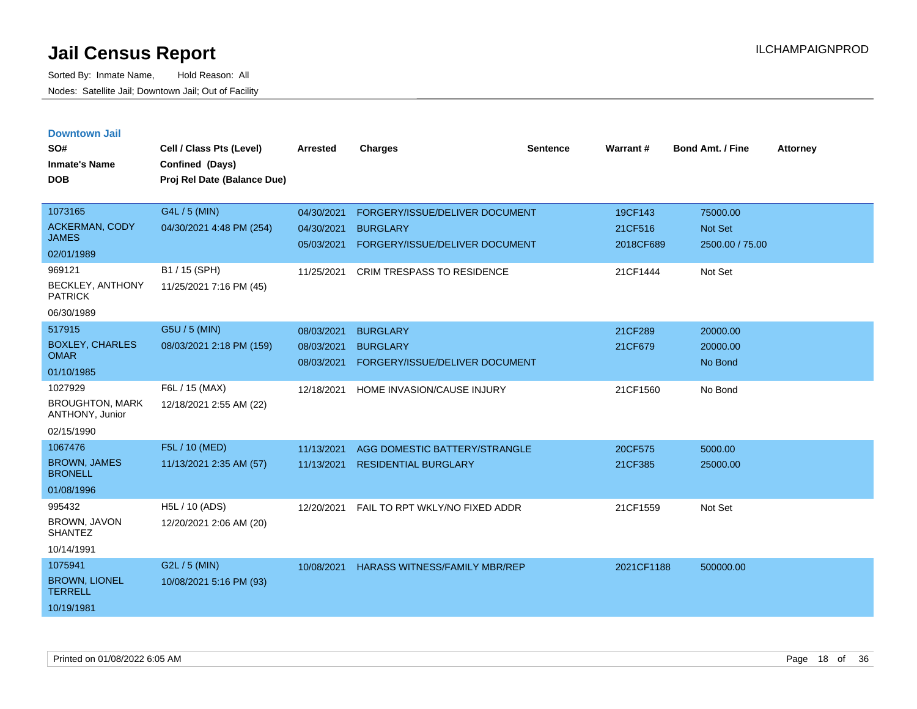| <b>Downtown Jail</b> |  |  |
|----------------------|--|--|
|                      |  |  |

| SO#<br><b>Inmate's Name</b><br><b>DOB</b>                                                                                           | Cell / Class Pts (Level)<br>Confined (Days)<br>Proj Rel Date (Balance Due)             | Arrested                                             | <b>Charges</b>                                                                                                           | <b>Sentence</b> | Warrant#                                    | Bond Amt. / Fine                                  | Attorney |
|-------------------------------------------------------------------------------------------------------------------------------------|----------------------------------------------------------------------------------------|------------------------------------------------------|--------------------------------------------------------------------------------------------------------------------------|-----------------|---------------------------------------------|---------------------------------------------------|----------|
| 1073165<br><b>ACKERMAN, CODY</b><br><b>JAMES</b><br>02/01/1989<br>969121<br>BECKLEY, ANTHONY<br><b>PATRICK</b><br>06/30/1989        | G4L / 5 (MIN)<br>04/30/2021 4:48 PM (254)<br>B1 / 15 (SPH)<br>11/25/2021 7:16 PM (45)  | 04/30/2021<br>04/30/2021<br>05/03/2021<br>11/25/2021 | FORGERY/ISSUE/DELIVER DOCUMENT<br><b>BURGLARY</b><br>FORGERY/ISSUE/DELIVER DOCUMENT<br><b>CRIM TRESPASS TO RESIDENCE</b> |                 | 19CF143<br>21CF516<br>2018CF689<br>21CF1444 | 75000.00<br>Not Set<br>2500.00 / 75.00<br>Not Set |          |
| 517915<br><b>BOXLEY, CHARLES</b><br><b>OMAR</b><br>01/10/1985<br>1027929<br><b>BROUGHTON, MARK</b><br>ANTHONY, Junior<br>02/15/1990 | G5U / 5 (MIN)<br>08/03/2021 2:18 PM (159)<br>F6L / 15 (MAX)<br>12/18/2021 2:55 AM (22) | 08/03/2021<br>08/03/2021<br>08/03/2021<br>12/18/2021 | <b>BURGLARY</b><br><b>BURGLARY</b><br>FORGERY/ISSUE/DELIVER DOCUMENT<br>HOME INVASION/CAUSE INJURY                       |                 | 21CF289<br>21CF679<br>21CF1560              | 20000.00<br>20000.00<br>No Bond<br>No Bond        |          |
| 1067476<br><b>BROWN, JAMES</b><br><b>BRONELL</b><br>01/08/1996<br>995432<br><b>BROWN, JAVON</b><br><b>SHANTEZ</b><br>10/14/1991     | F5L / 10 (MED)<br>11/13/2021 2:35 AM (57)<br>H5L / 10 (ADS)<br>12/20/2021 2:06 AM (20) | 11/13/2021<br>11/13/2021<br>12/20/2021               | AGG DOMESTIC BATTERY/STRANGLE<br><b>RESIDENTIAL BURGLARY</b><br>FAIL TO RPT WKLY/NO FIXED ADDR                           |                 | 20CF575<br>21CF385<br>21CF1559              | 5000.00<br>25000.00<br>Not Set                    |          |
| 1075941<br><b>BROWN, LIONEL</b><br><b>TERRELL</b><br>10/19/1981                                                                     | G2L / 5 (MIN)<br>10/08/2021 5:16 PM (93)                                               | 10/08/2021                                           | <b>HARASS WITNESS/FAMILY MBR/REP</b>                                                                                     |                 | 2021CF1188                                  | 500000.00                                         |          |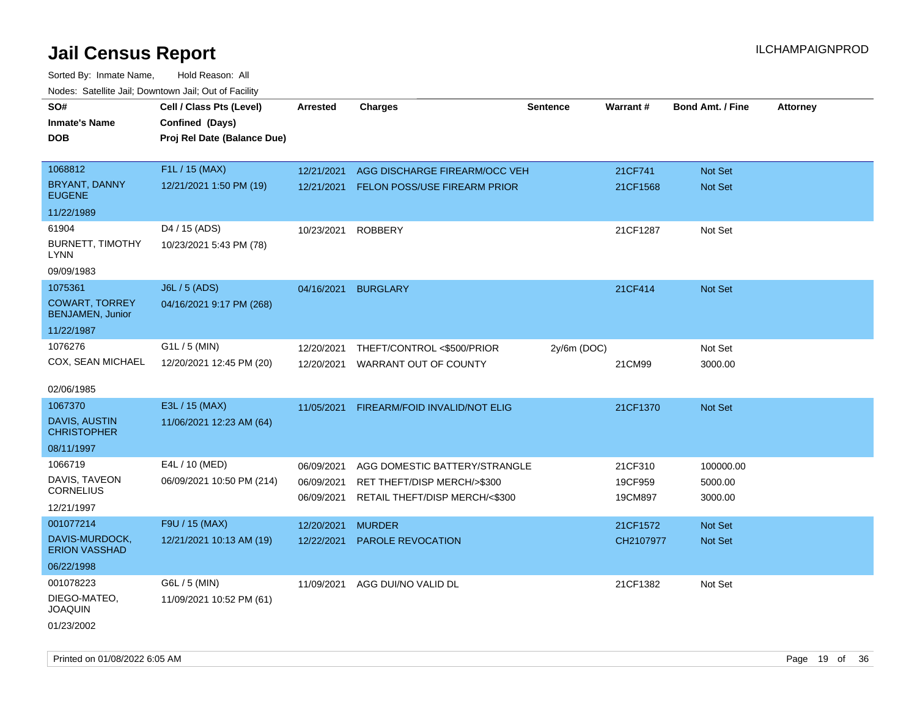Sorted By: Inmate Name, Hold Reason: All Nodes: Satellite Jail; Downtown Jail; Out of Facility

| SO#                                              | Cell / Class Pts (Level)    | <b>Arrested</b> | <b>Charges</b>                      | <b>Sentence</b> | Warrant#  | <b>Bond Amt. / Fine</b> | <b>Attorney</b> |
|--------------------------------------------------|-----------------------------|-----------------|-------------------------------------|-----------------|-----------|-------------------------|-----------------|
| <b>Inmate's Name</b>                             | Confined (Days)             |                 |                                     |                 |           |                         |                 |
| <b>DOB</b>                                       | Proj Rel Date (Balance Due) |                 |                                     |                 |           |                         |                 |
|                                                  |                             |                 |                                     |                 |           |                         |                 |
| 1068812                                          | F1L / 15 (MAX)              | 12/21/2021      | AGG DISCHARGE FIREARM/OCC VEH       |                 | 21CF741   | Not Set                 |                 |
| <b>BRYANT, DANNY</b><br><b>EUGENE</b>            | 12/21/2021 1:50 PM (19)     | 12/21/2021      | <b>FELON POSS/USE FIREARM PRIOR</b> |                 | 21CF1568  | Not Set                 |                 |
| 11/22/1989                                       |                             |                 |                                     |                 |           |                         |                 |
| 61904                                            | D4 / 15 (ADS)               | 10/23/2021      | <b>ROBBERY</b>                      |                 | 21CF1287  | Not Set                 |                 |
| <b>BURNETT, TIMOTHY</b><br><b>LYNN</b>           | 10/23/2021 5:43 PM (78)     |                 |                                     |                 |           |                         |                 |
| 09/09/1983                                       |                             |                 |                                     |                 |           |                         |                 |
| 1075361                                          | <b>J6L / 5 (ADS)</b>        | 04/16/2021      | <b>BURGLARY</b>                     |                 | 21CF414   | Not Set                 |                 |
| <b>COWART, TORREY</b><br><b>BENJAMEN, Junior</b> | 04/16/2021 9:17 PM (268)    |                 |                                     |                 |           |                         |                 |
| 11/22/1987                                       |                             |                 |                                     |                 |           |                         |                 |
| 1076276                                          | $G1L / 5$ (MIN)             | 12/20/2021      | THEFT/CONTROL <\$500/PRIOR          | 2y/6m (DOC)     |           | Not Set                 |                 |
| COX, SEAN MICHAEL                                | 12/20/2021 12:45 PM (20)    | 12/20/2021      | WARRANT OUT OF COUNTY               |                 | 21CM99    | 3000.00                 |                 |
|                                                  |                             |                 |                                     |                 |           |                         |                 |
| 02/06/1985                                       |                             |                 |                                     |                 |           |                         |                 |
| 1067370                                          | E3L / 15 (MAX)              | 11/05/2021      | FIREARM/FOID INVALID/NOT ELIG       |                 | 21CF1370  | <b>Not Set</b>          |                 |
| <b>DAVIS, AUSTIN</b><br><b>CHRISTOPHER</b>       | 11/06/2021 12:23 AM (64)    |                 |                                     |                 |           |                         |                 |
| 08/11/1997                                       |                             |                 |                                     |                 |           |                         |                 |
| 1066719                                          | E4L / 10 (MED)              | 06/09/2021      | AGG DOMESTIC BATTERY/STRANGLE       |                 | 21CF310   | 100000.00               |                 |
| DAVIS, TAVEON                                    | 06/09/2021 10:50 PM (214)   | 06/09/2021      | RET THEFT/DISP MERCH/>\$300         |                 | 19CF959   | 5000.00                 |                 |
| <b>CORNELIUS</b>                                 |                             | 06/09/2021      | RETAIL THEFT/DISP MERCH/<\$300      |                 | 19CM897   | 3000.00                 |                 |
| 12/21/1997                                       |                             |                 |                                     |                 |           |                         |                 |
| 001077214                                        | F9U / 15 (MAX)              | 12/20/2021      | <b>MURDER</b>                       |                 | 21CF1572  | Not Set                 |                 |
| DAVIS-MURDOCK,<br><b>ERION VASSHAD</b>           | 12/21/2021 10:13 AM (19)    | 12/22/2021      | PAROLE REVOCATION                   |                 | CH2107977 | Not Set                 |                 |
| 06/22/1998                                       |                             |                 |                                     |                 |           |                         |                 |
| 001078223                                        | G6L / 5 (MIN)               | 11/09/2021      | AGG DUI/NO VALID DL                 |                 | 21CF1382  | Not Set                 |                 |
| DIEGO-MATEO,<br><b>JOAQUIN</b>                   | 11/09/2021 10:52 PM (61)    |                 |                                     |                 |           |                         |                 |
| 01/23/2002                                       |                             |                 |                                     |                 |           |                         |                 |

Printed on 01/08/2022 6:05 AM **Page 19 of 36**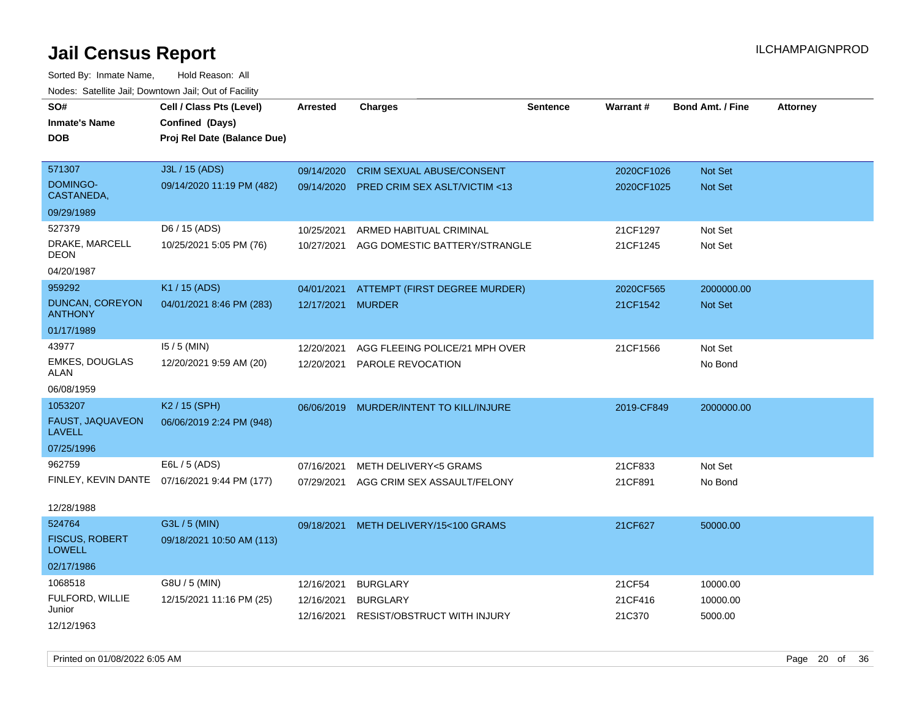| roaco. Oatomto dan, Downtown dan, Oat or Fability |                                              |                 |                                         |                 |            |                         |                 |
|---------------------------------------------------|----------------------------------------------|-----------------|-----------------------------------------|-----------------|------------|-------------------------|-----------------|
| SO#                                               | Cell / Class Pts (Level)                     | <b>Arrested</b> | <b>Charges</b>                          | <b>Sentence</b> | Warrant#   | <b>Bond Amt. / Fine</b> | <b>Attorney</b> |
| <b>Inmate's Name</b>                              | Confined (Days)                              |                 |                                         |                 |            |                         |                 |
| <b>DOB</b>                                        | Proj Rel Date (Balance Due)                  |                 |                                         |                 |            |                         |                 |
|                                                   |                                              |                 |                                         |                 |            |                         |                 |
| 571307                                            | J3L / 15 (ADS)                               | 09/14/2020      | <b>CRIM SEXUAL ABUSE/CONSENT</b>        |                 | 2020CF1026 | Not Set                 |                 |
| <b>DOMINGO-</b><br>CASTANEDA,                     | 09/14/2020 11:19 PM (482)                    | 09/14/2020      | <b>PRED CRIM SEX ASLT/VICTIM &lt;13</b> |                 | 2020CF1025 | <b>Not Set</b>          |                 |
| 09/29/1989                                        |                                              |                 |                                         |                 |            |                         |                 |
| 527379                                            | D6 / 15 (ADS)                                | 10/25/2021      | ARMED HABITUAL CRIMINAL                 |                 | 21CF1297   | Not Set                 |                 |
| DRAKE, MARCELL<br><b>DEON</b>                     | 10/25/2021 5:05 PM (76)                      | 10/27/2021      | AGG DOMESTIC BATTERY/STRANGLE           |                 | 21CF1245   | Not Set                 |                 |
| 04/20/1987                                        |                                              |                 |                                         |                 |            |                         |                 |
| 959292                                            | K1 / 15 (ADS)                                | 04/01/2021      | ATTEMPT (FIRST DEGREE MURDER)           |                 | 2020CF565  | 2000000.00              |                 |
| <b>DUNCAN, COREYON</b><br><b>ANTHONY</b>          | 04/01/2021 8:46 PM (283)                     | 12/17/2021      | <b>MURDER</b>                           |                 | 21CF1542   | <b>Not Set</b>          |                 |
| 01/17/1989                                        |                                              |                 |                                         |                 |            |                         |                 |
| 43977                                             | $15/5$ (MIN)                                 | 12/20/2021      | AGG FLEEING POLICE/21 MPH OVER          |                 | 21CF1566   | Not Set                 |                 |
| <b>EMKES, DOUGLAS</b><br>ALAN                     | 12/20/2021 9:59 AM (20)                      | 12/20/2021      | PAROLE REVOCATION                       |                 |            | No Bond                 |                 |
| 06/08/1959                                        |                                              |                 |                                         |                 |            |                         |                 |
| 1053207                                           | K <sub>2</sub> / 15 (SPH)                    | 06/06/2019      | MURDER/INTENT TO KILL/INJURE            |                 | 2019-CF849 | 2000000.00              |                 |
| FAUST, JAQUAVEON<br><b>LAVELL</b>                 | 06/06/2019 2:24 PM (948)                     |                 |                                         |                 |            |                         |                 |
| 07/25/1996                                        |                                              |                 |                                         |                 |            |                         |                 |
| 962759                                            | E6L / 5 (ADS)                                | 07/16/2021      | <b>METH DELIVERY&lt;5 GRAMS</b>         |                 | 21CF833    | Not Set                 |                 |
|                                                   | FINLEY, KEVIN DANTE 07/16/2021 9:44 PM (177) | 07/29/2021      | AGG CRIM SEX ASSAULT/FELONY             |                 | 21CF891    | No Bond                 |                 |
| 12/28/1988                                        |                                              |                 |                                         |                 |            |                         |                 |
| 524764                                            | G3L / 5 (MIN)                                | 09/18/2021      | METH DELIVERY/15<100 GRAMS              |                 | 21CF627    | 50000.00                |                 |
| <b>FISCUS, ROBERT</b><br><b>LOWELL</b>            | 09/18/2021 10:50 AM (113)                    |                 |                                         |                 |            |                         |                 |
| 02/17/1986                                        |                                              |                 |                                         |                 |            |                         |                 |
| 1068518                                           | G8U / 5 (MIN)                                | 12/16/2021      | <b>BURGLARY</b>                         |                 | 21CF54     | 10000.00                |                 |
| FULFORD, WILLIE                                   | 12/15/2021 11:16 PM (25)                     | 12/16/2021      | <b>BURGLARY</b>                         |                 | 21CF416    | 10000.00                |                 |
| Junior                                            |                                              | 12/16/2021      | <b>RESIST/OBSTRUCT WITH INJURY</b>      |                 | 21C370     | 5000.00                 |                 |
| 12/12/1963                                        |                                              |                 |                                         |                 |            |                         |                 |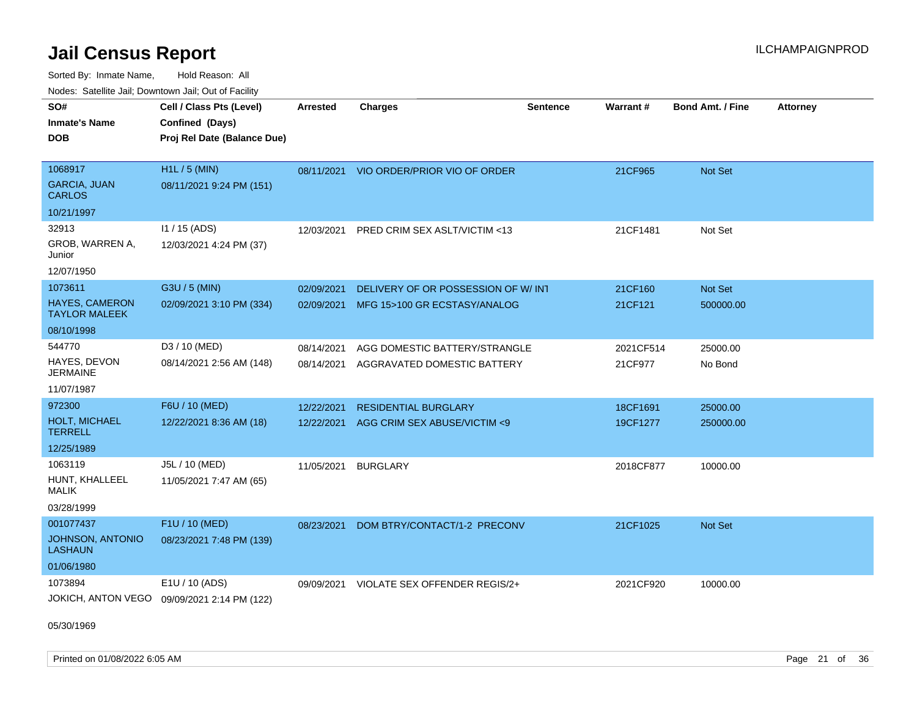Sorted By: Inmate Name, Hold Reason: All Nodes: Satellite Jail; Downtown Jail; Out of Facility

| Noucs. Calcinic Jail, Downtown Jail, Out of Facility |                                             |                 |                                         |                 |           |                         |                 |
|------------------------------------------------------|---------------------------------------------|-----------------|-----------------------------------------|-----------------|-----------|-------------------------|-----------------|
| SO#<br><b>Inmate's Name</b>                          | Cell / Class Pts (Level)<br>Confined (Days) | <b>Arrested</b> | <b>Charges</b>                          | <b>Sentence</b> | Warrant#  | <b>Bond Amt. / Fine</b> | <b>Attorney</b> |
| <b>DOB</b>                                           | Proj Rel Date (Balance Due)                 |                 |                                         |                 |           |                         |                 |
| 1068917                                              | H1L / 5 (MIN)                               |                 | 08/11/2021 VIO ORDER/PRIOR VIO OF ORDER |                 | 21CF965   | Not Set                 |                 |
| <b>GARCIA, JUAN</b><br>CARLOS                        | 08/11/2021 9:24 PM (151)                    |                 |                                         |                 |           |                         |                 |
| 10/21/1997                                           |                                             |                 |                                         |                 |           |                         |                 |
| 32913                                                | 11 / 15 (ADS)                               | 12/03/2021      | PRED CRIM SEX ASLT/VICTIM <13           |                 | 21CF1481  | Not Set                 |                 |
| GROB, WARREN A,<br>Junior                            | 12/03/2021 4:24 PM (37)                     |                 |                                         |                 |           |                         |                 |
| 12/07/1950                                           |                                             |                 |                                         |                 |           |                         |                 |
| 1073611                                              | G3U / 5 (MIN)                               | 02/09/2021      | DELIVERY OF OR POSSESSION OF W/INT      |                 | 21CF160   | Not Set                 |                 |
| HAYES, CAMERON<br>TAYLOR MALEEK                      | 02/09/2021 3:10 PM (334)                    | 02/09/2021      | MFG 15>100 GR ECSTASY/ANALOG            |                 | 21CF121   | 500000.00               |                 |
| 08/10/1998                                           |                                             |                 |                                         |                 |           |                         |                 |
| 544770                                               | D3 / 10 (MED)                               | 08/14/2021      | AGG DOMESTIC BATTERY/STRANGLE           |                 | 2021CF514 | 25000.00                |                 |
| HAYES, DEVON<br>JERMAINE                             | 08/14/2021 2:56 AM (148)                    | 08/14/2021      | AGGRAVATED DOMESTIC BATTERY             |                 | 21CF977   | No Bond                 |                 |
| 11/07/1987                                           |                                             |                 |                                         |                 |           |                         |                 |
| 972300                                               | F6U / 10 (MED)                              | 12/22/2021      | <b>RESIDENTIAL BURGLARY</b>             |                 | 18CF1691  | 25000.00                |                 |
| <b>HOLT, MICHAEL</b><br>TERRELL                      | 12/22/2021 8:36 AM (18)                     | 12/22/2021      | AGG CRIM SEX ABUSE/VICTIM <9            |                 | 19CF1277  | 250000.00               |                 |
| 12/25/1989                                           |                                             |                 |                                         |                 |           |                         |                 |
| 1063119                                              | J5L / 10 (MED)                              | 11/05/2021      | <b>BURGLARY</b>                         |                 | 2018CF877 | 10000.00                |                 |
| HUNT, KHALLEEL<br>MALIK                              | 11/05/2021 7:47 AM (65)                     |                 |                                         |                 |           |                         |                 |
| 03/28/1999                                           |                                             |                 |                                         |                 |           |                         |                 |
| 001077437                                            | F1U / 10 (MED)                              | 08/23/2021      | DOM BTRY/CONTACT/1-2 PRECONV            |                 | 21CF1025  | <b>Not Set</b>          |                 |
| JOHNSON, ANTONIO<br>LASHAUN                          | 08/23/2021 7:48 PM (139)                    |                 |                                         |                 |           |                         |                 |
| 01/06/1980                                           |                                             |                 |                                         |                 |           |                         |                 |
| 1073894                                              | E1U / 10 (ADS)                              | 09/09/2021      | VIOLATE SEX OFFENDER REGIS/2+           |                 | 2021CF920 | 10000.00                |                 |
|                                                      | JOKICH, ANTON VEGO 09/09/2021 2:14 PM (122) |                 |                                         |                 |           |                         |                 |

05/30/1969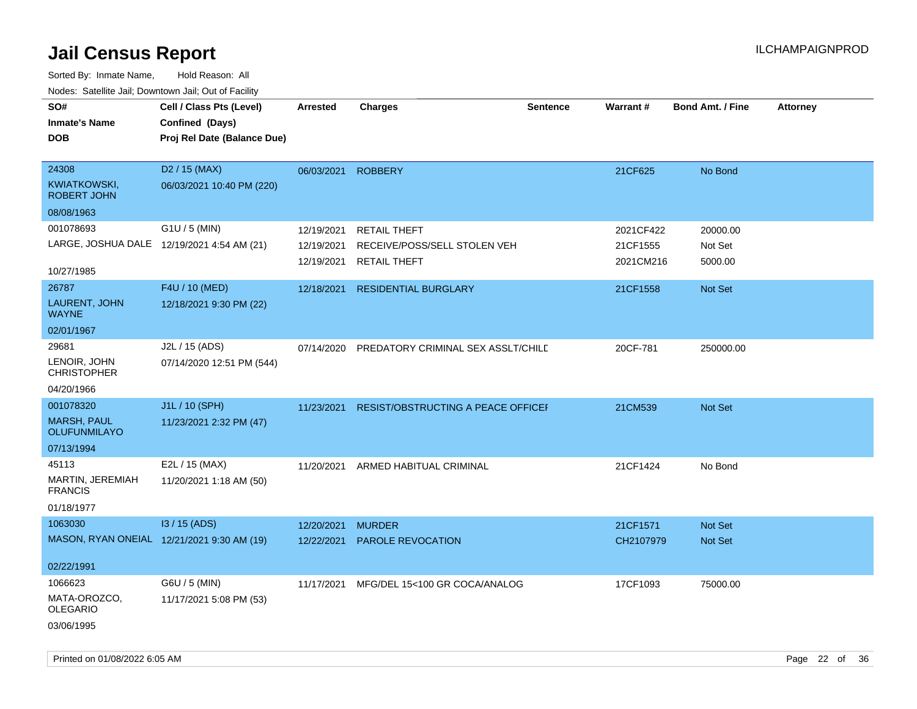| SO#<br><b>Inmate's Name</b><br><b>DOB</b>                             | Cell / Class Pts (Level)<br>Confined (Days)<br>Proj Rel Date (Balance Due) | Arrested                               | <b>Charges</b>                                                             | <b>Sentence</b> | <b>Warrant#</b>                    | <b>Bond Amt. / Fine</b>        | <b>Attorney</b> |
|-----------------------------------------------------------------------|----------------------------------------------------------------------------|----------------------------------------|----------------------------------------------------------------------------|-----------------|------------------------------------|--------------------------------|-----------------|
| 24308<br>KWIATKOWSKI,<br><b>ROBERT JOHN</b><br>08/08/1963             | D <sub>2</sub> / 15 (MAX)<br>06/03/2021 10:40 PM (220)                     | 06/03/2021                             | <b>ROBBERY</b>                                                             |                 | 21CF625                            | No Bond                        |                 |
| 001078693<br>LARGE, JOSHUA DALE 12/19/2021 4:54 AM (21)<br>10/27/1985 | G1U / 5 (MIN)                                                              | 12/19/2021<br>12/19/2021<br>12/19/2021 | <b>RETAIL THEFT</b><br>RECEIVE/POSS/SELL STOLEN VEH<br><b>RETAIL THEFT</b> |                 | 2021CF422<br>21CF1555<br>2021CM216 | 20000.00<br>Not Set<br>5000.00 |                 |
| 26787<br>LAURENT, JOHN<br><b>WAYNE</b><br>02/01/1967                  | F4U / 10 (MED)<br>12/18/2021 9:30 PM (22)                                  | 12/18/2021                             | <b>RESIDENTIAL BURGLARY</b>                                                |                 | 21CF1558                           | Not Set                        |                 |
| 29681<br>LENOIR, JOHN<br><b>CHRISTOPHER</b><br>04/20/1966             | J2L / 15 (ADS)<br>07/14/2020 12:51 PM (544)                                | 07/14/2020                             | PREDATORY CRIMINAL SEX ASSLT/CHILD                                         |                 | 20CF-781                           | 250000.00                      |                 |
| 001078320<br><b>MARSH, PAUL</b><br>OLUFUNMILAYO<br>07/13/1994         | J1L / 10 (SPH)<br>11/23/2021 2:32 PM (47)                                  | 11/23/2021                             | RESIST/OBSTRUCTING A PEACE OFFICEF                                         |                 | 21CM539                            | Not Set                        |                 |
| 45113<br>MARTIN, JEREMIAH<br><b>FRANCIS</b><br>01/18/1977             | E2L / 15 (MAX)<br>11/20/2021 1:18 AM (50)                                  | 11/20/2021                             | ARMED HABITUAL CRIMINAL                                                    |                 | 21CF1424                           | No Bond                        |                 |
| 1063030<br>MASON, RYAN ONEIAL 12/21/2021 9:30 AM (19)<br>02/22/1991   | I3 / 15 (ADS)                                                              | 12/20/2021<br>12/22/2021               | <b>MURDER</b><br>PAROLE REVOCATION                                         |                 | 21CF1571<br>CH2107979              | Not Set<br>Not Set             |                 |
| 1066623<br>MATA-OROZCO,<br><b>OLEGARIO</b><br>03/06/1995              | G6U / 5 (MIN)<br>11/17/2021 5:08 PM (53)                                   | 11/17/2021                             | MFG/DEL 15<100 GR COCA/ANALOG                                              |                 | 17CF1093                           | 75000.00                       |                 |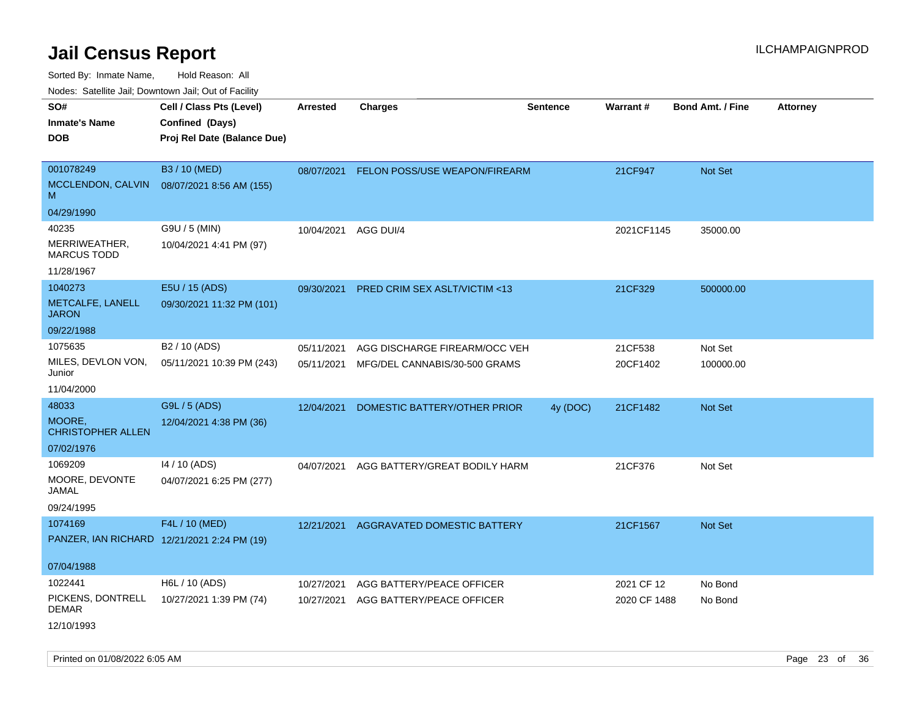Sorted By: Inmate Name, Hold Reason: All

Nodes: Satellite Jail; Downtown Jail; Out of Facility

| SO#<br><b>Inmate's Name</b><br><b>DOB</b>                                | Cell / Class Pts (Level)<br>Confined (Days)<br>Proj Rel Date (Balance Due) | <b>Arrested</b>          | <b>Charges</b>                                                 | <b>Sentence</b> | <b>Warrant#</b>            | <b>Bond Amt. / Fine</b> | <b>Attorney</b> |
|--------------------------------------------------------------------------|----------------------------------------------------------------------------|--------------------------|----------------------------------------------------------------|-----------------|----------------------------|-------------------------|-----------------|
| 001078249<br>MCCLENDON, CALVIN<br>M                                      | B3 / 10 (MED)<br>08/07/2021 8:56 AM (155)                                  | 08/07/2021               | FELON POSS/USE WEAPON/FIREARM                                  |                 | 21CF947                    | Not Set                 |                 |
| 04/29/1990<br>40235<br>MERRIWEATHER,<br><b>MARCUS TODD</b><br>11/28/1967 | G9U / 5 (MIN)<br>10/04/2021 4:41 PM (97)                                   | 10/04/2021               | AGG DUI/4                                                      |                 | 2021CF1145                 | 35000.00                |                 |
| 1040273<br>METCALFE, LANELL<br><b>JARON</b><br>09/22/1988                | E5U / 15 (ADS)<br>09/30/2021 11:32 PM (101)                                | 09/30/2021               | PRED CRIM SEX ASLT/VICTIM <13                                  |                 | 21CF329                    | 500000.00               |                 |
| 1075635<br>MILES, DEVLON VON,<br>Junior<br>11/04/2000                    | B <sub>2</sub> / 10 (ADS)<br>05/11/2021 10:39 PM (243)                     | 05/11/2021<br>05/11/2021 | AGG DISCHARGE FIREARM/OCC VEH<br>MFG/DEL CANNABIS/30-500 GRAMS |                 | 21CF538<br>20CF1402        | Not Set<br>100000.00    |                 |
| 48033<br>MOORE,<br><b>CHRISTOPHER ALLEN</b><br>07/02/1976                | G9L / 5 (ADS)<br>12/04/2021 4:38 PM (36)                                   | 12/04/2021               | DOMESTIC BATTERY/OTHER PRIOR                                   | 4y (DOC)        | 21CF1482                   | Not Set                 |                 |
| 1069209<br>MOORE, DEVONTE<br>JAMAL<br>09/24/1995                         | 14 / 10 (ADS)<br>04/07/2021 6:25 PM (277)                                  | 04/07/2021               | AGG BATTERY/GREAT BODILY HARM                                  |                 | 21CF376                    | Not Set                 |                 |
| 1074169<br>07/04/1988                                                    | F4L / 10 (MED)<br>PANZER, IAN RICHARD 12/21/2021 2:24 PM (19)              | 12/21/2021               | AGGRAVATED DOMESTIC BATTERY                                    |                 | 21CF1567                   | <b>Not Set</b>          |                 |
| 1022441<br>PICKENS, DONTRELL<br><b>DEMAR</b><br>12/10/1993               | H6L / 10 (ADS)<br>10/27/2021 1:39 PM (74)                                  | 10/27/2021<br>10/27/2021 | AGG BATTERY/PEACE OFFICER<br>AGG BATTERY/PEACE OFFICER         |                 | 2021 CF 12<br>2020 CF 1488 | No Bond<br>No Bond      |                 |

Printed on 01/08/2022 6:05 AM Page 23 of 36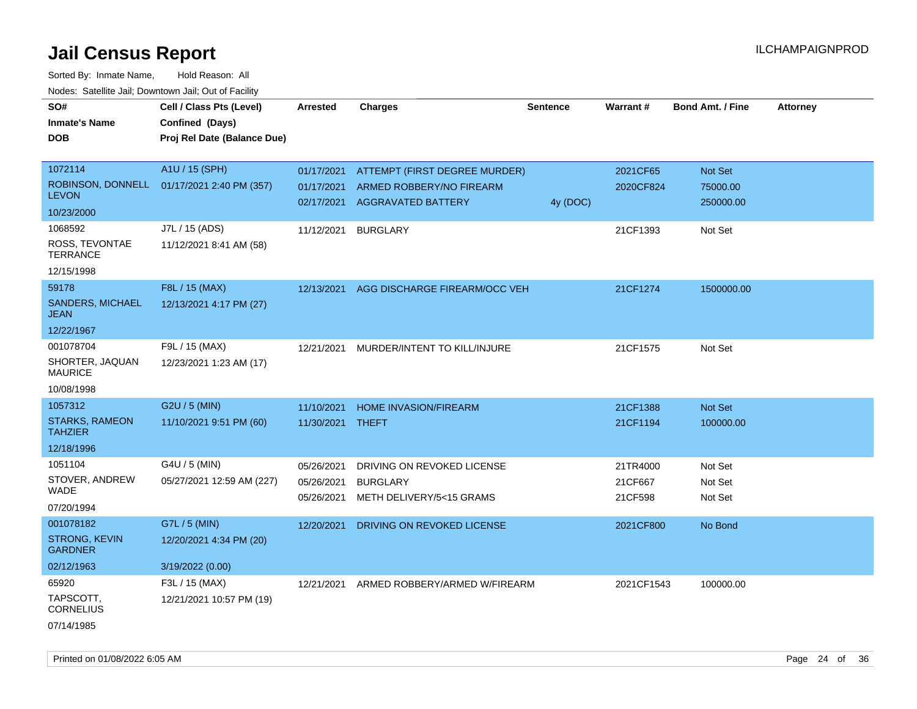| SO#<br><b>Inmate's Name</b>             | Cell / Class Pts (Level)<br>Confined (Days) | <b>Arrested</b> | <b>Charges</b>                | <b>Sentence</b> | Warrant#   | <b>Bond Amt. / Fine</b> | <b>Attorney</b> |
|-----------------------------------------|---------------------------------------------|-----------------|-------------------------------|-----------------|------------|-------------------------|-----------------|
|                                         |                                             |                 |                               |                 |            |                         |                 |
| <b>DOB</b>                              | Proj Rel Date (Balance Due)                 |                 |                               |                 |            |                         |                 |
| 1072114                                 | A1U / 15 (SPH)                              |                 |                               |                 |            |                         |                 |
|                                         |                                             | 01/17/2021      | ATTEMPT (FIRST DEGREE MURDER) |                 | 2021CF65   | Not Set                 |                 |
| ROBINSON, DONNELL<br><b>LEVON</b>       | 01/17/2021 2:40 PM (357)                    | 01/17/2021      | ARMED ROBBERY/NO FIREARM      |                 | 2020CF824  | 75000.00                |                 |
| 10/23/2000                              |                                             | 02/17/2021      | AGGRAVATED BATTERY            | 4y (DOC)        |            | 250000.00               |                 |
| 1068592                                 | J7L / 15 (ADS)                              | 11/12/2021      | <b>BURGLARY</b>               |                 | 21CF1393   | Not Set                 |                 |
| ROSS, TEVONTAE<br><b>TERRANCE</b>       | 11/12/2021 8:41 AM (58)                     |                 |                               |                 |            |                         |                 |
| 12/15/1998                              |                                             |                 |                               |                 |            |                         |                 |
| 59178                                   | F8L / 15 (MAX)                              | 12/13/2021      | AGG DISCHARGE FIREARM/OCC VEH |                 | 21CF1274   | 1500000.00              |                 |
| <b>SANDERS, MICHAEL</b><br><b>JEAN</b>  | 12/13/2021 4:17 PM (27)                     |                 |                               |                 |            |                         |                 |
| 12/22/1967                              |                                             |                 |                               |                 |            |                         |                 |
| 001078704                               | F9L / 15 (MAX)                              | 12/21/2021      | MURDER/INTENT TO KILL/INJURE  |                 | 21CF1575   | Not Set                 |                 |
| SHORTER, JAQUAN<br><b>MAURICE</b>       | 12/23/2021 1:23 AM (17)                     |                 |                               |                 |            |                         |                 |
| 10/08/1998                              |                                             |                 |                               |                 |            |                         |                 |
| 1057312                                 | G2U / 5 (MIN)                               | 11/10/2021      | <b>HOME INVASION/FIREARM</b>  |                 | 21CF1388   | Not Set                 |                 |
| <b>STARKS, RAMEON</b><br><b>TAHZIER</b> | 11/10/2021 9:51 PM (60)                     | 11/30/2021      | THEFT                         |                 | 21CF1194   | 100000.00               |                 |
| 12/18/1996                              |                                             |                 |                               |                 |            |                         |                 |
| 1051104                                 | G4U / 5 (MIN)                               | 05/26/2021      | DRIVING ON REVOKED LICENSE    |                 | 21TR4000   | Not Set                 |                 |
| STOVER, ANDREW                          | 05/27/2021 12:59 AM (227)                   | 05/26/2021      | <b>BURGLARY</b>               |                 | 21CF667    | Not Set                 |                 |
| <b>WADE</b>                             |                                             | 05/26/2021      | METH DELIVERY/5<15 GRAMS      |                 | 21CF598    | Not Set                 |                 |
| 07/20/1994                              |                                             |                 |                               |                 |            |                         |                 |
| 001078182                               | G7L / 5 (MIN)                               | 12/20/2021      | DRIVING ON REVOKED LICENSE    |                 | 2021CF800  | No Bond                 |                 |
| <b>STRONG, KEVIN</b><br><b>GARDNER</b>  | 12/20/2021 4:34 PM (20)                     |                 |                               |                 |            |                         |                 |
| 02/12/1963                              | 3/19/2022 (0.00)                            |                 |                               |                 |            |                         |                 |
| 65920                                   | F3L / 15 (MAX)                              | 12/21/2021      | ARMED ROBBERY/ARMED W/FIREARM |                 | 2021CF1543 | 100000.00               |                 |
| TAPSCOTT,<br><b>CORNELIUS</b>           | 12/21/2021 10:57 PM (19)                    |                 |                               |                 |            |                         |                 |
| 07/14/1985                              |                                             |                 |                               |                 |            |                         |                 |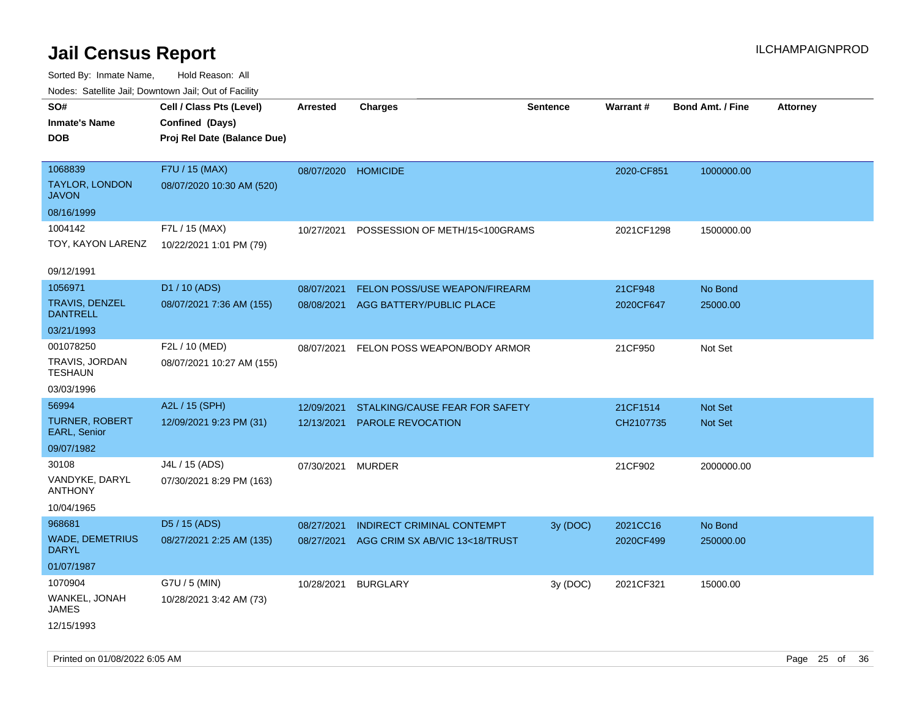| roaco. Oatomto dan, Downtown dan, Oat or Fability |                             |                     |                                         |                 |            |                         |                 |
|---------------------------------------------------|-----------------------------|---------------------|-----------------------------------------|-----------------|------------|-------------------------|-----------------|
| SO#                                               | Cell / Class Pts (Level)    | Arrested            | <b>Charges</b>                          | <b>Sentence</b> | Warrant#   | <b>Bond Amt. / Fine</b> | <b>Attorney</b> |
| <b>Inmate's Name</b>                              | Confined (Days)             |                     |                                         |                 |            |                         |                 |
| <b>DOB</b>                                        | Proj Rel Date (Balance Due) |                     |                                         |                 |            |                         |                 |
| 1068839                                           | F7U / 15 (MAX)              | 08/07/2020 HOMICIDE |                                         |                 | 2020-CF851 | 1000000.00              |                 |
| <b>TAYLOR, LONDON</b><br><b>JAVON</b>             | 08/07/2020 10:30 AM (520)   |                     |                                         |                 |            |                         |                 |
| 08/16/1999                                        |                             |                     |                                         |                 |            |                         |                 |
| 1004142                                           | F7L / 15 (MAX)              | 10/27/2021          | POSSESSION OF METH/15<100GRAMS          |                 | 2021CF1298 | 1500000.00              |                 |
| TOY, KAYON LARENZ                                 | 10/22/2021 1:01 PM (79)     |                     |                                         |                 |            |                         |                 |
| 09/12/1991                                        |                             |                     |                                         |                 |            |                         |                 |
| 1056971                                           | D1 / 10 (ADS)               | 08/07/2021          | FELON POSS/USE WEAPON/FIREARM           |                 | 21CF948    | No Bond                 |                 |
| <b>TRAVIS, DENZEL</b><br><b>DANTRELL</b>          | 08/07/2021 7:36 AM (155)    | 08/08/2021          | AGG BATTERY/PUBLIC PLACE                |                 | 2020CF647  | 25000.00                |                 |
| 03/21/1993                                        |                             |                     |                                         |                 |            |                         |                 |
| 001078250                                         | F2L / 10 (MED)              |                     | 08/07/2021 FELON POSS WEAPON/BODY ARMOR |                 | 21CF950    | Not Set                 |                 |
| TRAVIS, JORDAN<br><b>TESHAUN</b>                  | 08/07/2021 10:27 AM (155)   |                     |                                         |                 |            |                         |                 |
| 03/03/1996                                        |                             |                     |                                         |                 |            |                         |                 |
| 56994                                             | A2L / 15 (SPH)              | 12/09/2021          | STALKING/CAUSE FEAR FOR SAFETY          |                 | 21CF1514   | Not Set                 |                 |
| <b>TURNER, ROBERT</b><br>EARL, Senior             | 12/09/2021 9:23 PM (31)     | 12/13/2021          | PAROLE REVOCATION                       |                 | CH2107735  | Not Set                 |                 |
| 09/07/1982                                        |                             |                     |                                         |                 |            |                         |                 |
| 30108                                             | J4L / 15 (ADS)              | 07/30/2021          | <b>MURDER</b>                           |                 | 21CF902    | 2000000.00              |                 |
| VANDYKE, DARYL<br><b>ANTHONY</b>                  | 07/30/2021 8:29 PM (163)    |                     |                                         |                 |            |                         |                 |
| 10/04/1965                                        |                             |                     |                                         |                 |            |                         |                 |
| 968681                                            | D5 / 15 (ADS)               | 08/27/2021          | <b>INDIRECT CRIMINAL CONTEMPT</b>       | 3y (DOC)        | 2021CC16   | No Bond                 |                 |
| <b>WADE, DEMETRIUS</b><br><b>DARYL</b>            | 08/27/2021 2:25 AM (135)    | 08/27/2021          | AGG CRIM SX AB/VIC 13<18/TRUST          |                 | 2020CF499  | 250000.00               |                 |
| 01/07/1987                                        |                             |                     |                                         |                 |            |                         |                 |
| 1070904                                           | G7U / 5 (MIN)               | 10/28/2021          | <b>BURGLARY</b>                         | 3y (DOC)        | 2021CF321  | 15000.00                |                 |
| WANKEL, JONAH<br>JAMES                            | 10/28/2021 3:42 AM (73)     |                     |                                         |                 |            |                         |                 |
| 12/15/1993                                        |                             |                     |                                         |                 |            |                         |                 |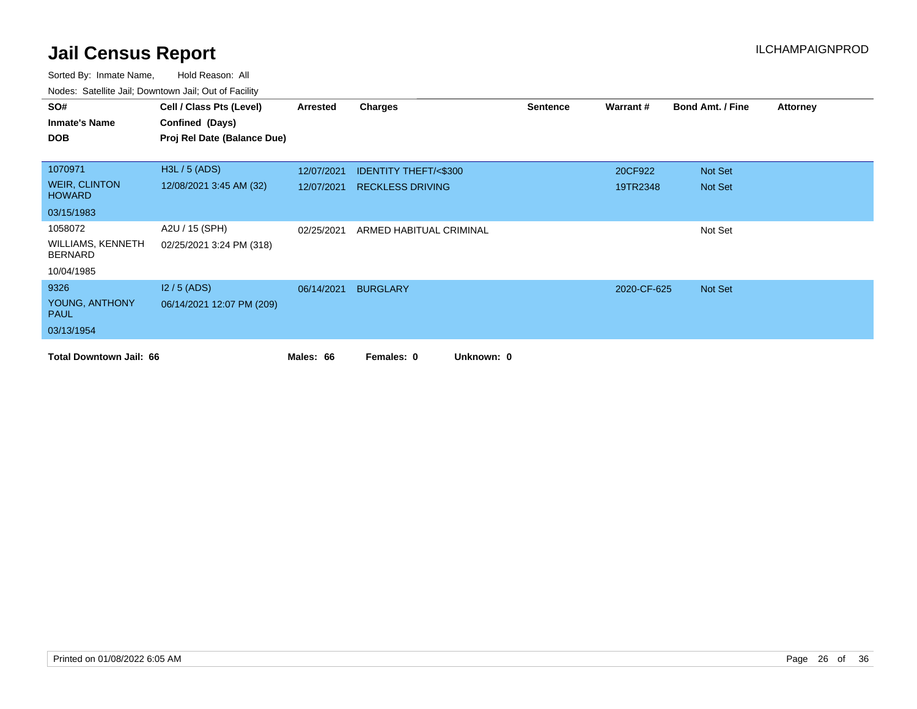| SO#                                        | Cell / Class Pts (Level)    | Arrested   | <b>Charges</b>                  | <b>Sentence</b> | Warrant#    | <b>Bond Amt. / Fine</b> | <b>Attorney</b> |
|--------------------------------------------|-----------------------------|------------|---------------------------------|-----------------|-------------|-------------------------|-----------------|
| <b>Inmate's Name</b>                       | Confined (Days)             |            |                                 |                 |             |                         |                 |
| <b>DOB</b>                                 | Proj Rel Date (Balance Due) |            |                                 |                 |             |                         |                 |
|                                            |                             |            |                                 |                 |             |                         |                 |
| 1070971                                    | H3L / 5 (ADS)               | 12/07/2021 | <b>IDENTITY THEFT/&lt;\$300</b> |                 | 20CF922     | Not Set                 |                 |
| <b>WEIR, CLINTON</b><br><b>HOWARD</b>      | 12/08/2021 3:45 AM (32)     | 12/07/2021 | <b>RECKLESS DRIVING</b>         |                 | 19TR2348    | Not Set                 |                 |
| 03/15/1983                                 |                             |            |                                 |                 |             |                         |                 |
| 1058072                                    | A2U / 15 (SPH)              | 02/25/2021 | ARMED HABITUAL CRIMINAL         |                 |             | Not Set                 |                 |
| <b>WILLIAMS, KENNETH</b><br><b>BERNARD</b> | 02/25/2021 3:24 PM (318)    |            |                                 |                 |             |                         |                 |
| 10/04/1985                                 |                             |            |                                 |                 |             |                         |                 |
| 9326                                       | $12/5$ (ADS)                | 06/14/2021 | <b>BURGLARY</b>                 |                 | 2020-CF-625 | Not Set                 |                 |
| YOUNG, ANTHONY<br><b>PAUL</b>              | 06/14/2021 12:07 PM (209)   |            |                                 |                 |             |                         |                 |
| 03/13/1954                                 |                             |            |                                 |                 |             |                         |                 |
| <b>Total Downtown Jail: 66</b>             |                             | Males: 66  | Unknown: 0<br>Females: 0        |                 |             |                         |                 |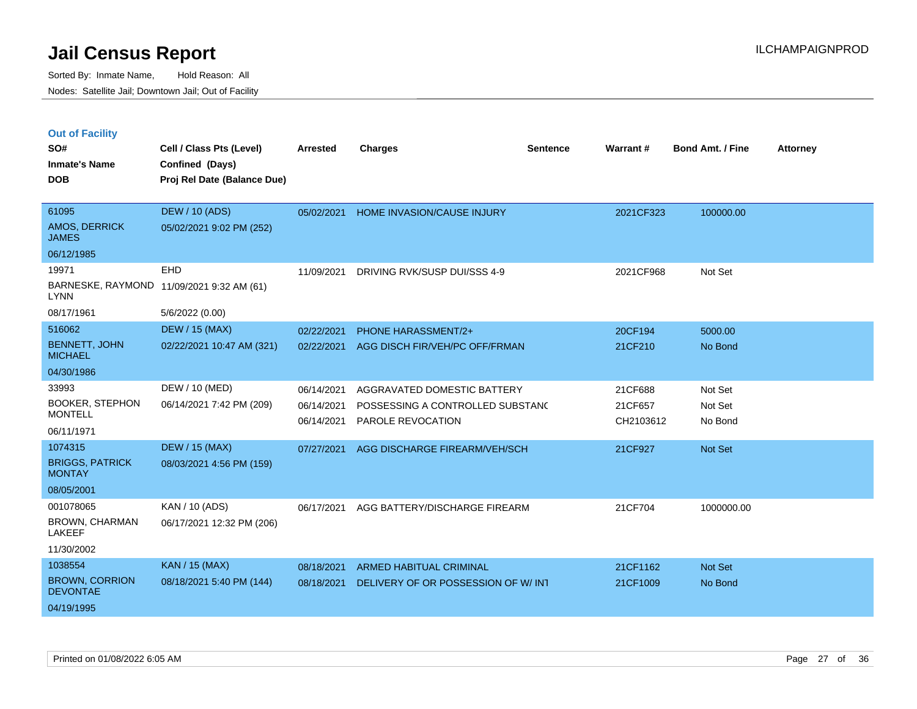|  | <b>Out of Facility</b> |  |
|--|------------------------|--|
|  |                        |  |

| SO#<br><b>Inmate's Name</b>              | Cell / Class Pts (Level)<br>Confined (Days) | <b>Arrested</b> | <b>Charges</b>                     | <b>Sentence</b> | Warrant#  | <b>Bond Amt. / Fine</b> | <b>Attorney</b> |
|------------------------------------------|---------------------------------------------|-----------------|------------------------------------|-----------------|-----------|-------------------------|-----------------|
| <b>DOB</b>                               | Proj Rel Date (Balance Due)                 |                 |                                    |                 |           |                         |                 |
|                                          |                                             |                 |                                    |                 |           |                         |                 |
| 61095                                    | <b>DEW / 10 (ADS)</b>                       | 05/02/2021      | HOME INVASION/CAUSE INJURY         |                 | 2021CF323 | 100000.00               |                 |
| <b>AMOS, DERRICK</b><br><b>JAMES</b>     | 05/02/2021 9:02 PM (252)                    |                 |                                    |                 |           |                         |                 |
| 06/12/1985                               |                                             |                 |                                    |                 |           |                         |                 |
| 19971                                    | <b>EHD</b>                                  | 11/09/2021      | DRIVING RVK/SUSP DUI/SSS 4-9       |                 | 2021CF968 | Not Set                 |                 |
| <b>LYNN</b>                              | BARNESKE, RAYMOND 11/09/2021 9:32 AM (61)   |                 |                                    |                 |           |                         |                 |
| 08/17/1961                               | 5/6/2022 (0.00)                             |                 |                                    |                 |           |                         |                 |
| 516062                                   | <b>DEW / 15 (MAX)</b>                       | 02/22/2021      | <b>PHONE HARASSMENT/2+</b>         |                 | 20CF194   | 5000.00                 |                 |
| <b>BENNETT, JOHN</b><br><b>MICHAEL</b>   | 02/22/2021 10:47 AM (321)                   | 02/22/2021      | AGG DISCH FIR/VEH/PC OFF/FRMAN     |                 | 21CF210   | No Bond                 |                 |
| 04/30/1986                               |                                             |                 |                                    |                 |           |                         |                 |
| 33993                                    | DEW / 10 (MED)                              | 06/14/2021      | AGGRAVATED DOMESTIC BATTERY        |                 | 21CF688   | Not Set                 |                 |
| <b>BOOKER, STEPHON</b>                   | 06/14/2021 7:42 PM (209)                    | 06/14/2021      | POSSESSING A CONTROLLED SUBSTANC   |                 | 21CF657   | Not Set                 |                 |
| <b>MONTELL</b><br>06/11/1971             |                                             | 06/14/2021      | <b>PAROLE REVOCATION</b>           |                 | CH2103612 | No Bond                 |                 |
|                                          |                                             |                 |                                    |                 |           |                         |                 |
| 1074315                                  | <b>DEW / 15 (MAX)</b>                       | 07/27/2021      | AGG DISCHARGE FIREARM/VEH/SCH      |                 | 21CF927   | Not Set                 |                 |
| <b>BRIGGS, PATRICK</b><br><b>MONTAY</b>  | 08/03/2021 4:56 PM (159)                    |                 |                                    |                 |           |                         |                 |
| 08/05/2001                               |                                             |                 |                                    |                 |           |                         |                 |
| 001078065                                | KAN / 10 (ADS)                              | 06/17/2021      | AGG BATTERY/DISCHARGE FIREARM      |                 | 21CF704   | 1000000.00              |                 |
| <b>BROWN, CHARMAN</b><br>LAKEEF          | 06/17/2021 12:32 PM (206)                   |                 |                                    |                 |           |                         |                 |
| 11/30/2002                               |                                             |                 |                                    |                 |           |                         |                 |
| 1038554                                  | <b>KAN / 15 (MAX)</b>                       | 08/18/2021      | <b>ARMED HABITUAL CRIMINAL</b>     |                 | 21CF1162  | <b>Not Set</b>          |                 |
| <b>BROWN, CORRION</b><br><b>DEVONTAE</b> | 08/18/2021 5:40 PM (144)                    | 08/18/2021      | DELIVERY OF OR POSSESSION OF W/INT |                 | 21CF1009  | No Bond                 |                 |
| 04/19/1995                               |                                             |                 |                                    |                 |           |                         |                 |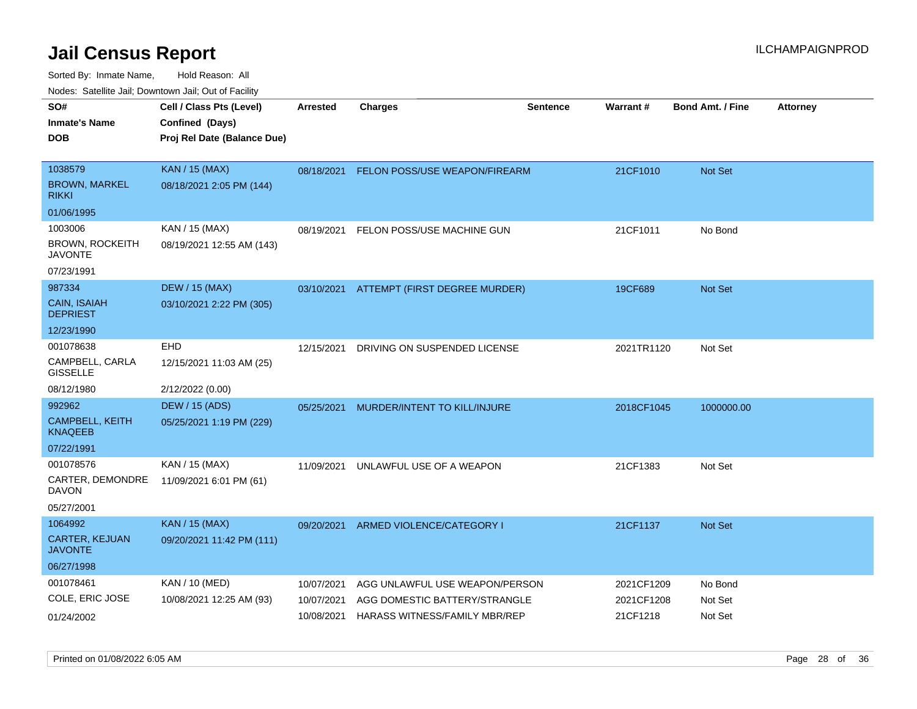| ivouss. Satellite Jali, Downtown Jali, Out of Facility |                             |                 |                                          |                 |            |                         |                 |
|--------------------------------------------------------|-----------------------------|-----------------|------------------------------------------|-----------------|------------|-------------------------|-----------------|
| SO#                                                    | Cell / Class Pts (Level)    | <b>Arrested</b> | <b>Charges</b>                           | <b>Sentence</b> | Warrant#   | <b>Bond Amt. / Fine</b> | <b>Attorney</b> |
| Inmate's Name                                          | Confined (Days)             |                 |                                          |                 |            |                         |                 |
| DOB                                                    | Proj Rel Date (Balance Due) |                 |                                          |                 |            |                         |                 |
|                                                        |                             |                 |                                          |                 |            |                         |                 |
| 1038579                                                | <b>KAN / 15 (MAX)</b>       | 08/18/2021      | FELON POSS/USE WEAPON/FIREARM            |                 | 21CF1010   | <b>Not Set</b>          |                 |
| BROWN, MARKEL<br>rikki                                 | 08/18/2021 2:05 PM (144)    |                 |                                          |                 |            |                         |                 |
| 01/06/1995                                             |                             |                 |                                          |                 |            |                         |                 |
| 1003006                                                | KAN / 15 (MAX)              | 08/19/2021      | FELON POSS/USE MACHINE GUN               |                 | 21CF1011   | No Bond                 |                 |
| BROWN, ROCKEITH<br><b>JAVONTE</b>                      | 08/19/2021 12:55 AM (143)   |                 |                                          |                 |            |                         |                 |
| 07/23/1991                                             |                             |                 |                                          |                 |            |                         |                 |
| 987334                                                 | <b>DEW / 15 (MAX)</b>       |                 | 03/10/2021 ATTEMPT (FIRST DEGREE MURDER) |                 | 19CF689    | <b>Not Set</b>          |                 |
| <b>CAIN, ISAIAH</b><br><b>DEPRIEST</b>                 | 03/10/2021 2:22 PM (305)    |                 |                                          |                 |            |                         |                 |
| 12/23/1990                                             |                             |                 |                                          |                 |            |                         |                 |
| 001078638                                              | <b>EHD</b>                  | 12/15/2021      | DRIVING ON SUSPENDED LICENSE             |                 | 2021TR1120 | Not Set                 |                 |
| CAMPBELL, CARLA<br>GISSELLE                            | 12/15/2021 11:03 AM (25)    |                 |                                          |                 |            |                         |                 |
| 08/12/1980                                             | 2/12/2022 (0.00)            |                 |                                          |                 |            |                         |                 |
| 992962                                                 | <b>DEW / 15 (ADS)</b>       | 05/25/2021      | MURDER/INTENT TO KILL/INJURE             |                 | 2018CF1045 | 1000000.00              |                 |
| CAMPBELL, KEITH<br>KNAQEEB                             | 05/25/2021 1:19 PM (229)    |                 |                                          |                 |            |                         |                 |
| 07/22/1991                                             |                             |                 |                                          |                 |            |                         |                 |
| 001078576                                              | KAN / 15 (MAX)              | 11/09/2021      | UNLAWFUL USE OF A WEAPON                 |                 | 21CF1383   | Not Set                 |                 |
| CARTER, DEMONDRE<br>DAVON                              | 11/09/2021 6:01 PM (61)     |                 |                                          |                 |            |                         |                 |
| 05/27/2001                                             |                             |                 |                                          |                 |            |                         |                 |
| 1064992                                                | <b>KAN / 15 (MAX)</b>       | 09/20/2021      | ARMED VIOLENCE/CATEGORY I                |                 | 21CF1137   | Not Set                 |                 |
| CARTER, KEJUAN<br>JAVONTE                              | 09/20/2021 11:42 PM (111)   |                 |                                          |                 |            |                         |                 |
| 06/27/1998                                             |                             |                 |                                          |                 |            |                         |                 |
| 001078461                                              | KAN / 10 (MED)              | 10/07/2021      | AGG UNLAWFUL USE WEAPON/PERSON           |                 | 2021CF1209 | No Bond                 |                 |
| COLE, ERIC JOSE                                        | 10/08/2021 12:25 AM (93)    | 10/07/2021      | AGG DOMESTIC BATTERY/STRANGLE            |                 | 2021CF1208 | Not Set                 |                 |
| 01/24/2002                                             |                             | 10/08/2021      | HARASS WITNESS/FAMILY MBR/REP            |                 | 21CF1218   | Not Set                 |                 |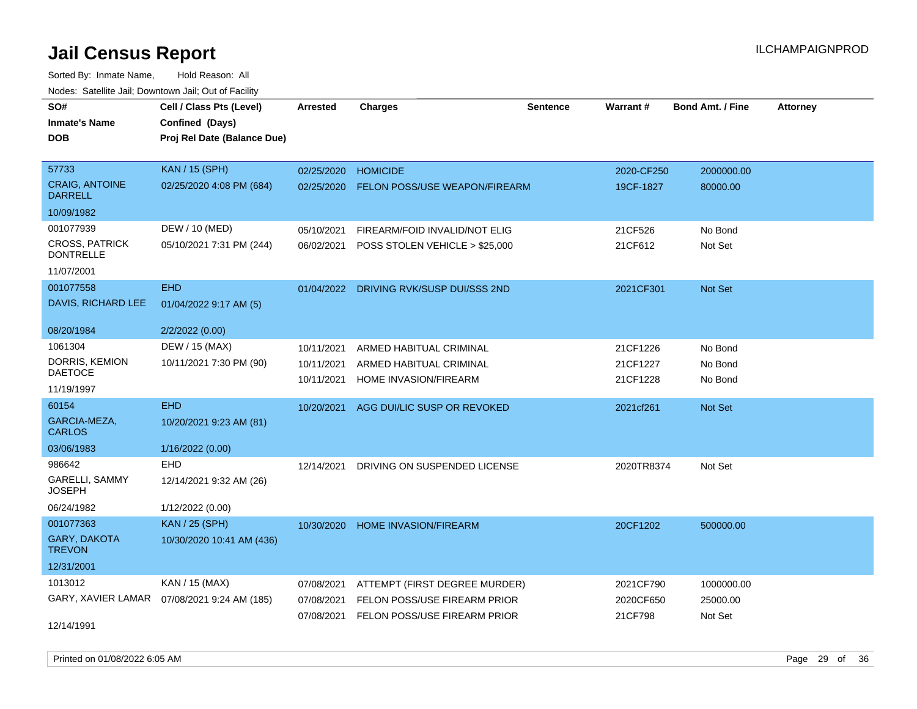| rouce. Calcinic Jan, Downtown Jan, Out or Facility |                                              |                 |                                         |                 |            |                         |                 |
|----------------------------------------------------|----------------------------------------------|-----------------|-----------------------------------------|-----------------|------------|-------------------------|-----------------|
| SO#                                                | Cell / Class Pts (Level)                     | <b>Arrested</b> | <b>Charges</b>                          | <b>Sentence</b> | Warrant#   | <b>Bond Amt. / Fine</b> | <b>Attorney</b> |
| <b>Inmate's Name</b>                               | Confined (Days)                              |                 |                                         |                 |            |                         |                 |
| <b>DOB</b>                                         | Proj Rel Date (Balance Due)                  |                 |                                         |                 |            |                         |                 |
|                                                    |                                              |                 |                                         |                 |            |                         |                 |
| 57733                                              | <b>KAN / 15 (SPH)</b>                        | 02/25/2020      | <b>HOMICIDE</b>                         |                 | 2020-CF250 | 2000000.00              |                 |
| <b>CRAIG, ANTOINE</b><br><b>DARRELL</b>            | 02/25/2020 4:08 PM (684)                     | 02/25/2020      | <b>FELON POSS/USE WEAPON/FIREARM</b>    |                 | 19CF-1827  | 80000.00                |                 |
| 10/09/1982                                         |                                              |                 |                                         |                 |            |                         |                 |
| 001077939                                          | DEW / 10 (MED)                               | 05/10/2021      | FIREARM/FOID INVALID/NOT ELIG           |                 | 21CF526    | No Bond                 |                 |
| <b>CROSS, PATRICK</b><br><b>DONTRELLE</b>          | 05/10/2021 7:31 PM (244)                     | 06/02/2021      | POSS STOLEN VEHICLE > \$25,000          |                 | 21CF612    | Not Set                 |                 |
| 11/07/2001                                         |                                              |                 |                                         |                 |            |                         |                 |
| 001077558                                          | <b>EHD</b>                                   |                 | 01/04/2022 DRIVING RVK/SUSP DUI/SSS 2ND |                 | 2021CF301  | Not Set                 |                 |
| DAVIS, RICHARD LEE                                 | 01/04/2022 9:17 AM (5)                       |                 |                                         |                 |            |                         |                 |
| 08/20/1984                                         | 2/2/2022 (0.00)                              |                 |                                         |                 |            |                         |                 |
| 1061304                                            | DEW / 15 (MAX)                               | 10/11/2021      | ARMED HABITUAL CRIMINAL                 |                 | 21CF1226   | No Bond                 |                 |
| DORRIS, KEMION                                     | 10/11/2021 7:30 PM (90)                      | 10/11/2021      | ARMED HABITUAL CRIMINAL                 |                 | 21CF1227   | No Bond                 |                 |
| <b>DAETOCE</b>                                     |                                              | 10/11/2021      | HOME INVASION/FIREARM                   |                 | 21CF1228   | No Bond                 |                 |
| 11/19/1997                                         |                                              |                 |                                         |                 |            |                         |                 |
| 60154                                              | <b>EHD</b>                                   |                 | 10/20/2021 AGG DUI/LIC SUSP OR REVOKED  |                 | 2021cf261  | Not Set                 |                 |
| GARCIA-MEZA,<br><b>CARLOS</b>                      | 10/20/2021 9:23 AM (81)                      |                 |                                         |                 |            |                         |                 |
| 03/06/1983                                         | 1/16/2022 (0.00)                             |                 |                                         |                 |            |                         |                 |
| 986642                                             | EHD                                          | 12/14/2021      | DRIVING ON SUSPENDED LICENSE            |                 | 2020TR8374 | Not Set                 |                 |
| GARELLI, SAMMY<br><b>JOSEPH</b>                    | 12/14/2021 9:32 AM (26)                      |                 |                                         |                 |            |                         |                 |
| 06/24/1982                                         | 1/12/2022 (0.00)                             |                 |                                         |                 |            |                         |                 |
| 001077363                                          | <b>KAN / 25 (SPH)</b>                        | 10/30/2020      | <b>HOME INVASION/FIREARM</b>            |                 | 20CF1202   | 500000.00               |                 |
| <b>GARY, DAKOTA</b><br><b>TREVON</b>               | 10/30/2020 10:41 AM (436)                    |                 |                                         |                 |            |                         |                 |
| 12/31/2001                                         |                                              |                 |                                         |                 |            |                         |                 |
| 1013012                                            | KAN / 15 (MAX)                               | 07/08/2021      | ATTEMPT (FIRST DEGREE MURDER)           |                 | 2021CF790  | 1000000.00              |                 |
|                                                    | GARY, XAVIER LAMAR  07/08/2021 9:24 AM (185) | 07/08/2021      | FELON POSS/USE FIREARM PRIOR            |                 | 2020CF650  | 25000.00                |                 |
|                                                    |                                              | 07/08/2021      | FELON POSS/USE FIREARM PRIOR            |                 | 21CF798    | Not Set                 |                 |
| 12/14/1991                                         |                                              |                 |                                         |                 |            |                         |                 |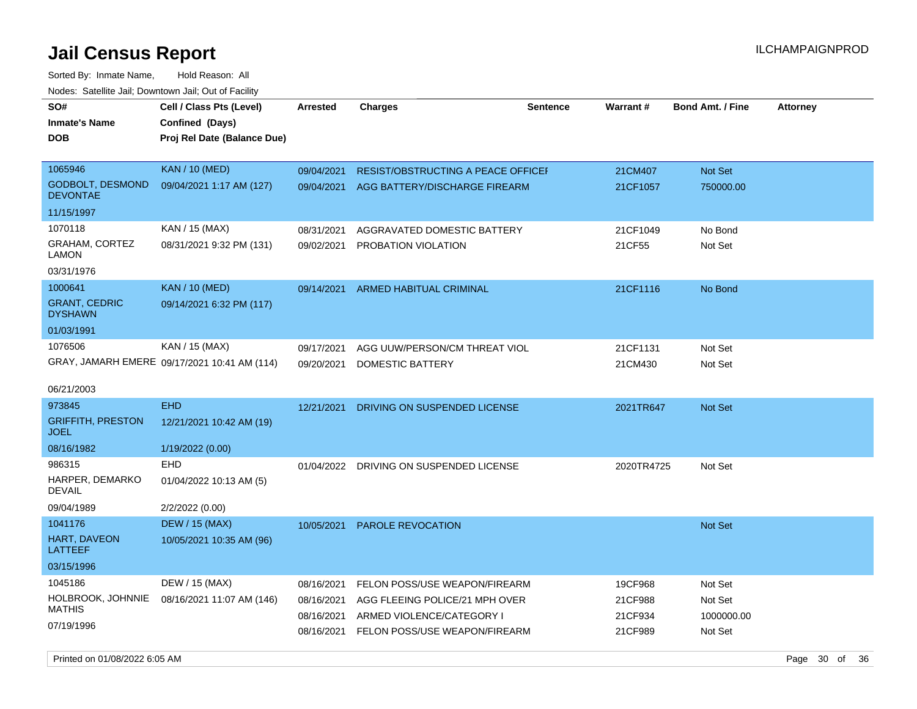Sorted By: Inmate Name, Hold Reason: All Nodes: Satellite Jail; Downtown Jail; Out of Facility

| wacs. Calcinic Jan, Downtown Jan, Out of Facility |                                              |                 |                                           |                 |            |                  |                 |
|---------------------------------------------------|----------------------------------------------|-----------------|-------------------------------------------|-----------------|------------|------------------|-----------------|
| SO#                                               | Cell / Class Pts (Level)                     | <b>Arrested</b> | <b>Charges</b>                            | <b>Sentence</b> | Warrant#   | Bond Amt. / Fine | <b>Attorney</b> |
| Inmate's Name                                     | Confined (Days)                              |                 |                                           |                 |            |                  |                 |
| <b>DOB</b>                                        | Proj Rel Date (Balance Due)                  |                 |                                           |                 |            |                  |                 |
| 1065946                                           | <b>KAN / 10 (MED)</b>                        | 09/04/2021      | <b>RESIST/OBSTRUCTING A PEACE OFFICEF</b> |                 | 21CM407    | Not Set          |                 |
| <b>GODBOLT, DESMOND</b>                           | 09/04/2021 1:17 AM (127)                     |                 |                                           |                 |            |                  |                 |
| <b>DEVONTAE</b>                                   |                                              | 09/04/2021      | AGG BATTERY/DISCHARGE FIREARM             |                 | 21CF1057   | 750000.00        |                 |
| 11/15/1997                                        |                                              |                 |                                           |                 |            |                  |                 |
| 1070118                                           | KAN / 15 (MAX)                               | 08/31/2021      | AGGRAVATED DOMESTIC BATTERY               |                 | 21CF1049   | No Bond          |                 |
| GRAHAM, CORTEZ<br>LAMON                           | 08/31/2021 9:32 PM (131)                     | 09/02/2021      | PROBATION VIOLATION                       |                 | 21CF55     | Not Set          |                 |
| 03/31/1976                                        |                                              |                 |                                           |                 |            |                  |                 |
| 1000641                                           | <b>KAN / 10 (MED)</b>                        | 09/14/2021      | ARMED HABITUAL CRIMINAL                   |                 | 21CF1116   | No Bond          |                 |
| <b>GRANT, CEDRIC</b><br><b>DYSHAWN</b>            | 09/14/2021 6:32 PM (117)                     |                 |                                           |                 |            |                  |                 |
| 01/03/1991                                        |                                              |                 |                                           |                 |            |                  |                 |
| 1076506                                           | KAN / 15 (MAX)                               | 09/17/2021      | AGG UUW/PERSON/CM THREAT VIOL             |                 | 21CF1131   | Not Set          |                 |
|                                                   | GRAY, JAMARH EMERE 09/17/2021 10:41 AM (114) | 09/20/2021      | DOMESTIC BATTERY                          |                 | 21CM430    | Not Set          |                 |
| 06/21/2003                                        |                                              |                 |                                           |                 |            |                  |                 |
| 973845                                            | <b>EHD</b>                                   | 12/21/2021      | DRIVING ON SUSPENDED LICENSE              |                 | 2021TR647  | Not Set          |                 |
| <b>GRIFFITH, PRESTON</b><br><b>JOEL</b>           | 12/21/2021 10:42 AM (19)                     |                 |                                           |                 |            |                  |                 |
| 08/16/1982                                        | 1/19/2022 (0.00)                             |                 |                                           |                 |            |                  |                 |
| 986315                                            | EHD                                          | 01/04/2022      | DRIVING ON SUSPENDED LICENSE              |                 | 2020TR4725 | Not Set          |                 |
| HARPER, DEMARKO<br>DEVAIL                         | 01/04/2022 10:13 AM (5)                      |                 |                                           |                 |            |                  |                 |
| 09/04/1989                                        | 2/2/2022 (0.00)                              |                 |                                           |                 |            |                  |                 |
| 1041176                                           | <b>DEW / 15 (MAX)</b>                        | 10/05/2021      | <b>PAROLE REVOCATION</b>                  |                 |            | <b>Not Set</b>   |                 |
| HART, DAVEON<br><b>LATTEEF</b>                    | 10/05/2021 10:35 AM (96)                     |                 |                                           |                 |            |                  |                 |
| 03/15/1996                                        |                                              |                 |                                           |                 |            |                  |                 |
| 1045186                                           | DEW / 15 (MAX)                               | 08/16/2021      | FELON POSS/USE WEAPON/FIREARM             |                 | 19CF968    | Not Set          |                 |
| HOLBROOK, JOHNNIE                                 | 08/16/2021 11:07 AM (146)                    | 08/16/2021      | AGG FLEEING POLICE/21 MPH OVER            |                 | 21CF988    | Not Set          |                 |
| <b>MATHIS</b>                                     |                                              | 08/16/2021      | ARMED VIOLENCE/CATEGORY I                 |                 | 21CF934    | 1000000.00       |                 |
| 07/19/1996                                        |                                              | 08/16/2021      | FELON POSS/USE WEAPON/FIREARM             |                 | 21CF989    | Not Set          |                 |

Printed on 01/08/2022 6:05 AM **Page 30** of 36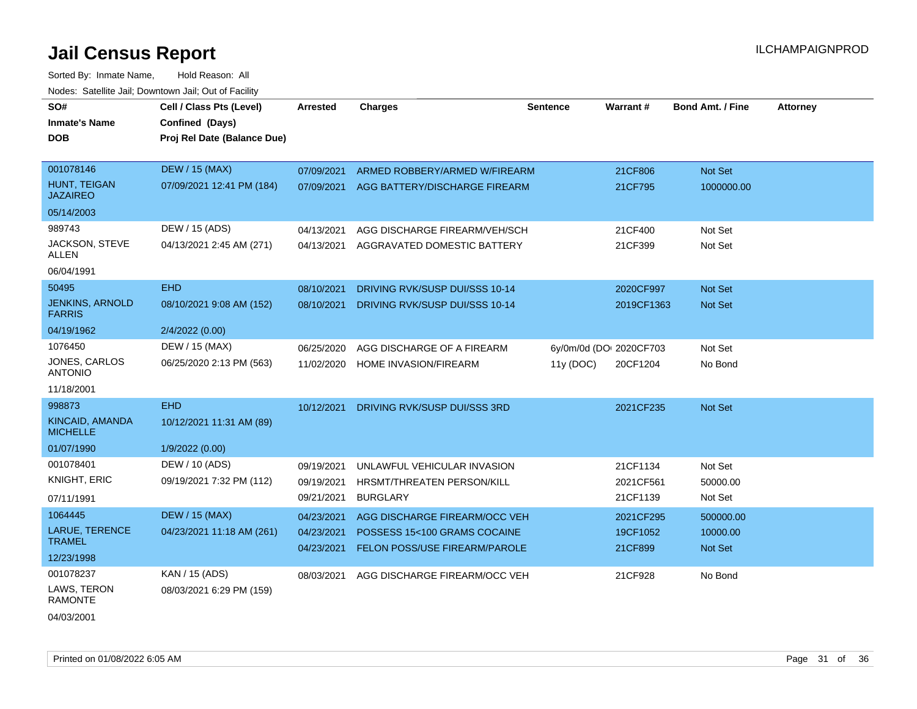Sorted By: Inmate Name, Hold Reason: All Nodes: Satellite Jail; Downtown Jail; Out of Facility

| SO#                                     | Cell / Class Pts (Level)    | <b>Arrested</b> | <b>Charges</b>                 | <b>Sentence</b> | Warrant#                | <b>Bond Amt. / Fine</b> | <b>Attorney</b> |
|-----------------------------------------|-----------------------------|-----------------|--------------------------------|-----------------|-------------------------|-------------------------|-----------------|
| <b>Inmate's Name</b>                    | Confined (Days)             |                 |                                |                 |                         |                         |                 |
| <b>DOB</b>                              | Proj Rel Date (Balance Due) |                 |                                |                 |                         |                         |                 |
|                                         |                             |                 |                                |                 |                         |                         |                 |
| 001078146                               | <b>DEW / 15 (MAX)</b>       | 07/09/2021      | ARMED ROBBERY/ARMED W/FIREARM  |                 | 21CF806                 | Not Set                 |                 |
| <b>HUNT. TEIGAN</b><br><b>JAZAIREO</b>  | 07/09/2021 12:41 PM (184)   | 07/09/2021      | AGG BATTERY/DISCHARGE FIREARM  |                 | 21CF795                 | 1000000.00              |                 |
| 05/14/2003                              |                             |                 |                                |                 |                         |                         |                 |
| 989743                                  | DEW / 15 (ADS)              | 04/13/2021      | AGG DISCHARGE FIREARM/VEH/SCH  |                 | 21CF400                 | Not Set                 |                 |
| JACKSON, STEVE<br><b>ALLEN</b>          | 04/13/2021 2:45 AM (271)    | 04/13/2021      | AGGRAVATED DOMESTIC BATTERY    |                 | 21CF399                 | Not Set                 |                 |
| 06/04/1991                              |                             |                 |                                |                 |                         |                         |                 |
| 50495                                   | <b>EHD</b>                  | 08/10/2021      | DRIVING RVK/SUSP DUI/SSS 10-14 |                 | 2020CF997               | Not Set                 |                 |
| <b>JENKINS, ARNOLD</b><br><b>FARRIS</b> | 08/10/2021 9:08 AM (152)    | 08/10/2021      | DRIVING RVK/SUSP DUI/SSS 10-14 |                 | 2019CF1363              | Not Set                 |                 |
| 04/19/1962                              | 2/4/2022 (0.00)             |                 |                                |                 |                         |                         |                 |
| 1076450                                 | DEW / 15 (MAX)              | 06/25/2020      | AGG DISCHARGE OF A FIREARM     |                 | 6y/0m/0d (DOI 2020CF703 | Not Set                 |                 |
| JONES, CARLOS<br><b>ANTONIO</b>         | 06/25/2020 2:13 PM (563)    | 11/02/2020      | <b>HOME INVASION/FIREARM</b>   | 11y (DOC)       | 20CF1204                | No Bond                 |                 |
| 11/18/2001                              |                             |                 |                                |                 |                         |                         |                 |
| 998873                                  | <b>EHD</b>                  | 10/12/2021      | DRIVING RVK/SUSP DUI/SSS 3RD   |                 | 2021CF235               | Not Set                 |                 |
| KINCAID, AMANDA<br><b>MICHELLE</b>      | 10/12/2021 11:31 AM (89)    |                 |                                |                 |                         |                         |                 |
| 01/07/1990                              | 1/9/2022 (0.00)             |                 |                                |                 |                         |                         |                 |
| 001078401                               | DEW / 10 (ADS)              | 09/19/2021      | UNLAWFUL VEHICULAR INVASION    |                 | 21CF1134                | Not Set                 |                 |
| <b>KNIGHT, ERIC</b>                     | 09/19/2021 7:32 PM (112)    | 09/19/2021      | HRSMT/THREATEN PERSON/KILL     |                 | 2021CF561               | 50000.00                |                 |
| 07/11/1991                              |                             | 09/21/2021      | <b>BURGLARY</b>                |                 | 21CF1139                | Not Set                 |                 |
| 1064445                                 | <b>DEW / 15 (MAX)</b>       | 04/23/2021      | AGG DISCHARGE FIREARM/OCC VEH  |                 | 2021CF295               | 500000.00               |                 |
| <b>LARUE, TERENCE</b>                   | 04/23/2021 11:18 AM (261)   | 04/23/2021      | POSSESS 15<100 GRAMS COCAINE   |                 | 19CF1052                | 10000.00                |                 |
| <b>TRAMEL</b>                           |                             | 04/23/2021      | FELON POSS/USE FIREARM/PAROLE  |                 | 21CF899                 | <b>Not Set</b>          |                 |
| 12/23/1998                              |                             |                 |                                |                 |                         |                         |                 |
| 001078237                               | KAN / 15 (ADS)              | 08/03/2021      | AGG DISCHARGE FIREARM/OCC VEH  |                 | 21CF928                 | No Bond                 |                 |
| LAWS, TERON<br><b>RAMONTE</b>           | 08/03/2021 6:29 PM (159)    |                 |                                |                 |                         |                         |                 |

04/03/2001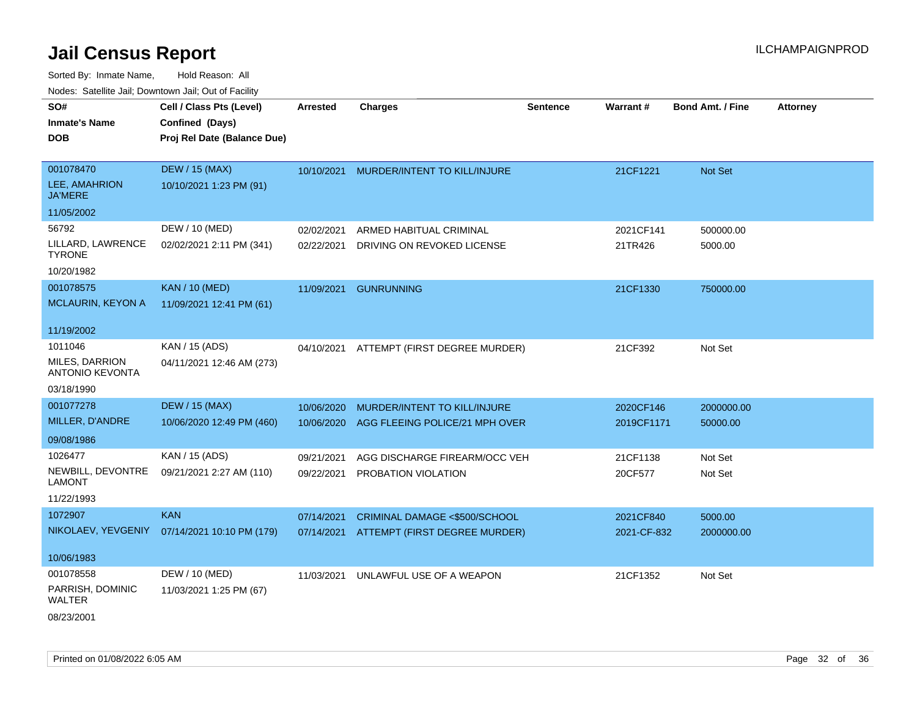| <b>NOULD:</b> Catoline can, Downtown can, Out of Fability |                                                                            |                 |                                          |                 |             |                         |                 |
|-----------------------------------------------------------|----------------------------------------------------------------------------|-----------------|------------------------------------------|-----------------|-------------|-------------------------|-----------------|
| SO#<br><b>Inmate's Name</b><br><b>DOB</b>                 | Cell / Class Pts (Level)<br>Confined (Days)<br>Proj Rel Date (Balance Due) | <b>Arrested</b> | <b>Charges</b>                           | <b>Sentence</b> | Warrant#    | <b>Bond Amt. / Fine</b> | <b>Attorney</b> |
| 001078470<br>LEE, AMAHRION<br><b>JA'MERE</b>              | <b>DEW / 15 (MAX)</b><br>10/10/2021 1:23 PM (91)                           | 10/10/2021      | MURDER/INTENT TO KILL/INJURE             |                 | 21CF1221    | Not Set                 |                 |
| 11/05/2002                                                |                                                                            |                 |                                          |                 |             |                         |                 |
| 56792                                                     | DEW / 10 (MED)                                                             | 02/02/2021      | ARMED HABITUAL CRIMINAL                  |                 | 2021CF141   | 500000.00               |                 |
| LILLARD, LAWRENCE<br><b>TYRONE</b>                        | 02/02/2021 2:11 PM (341)                                                   | 02/22/2021      | DRIVING ON REVOKED LICENSE               |                 | 21TR426     | 5000.00                 |                 |
| 10/20/1982                                                |                                                                            |                 |                                          |                 |             |                         |                 |
| 001078575                                                 | <b>KAN / 10 (MED)</b>                                                      | 11/09/2021      | <b>GUNRUNNING</b>                        |                 | 21CF1330    | 750000.00               |                 |
| MCLAURIN, KEYON A                                         | 11/09/2021 12:41 PM (61)                                                   |                 |                                          |                 |             |                         |                 |
| 11/19/2002                                                |                                                                            |                 |                                          |                 |             |                         |                 |
| 1011046                                                   | KAN / 15 (ADS)                                                             |                 | 04/10/2021 ATTEMPT (FIRST DEGREE MURDER) |                 | 21CF392     | Not Set                 |                 |
| <b>MILES, DARRION</b><br><b>ANTONIO KEVONTA</b>           | 04/11/2021 12:46 AM (273)                                                  |                 |                                          |                 |             |                         |                 |
| 03/18/1990                                                |                                                                            |                 |                                          |                 |             |                         |                 |
| 001077278                                                 | <b>DEW / 15 (MAX)</b>                                                      | 10/06/2020      | MURDER/INTENT TO KILL/INJURE             |                 | 2020CF146   | 2000000.00              |                 |
| MILLER, D'ANDRE                                           | 10/06/2020 12:49 PM (460)                                                  | 10/06/2020      | AGG FLEEING POLICE/21 MPH OVER           |                 | 2019CF1171  | 50000.00                |                 |
| 09/08/1986                                                |                                                                            |                 |                                          |                 |             |                         |                 |
| 1026477                                                   | KAN / 15 (ADS)                                                             | 09/21/2021      | AGG DISCHARGE FIREARM/OCC VEH            |                 | 21CF1138    | Not Set                 |                 |
| NEWBILL, DEVONTRE<br><b>LAMONT</b>                        | 09/21/2021 2:27 AM (110)                                                   | 09/22/2021      | PROBATION VIOLATION                      |                 | 20CF577     | Not Set                 |                 |
| 11/22/1993                                                |                                                                            |                 |                                          |                 |             |                         |                 |
| 1072907                                                   | <b>KAN</b>                                                                 | 07/14/2021      | CRIMINAL DAMAGE <\$500/SCHOOL            |                 | 2021CF840   | 5000.00                 |                 |
|                                                           | NIKOLAEV, YEVGENIY 07/14/2021 10:10 PM (179)                               | 07/14/2021      | ATTEMPT (FIRST DEGREE MURDER)            |                 | 2021-CF-832 | 2000000.00              |                 |
| 10/06/1983                                                |                                                                            |                 |                                          |                 |             |                         |                 |
| 001078558                                                 | DEW / 10 (MED)                                                             | 11/03/2021      | UNLAWFUL USE OF A WEAPON                 |                 | 21CF1352    | Not Set                 |                 |
| PARRISH, DOMINIC<br>WALTER                                | 11/03/2021 1:25 PM (67)                                                    |                 |                                          |                 |             |                         |                 |
| 08/23/2001                                                |                                                                            |                 |                                          |                 |             |                         |                 |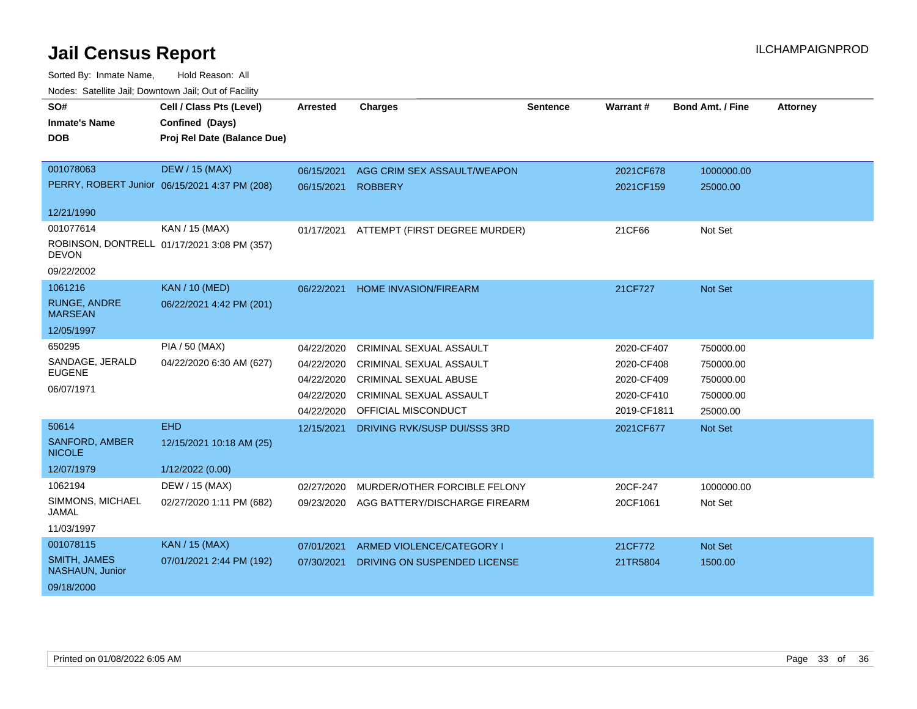| SO#<br><b>Inmate's Name</b><br><b>DOB</b> | Cell / Class Pts (Level)<br>Confined (Days)<br>Proj Rel Date (Balance Due) | <b>Arrested</b> | <b>Charges</b>                | Sentence | <b>Warrant#</b> | <b>Bond Amt. / Fine</b> | <b>Attorney</b> |
|-------------------------------------------|----------------------------------------------------------------------------|-----------------|-------------------------------|----------|-----------------|-------------------------|-----------------|
| 001078063                                 | <b>DEW / 15 (MAX)</b>                                                      | 06/15/2021      | AGG CRIM SEX ASSAULT/WEAPON   |          | 2021CF678       | 1000000.00              |                 |
|                                           | PERRY, ROBERT Junior 06/15/2021 4:37 PM (208)                              | 06/15/2021      | <b>ROBBERY</b>                |          | 2021CF159       | 25000.00                |                 |
| 12/21/1990                                |                                                                            |                 |                               |          |                 |                         |                 |
| 001077614                                 | KAN / 15 (MAX)                                                             | 01/17/2021      | ATTEMPT (FIRST DEGREE MURDER) |          | 21CF66          | Not Set                 |                 |
| <b>DEVON</b>                              | ROBINSON, DONTRELL 01/17/2021 3:08 PM (357)                                |                 |                               |          |                 |                         |                 |
| 09/22/2002                                |                                                                            |                 |                               |          |                 |                         |                 |
| 1061216                                   | <b>KAN / 10 (MED)</b>                                                      | 06/22/2021      | <b>HOME INVASION/FIREARM</b>  |          | 21CF727         | Not Set                 |                 |
| <b>RUNGE, ANDRE</b><br><b>MARSEAN</b>     | 06/22/2021 4:42 PM (201)                                                   |                 |                               |          |                 |                         |                 |
| 12/05/1997                                |                                                                            |                 |                               |          |                 |                         |                 |
| 650295                                    | <b>PIA / 50 (MAX)</b>                                                      | 04/22/2020      | CRIMINAL SEXUAL ASSAULT       |          | 2020-CF407      | 750000.00               |                 |
| SANDAGE, JERALD                           | 04/22/2020 6:30 AM (627)                                                   | 04/22/2020      | CRIMINAL SEXUAL ASSAULT       |          | 2020-CF408      | 750000.00               |                 |
| <b>EUGENE</b>                             |                                                                            | 04/22/2020      | <b>CRIMINAL SEXUAL ABUSE</b>  |          | 2020-CF409      | 750000.00               |                 |
| 06/07/1971                                |                                                                            | 04/22/2020      | CRIMINAL SEXUAL ASSAULT       |          | 2020-CF410      | 750000.00               |                 |
|                                           |                                                                            | 04/22/2020      | OFFICIAL MISCONDUCT           |          | 2019-CF1811     | 25000.00                |                 |
| 50614                                     | <b>EHD</b>                                                                 | 12/15/2021      | DRIVING RVK/SUSP DUI/SSS 3RD  |          | 2021CF677       | <b>Not Set</b>          |                 |
| <b>SANFORD, AMBER</b><br><b>NICOLE</b>    | 12/15/2021 10:18 AM (25)                                                   |                 |                               |          |                 |                         |                 |
| 12/07/1979                                | 1/12/2022 (0.00)                                                           |                 |                               |          |                 |                         |                 |
| 1062194                                   | DEW / 15 (MAX)                                                             | 02/27/2020      | MURDER/OTHER FORCIBLE FELONY  |          | 20CF-247        | 1000000.00              |                 |
| SIMMONS, MICHAEL<br><b>JAMAL</b>          | 02/27/2020 1:11 PM (682)                                                   | 09/23/2020      | AGG BATTERY/DISCHARGE FIREARM |          | 20CF1061        | Not Set                 |                 |
| 11/03/1997                                |                                                                            |                 |                               |          |                 |                         |                 |
| 001078115                                 | KAN / 15 (MAX)                                                             | 07/01/2021      | ARMED VIOLENCE/CATEGORY I     |          | 21CF772         | Not Set                 |                 |
| <b>SMITH, JAMES</b><br>NASHAUN, Junior    | 07/01/2021 2:44 PM (192)                                                   | 07/30/2021      | DRIVING ON SUSPENDED LICENSE  |          | 21TR5804        | 1500.00                 |                 |
| 09/18/2000                                |                                                                            |                 |                               |          |                 |                         |                 |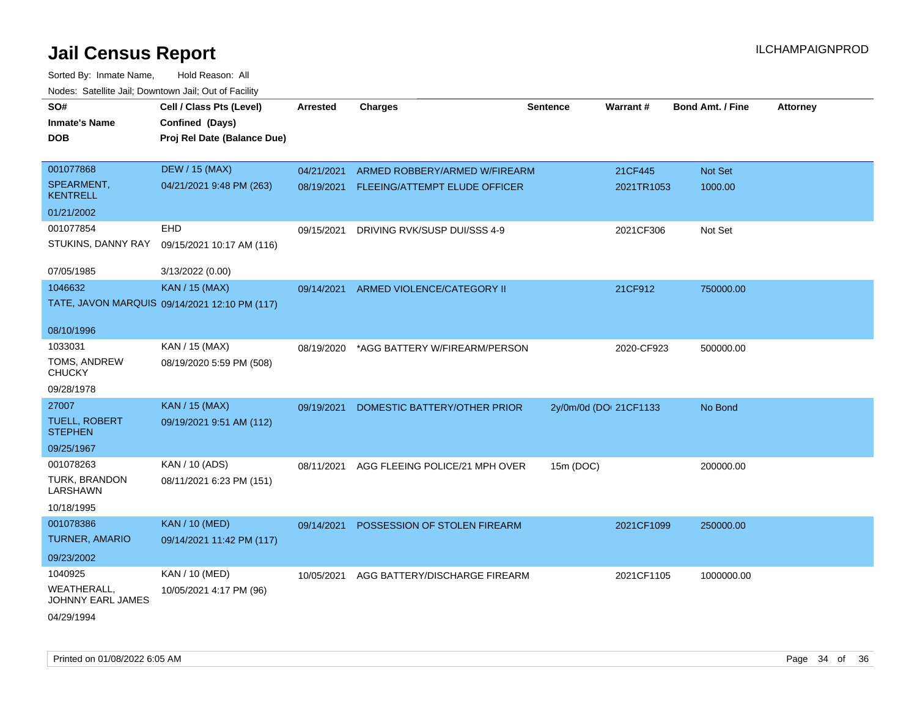| SO#                                     | Cell / Class Pts (Level)                      | Arrested   | <b>Charges</b>                 | Sentence               | Warrant#   | <b>Bond Amt. / Fine</b> | <b>Attorney</b> |
|-----------------------------------------|-----------------------------------------------|------------|--------------------------------|------------------------|------------|-------------------------|-----------------|
| <b>Inmate's Name</b>                    | Confined (Days)                               |            |                                |                        |            |                         |                 |
| <b>DOB</b>                              | Proj Rel Date (Balance Due)                   |            |                                |                        |            |                         |                 |
|                                         |                                               |            |                                |                        |            |                         |                 |
| 001077868                               | <b>DEW / 15 (MAX)</b>                         | 04/21/2021 | ARMED ROBBERY/ARMED W/FIREARM  |                        | 21CF445    | Not Set                 |                 |
| SPEARMENT,<br><b>KENTRELL</b>           | 04/21/2021 9:48 PM (263)                      | 08/19/2021 | FLEEING/ATTEMPT ELUDE OFFICER  |                        | 2021TR1053 | 1000.00                 |                 |
| 01/21/2002                              |                                               |            |                                |                        |            |                         |                 |
| 001077854                               | <b>EHD</b>                                    | 09/15/2021 | DRIVING RVK/SUSP DUI/SSS 4-9   |                        | 2021CF306  | Not Set                 |                 |
| STUKINS, DANNY RAY                      | 09/15/2021 10:17 AM (116)                     |            |                                |                        |            |                         |                 |
| 07/05/1985                              | 3/13/2022 (0.00)                              |            |                                |                        |            |                         |                 |
| 1046632                                 | <b>KAN / 15 (MAX)</b>                         | 09/14/2021 | ARMED VIOLENCE/CATEGORY II     |                        | 21CF912    | 750000.00               |                 |
|                                         | TATE, JAVON MARQUIS 09/14/2021 12:10 PM (117) |            |                                |                        |            |                         |                 |
| 08/10/1996                              |                                               |            |                                |                        |            |                         |                 |
| 1033031                                 | KAN / 15 (MAX)                                | 08/19/2020 | *AGG BATTERY W/FIREARM/PERSON  |                        | 2020-CF923 | 500000.00               |                 |
| TOMS, ANDREW<br><b>CHUCKY</b>           | 08/19/2020 5:59 PM (508)                      |            |                                |                        |            |                         |                 |
| 09/28/1978                              |                                               |            |                                |                        |            |                         |                 |
| 27007                                   | <b>KAN / 15 (MAX)</b>                         | 09/19/2021 | DOMESTIC BATTERY/OTHER PRIOR   | 2y/0m/0d (DOI 21CF1133 |            | No Bond                 |                 |
| <b>TUELL, ROBERT</b><br><b>STEPHEN</b>  | 09/19/2021 9:51 AM (112)                      |            |                                |                        |            |                         |                 |
| 09/25/1967                              |                                               |            |                                |                        |            |                         |                 |
| 001078263                               | KAN / 10 (ADS)                                | 08/11/2021 | AGG FLEEING POLICE/21 MPH OVER | 15m (DOC)              |            | 200000.00               |                 |
| TURK, BRANDON<br>LARSHAWN               | 08/11/2021 6:23 PM (151)                      |            |                                |                        |            |                         |                 |
| 10/18/1995                              |                                               |            |                                |                        |            |                         |                 |
| 001078386                               | <b>KAN / 10 (MED)</b>                         | 09/14/2021 | POSSESSION OF STOLEN FIREARM   |                        | 2021CF1099 | 250000.00               |                 |
| <b>TURNER, AMARIO</b>                   | 09/14/2021 11:42 PM (117)                     |            |                                |                        |            |                         |                 |
| 09/23/2002                              |                                               |            |                                |                        |            |                         |                 |
| 1040925                                 | KAN / 10 (MED)                                | 10/05/2021 | AGG BATTERY/DISCHARGE FIREARM  |                        | 2021CF1105 | 1000000.00              |                 |
| <b>WEATHERALL,</b><br>JOHNNY EARL JAMES | 10/05/2021 4:17 PM (96)                       |            |                                |                        |            |                         |                 |
| 04/29/1994                              |                                               |            |                                |                        |            |                         |                 |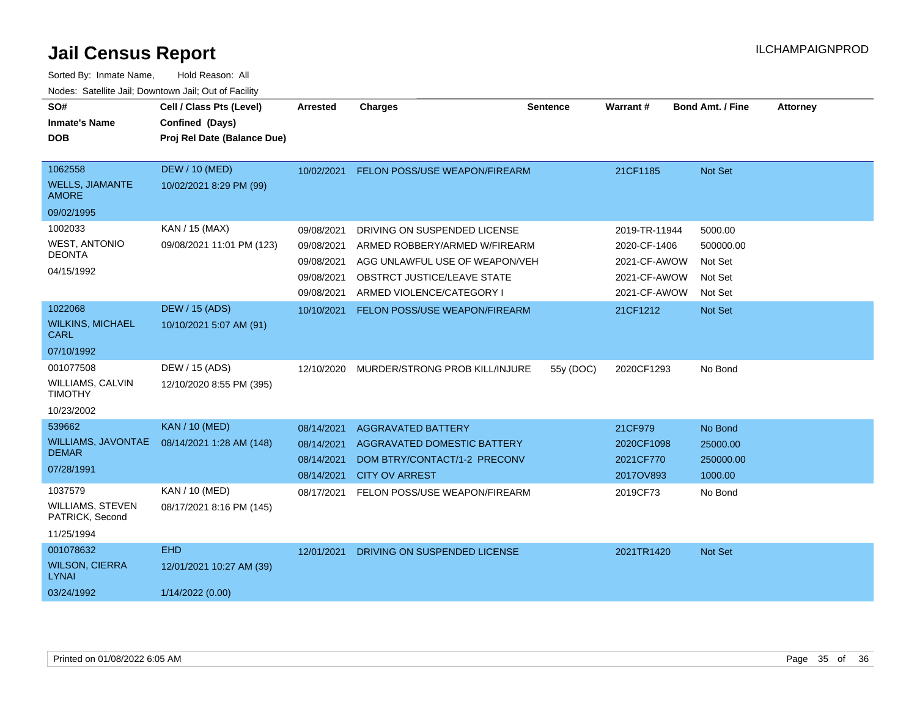| SO#<br><b>Inmate's Name</b><br><b>DOB</b>                           | Cell / Class Pts (Level)<br>Confined (Days)<br>Proj Rel Date (Balance Due) | <b>Arrested</b>                                                    | <b>Charges</b>                                                                                                                                              | <b>Sentence</b> | <b>Warrant#</b>                                                               | <b>Bond Amt. / Fine</b>                               | <b>Attorney</b> |
|---------------------------------------------------------------------|----------------------------------------------------------------------------|--------------------------------------------------------------------|-------------------------------------------------------------------------------------------------------------------------------------------------------------|-----------------|-------------------------------------------------------------------------------|-------------------------------------------------------|-----------------|
| 1062558<br><b>WELLS, JIAMANTE</b><br><b>AMORE</b>                   | <b>DEW / 10 (MED)</b><br>10/02/2021 8:29 PM (99)                           | 10/02/2021                                                         | FELON POSS/USE WEAPON/FIREARM                                                                                                                               |                 | 21CF1185                                                                      | Not Set                                               |                 |
| 09/02/1995                                                          |                                                                            |                                                                    |                                                                                                                                                             |                 |                                                                               |                                                       |                 |
| 1002033<br><b>WEST, ANTONIO</b><br><b>DEONTA</b><br>04/15/1992      | KAN / 15 (MAX)<br>09/08/2021 11:01 PM (123)                                | 09/08/2021<br>09/08/2021<br>09/08/2021<br>09/08/2021<br>09/08/2021 | DRIVING ON SUSPENDED LICENSE<br>ARMED ROBBERY/ARMED W/FIREARM<br>AGG UNLAWFUL USE OF WEAPON/VEH<br>OBSTRCT JUSTICE/LEAVE STATE<br>ARMED VIOLENCE/CATEGORY I |                 | 2019-TR-11944<br>2020-CF-1406<br>2021-CF-AWOW<br>2021-CF-AWOW<br>2021-CF-AWOW | 5000.00<br>500000.00<br>Not Set<br>Not Set<br>Not Set |                 |
| 1022068                                                             | DEW / 15 (ADS)                                                             | 10/10/2021                                                         | <b>FELON POSS/USE WEAPON/FIREARM</b>                                                                                                                        |                 | 21CF1212                                                                      | Not Set                                               |                 |
| <b>WILKINS, MICHAEL</b><br><b>CARL</b>                              | 10/10/2021 5:07 AM (91)                                                    |                                                                    |                                                                                                                                                             |                 |                                                                               |                                                       |                 |
| 07/10/1992                                                          |                                                                            |                                                                    |                                                                                                                                                             |                 |                                                                               |                                                       |                 |
| 001077508<br>WILLIAMS, CALVIN<br><b>TIMOTHY</b><br>10/23/2002       | DEW / 15 (ADS)<br>12/10/2020 8:55 PM (395)                                 | 12/10/2020                                                         | MURDER/STRONG PROB KILL/INJURE                                                                                                                              | 55y (DOC)       | 2020CF1293                                                                    | No Bond                                               |                 |
| 539662                                                              | <b>KAN / 10 (MED)</b>                                                      | 08/14/2021                                                         | <b>AGGRAVATED BATTERY</b>                                                                                                                                   |                 | 21CF979                                                                       | No Bond                                               |                 |
| <b>WILLIAMS, JAVONTAE</b><br><b>DEMAR</b><br>07/28/1991             | 08/14/2021 1:28 AM (148)                                                   | 08/14/2021<br>08/14/2021<br>08/14/2021                             | <b>AGGRAVATED DOMESTIC BATTERY</b><br>DOM BTRY/CONTACT/1-2 PRECONV<br><b>CITY OV ARREST</b>                                                                 |                 | 2020CF1098<br>2021CF770<br>2017OV893                                          | 25000.00<br>250000.00<br>1000.00                      |                 |
| 1037579<br><b>WILLIAMS, STEVEN</b><br>PATRICK, Second<br>11/25/1994 | KAN / 10 (MED)<br>08/17/2021 8:16 PM (145)                                 | 08/17/2021                                                         | FELON POSS/USE WEAPON/FIREARM                                                                                                                               |                 | 2019CF73                                                                      | No Bond                                               |                 |
| 001078632                                                           | <b>EHD</b>                                                                 | 12/01/2021                                                         | DRIVING ON SUSPENDED LICENSE                                                                                                                                |                 | 2021TR1420                                                                    | Not Set                                               |                 |
| <b>WILSON, CIERRA</b><br><b>LYNAI</b>                               | 12/01/2021 10:27 AM (39)                                                   |                                                                    |                                                                                                                                                             |                 |                                                                               |                                                       |                 |
| 03/24/1992                                                          | 1/14/2022 (0.00)                                                           |                                                                    |                                                                                                                                                             |                 |                                                                               |                                                       |                 |